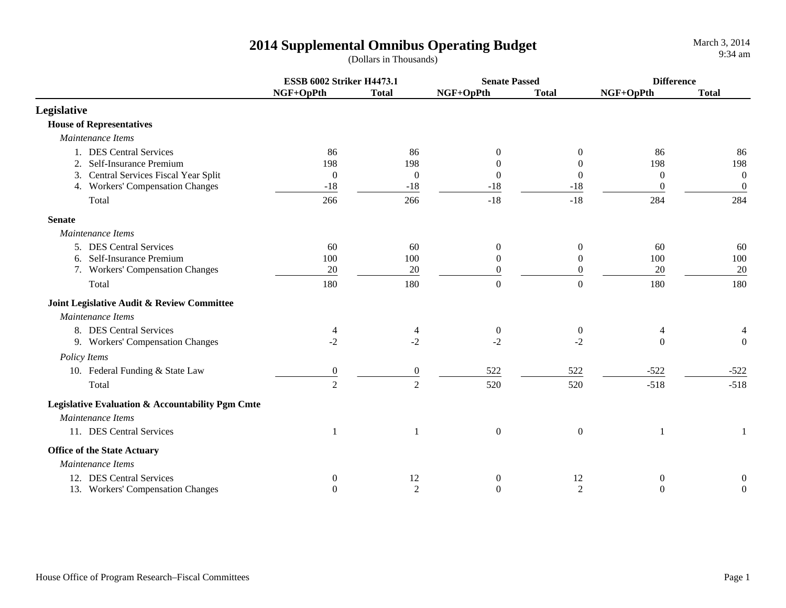|                                                  | <b>ESSB 6002 Striker H4473.1</b> |                | <b>Senate Passed</b> |                  | <b>Difference</b> |                |
|--------------------------------------------------|----------------------------------|----------------|----------------------|------------------|-------------------|----------------|
|                                                  | NGF+OpPth                        | <b>Total</b>   | NGF+OpPth            | <b>Total</b>     | NGF+OpPth         | <b>Total</b>   |
| Legislative                                      |                                  |                |                      |                  |                   |                |
| <b>House of Representatives</b>                  |                                  |                |                      |                  |                   |                |
| Maintenance Items                                |                                  |                |                      |                  |                   |                |
| 1. DES Central Services                          | 86                               | 86             | $\theta$             | 0                | 86                | 86             |
| 2. Self-Insurance Premium                        | 198                              | 198            | $\theta$             | $\Omega$         | 198               | 198            |
| 3. Central Services Fiscal Year Split            | $\boldsymbol{0}$                 | $\overline{0}$ | $\boldsymbol{0}$     | $\theta$         | $\mathbf{0}$      | $\overline{0}$ |
| 4. Workers' Compensation Changes                 | $-18$                            | $-18$          | $-18$                | $-18$            | $\theta$          | $\overline{0}$ |
| Total                                            | 266                              | 266            | $-18$                | $-18$            | 284               | 284            |
| <b>Senate</b>                                    |                                  |                |                      |                  |                   |                |
| Maintenance Items                                |                                  |                |                      |                  |                   |                |
| 5. DES Central Services                          | 60                               | 60             | $\mathbf{0}$         | $\theta$         | 60                | 60             |
| 6. Self-Insurance Premium                        | 100                              | 100            | $\theta$             | $\mathbf{0}$     | 100               | 100            |
| 7. Workers' Compensation Changes                 | 20                               | 20             | $\boldsymbol{0}$     | $\overline{0}$   | 20                | 20             |
| Total                                            | 180                              | 180            | $\boldsymbol{0}$     | $\overline{0}$   | 180               | 180            |
| Joint Legislative Audit & Review Committee       |                                  |                |                      |                  |                   |                |
| Maintenance Items                                |                                  |                |                      |                  |                   |                |
| 8. DES Central Services                          | 4                                | 4              | $\boldsymbol{0}$     | $\boldsymbol{0}$ | 4                 |                |
| 9. Workers' Compensation Changes                 | $-2$                             | $-2$           | $-2$                 | $-2$             | $\theta$          | $\mathbf{0}$   |
| Policy Items                                     |                                  |                |                      |                  |                   |                |
| 10. Federal Funding & State Law                  | $\boldsymbol{0}$                 | $\overline{0}$ | 522                  | 522              | $-522$            | $-522$         |
| Total                                            | $\overline{2}$                   | $\overline{2}$ | 520                  | 520              | $-518$            | $-518$         |
| Legislative Evaluation & Accountability Pgm Cmte |                                  |                |                      |                  |                   |                |
| Maintenance Items                                |                                  |                |                      |                  |                   |                |
| 11. DES Central Services                         | 1                                |                | $\boldsymbol{0}$     | $\overline{0}$   |                   |                |
| <b>Office of the State Actuary</b>               |                                  |                |                      |                  |                   |                |
| Maintenance Items                                |                                  |                |                      |                  |                   |                |
| 12. DES Central Services                         | $\theta$                         | 12             | $\mathbf{0}$         | 12               | $\mathbf{0}$      | $\theta$       |
| 13. Workers' Compensation Changes                | $\Omega$                         | $\overline{c}$ | $\Omega$             | 2                | $\theta$          | $\mathbf{0}$   |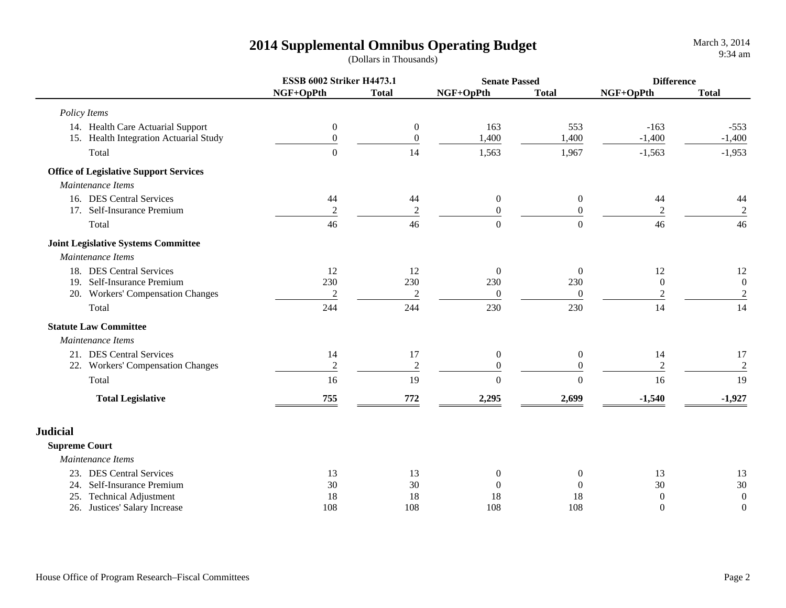|                      |                                               | <b>ESSB 6002 Striker H4473.1</b> |                  | <b>Senate Passed</b> |                  | <b>Difference</b> |                  |
|----------------------|-----------------------------------------------|----------------------------------|------------------|----------------------|------------------|-------------------|------------------|
|                      |                                               | NGF+OpPth                        | <b>Total</b>     | NGF+OpPth            | <b>Total</b>     | NGF+OpPth         | <b>Total</b>     |
|                      | Policy Items                                  |                                  |                  |                      |                  |                   |                  |
|                      | 14. Health Care Actuarial Support             | $\boldsymbol{0}$                 | $\boldsymbol{0}$ | 163                  | 553              | $-163$            | $-553$           |
|                      | 15. Health Integration Actuarial Study        | $\boldsymbol{0}$                 | $\boldsymbol{0}$ | 1,400                | 1,400            | $-1,400$          | $-1,400$         |
|                      | Total                                         | $\boldsymbol{0}$                 | 14               | 1,563                | 1,967            | $-1,563$          | $-1,953$         |
|                      | <b>Office of Legislative Support Services</b> |                                  |                  |                      |                  |                   |                  |
|                      | Maintenance Items                             |                                  |                  |                      |                  |                   |                  |
|                      | 16. DES Central Services                      | 44                               | 44               | $\boldsymbol{0}$     | $\boldsymbol{0}$ | 44                | 44               |
|                      | 17. Self-Insurance Premium                    | $\overline{2}$                   | $\sqrt{2}$       | $\boldsymbol{0}$     | $\mathbf{0}$     | $\overline{c}$    | $\overline{c}$   |
|                      | Total                                         | 46                               | 46               | $\overline{0}$       | $\theta$         | 46                | 46               |
|                      | <b>Joint Legislative Systems Committee</b>    |                                  |                  |                      |                  |                   |                  |
|                      | Maintenance Items                             |                                  |                  |                      |                  |                   |                  |
|                      | 18. DES Central Services                      | 12                               | 12               | $\boldsymbol{0}$     | $\boldsymbol{0}$ | 12                | 12               |
|                      | 19. Self-Insurance Premium                    | 230                              | 230              | 230                  | 230              | $\overline{0}$    | $\boldsymbol{0}$ |
|                      | 20. Workers' Compensation Changes             | $\overline{c}$                   | $\boldsymbol{2}$ | $\boldsymbol{0}$     | $\mathbf{0}$     | $\mathfrak{2}$    | $\overline{2}$   |
|                      | Total                                         | 244                              | 244              | 230                  | 230              | 14                | 14               |
|                      | <b>Statute Law Committee</b>                  |                                  |                  |                      |                  |                   |                  |
|                      | Maintenance Items                             |                                  |                  |                      |                  |                   |                  |
|                      | 21. DES Central Services                      | 14                               | 17               | $\boldsymbol{0}$     | $\mathbf{0}$     | 14                | 17               |
|                      | 22. Workers' Compensation Changes             | $\sqrt{2}$                       | $\sqrt{2}$       | $\overline{0}$       | $\mathbf{0}$     | $\overline{2}$    | $\sqrt{2}$       |
|                      | Total                                         | 16                               | 19               | $\boldsymbol{0}$     | $\theta$         | 16                | 19               |
|                      | <b>Total Legislative</b>                      | 755                              | 772              | 2,295                | 2,699            | $-1,540$          | $-1,927$         |
| <b>Judicial</b>      |                                               |                                  |                  |                      |                  |                   |                  |
| <b>Supreme Court</b> |                                               |                                  |                  |                      |                  |                   |                  |
|                      | Maintenance Items                             |                                  |                  |                      |                  |                   |                  |
|                      | 23. DES Central Services                      | 13                               | 13               | $\boldsymbol{0}$     | $\boldsymbol{0}$ | 13                | 13               |
|                      | 24. Self-Insurance Premium                    | 30                               | 30               | $\overline{0}$       | $\boldsymbol{0}$ | 30                | 30               |
|                      | 25. Technical Adjustment                      | 18                               | 18               | 18                   | 18               | $\boldsymbol{0}$  | $\boldsymbol{0}$ |
|                      | 26. Justices' Salary Increase                 | 108                              | 108              | 108                  | 108              | $\boldsymbol{0}$  | $\boldsymbol{0}$ |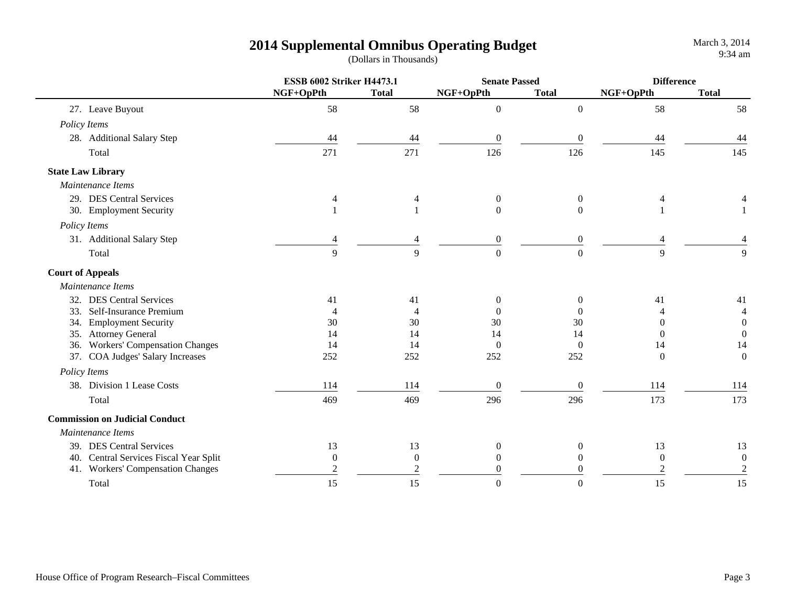|                                        | <b>ESSB 6002 Striker H4473.1</b> |                  | <b>Senate Passed</b> |                | <b>Difference</b> |                  |
|----------------------------------------|----------------------------------|------------------|----------------------|----------------|-------------------|------------------|
|                                        | NGF+OpPth                        | <b>Total</b>     | NGF+OpPth            | <b>Total</b>   | NGF+OpPth         | <b>Total</b>     |
| 27. Leave Buyout                       | 58                               | 58               | $\boldsymbol{0}$     | $\overline{0}$ | 58                | 58               |
| Policy Items                           |                                  |                  |                      |                |                   |                  |
| 28. Additional Salary Step             | 44                               | 44               | $\boldsymbol{0}$     | $\theta$       | 44                | 44               |
| Total                                  | 271                              | 271              | 126                  | 126            | 145               | 145              |
| <b>State Law Library</b>               |                                  |                  |                      |                |                   |                  |
| Maintenance Items                      |                                  |                  |                      |                |                   |                  |
| 29. DES Central Services               |                                  | 4                | $\boldsymbol{0}$     | $\overline{0}$ | 4                 |                  |
| 30. Employment Security                |                                  |                  | $\overline{0}$       | $\Omega$       |                   |                  |
| Policy Items                           |                                  |                  |                      |                |                   |                  |
| 31. Additional Salary Step             |                                  |                  | $\boldsymbol{0}$     | $\Omega$       |                   |                  |
| Total                                  | 9                                | 9                | $\overline{0}$       | $\overline{0}$ | 9                 | 9                |
| <b>Court of Appeals</b>                |                                  |                  |                      |                |                   |                  |
| Maintenance Items                      |                                  |                  |                      |                |                   |                  |
| 32. DES Central Services               | 41                               | 41               | $\boldsymbol{0}$     | $\overline{0}$ | 41                | 41               |
| 33. Self-Insurance Premium             | $\overline{4}$                   |                  | $\theta$             | $\Omega$       |                   | 4                |
| 34. Employment Security                | 30                               | 30               | 30                   | 30             | $\theta$          | $\boldsymbol{0}$ |
| 35. Attorney General                   | 14                               | 14               | 14                   | 14             | 0                 | $\mathbf{0}$     |
| 36. Workers' Compensation Changes      | 14                               | 14               | $\mathbf{0}$         | $\mathbf{0}$   | 14                | 14               |
| 37. COA Judges' Salary Increases       | 252                              | 252              | 252                  | 252            | $\Omega$          | $\boldsymbol{0}$ |
| Policy Items                           |                                  |                  |                      |                |                   |                  |
| 38. Division 1 Lease Costs             | 114                              | 114              | $\boldsymbol{0}$     | $\theta$       | 114               | 114              |
| Total                                  | 469                              | 469              | 296                  | 296            | 173               | 173              |
| <b>Commission on Judicial Conduct</b>  |                                  |                  |                      |                |                   |                  |
| Maintenance Items                      |                                  |                  |                      |                |                   |                  |
| 39. DES Central Services               | 13                               | 13               | $\mathbf 0$          | $\overline{0}$ | 13                | 13               |
| 40. Central Services Fiscal Year Split | $\mathbf{0}$                     | $\boldsymbol{0}$ | $\theta$             | $\mathbf{0}$   | $\theta$          | $\boldsymbol{0}$ |
| 41. Workers' Compensation Changes      |                                  |                  | 0                    | 0              | $\overline{c}$    | $\sqrt{2}$       |
| Total                                  | 15                               | 15               | $\Omega$             | 0              | 15                | 15               |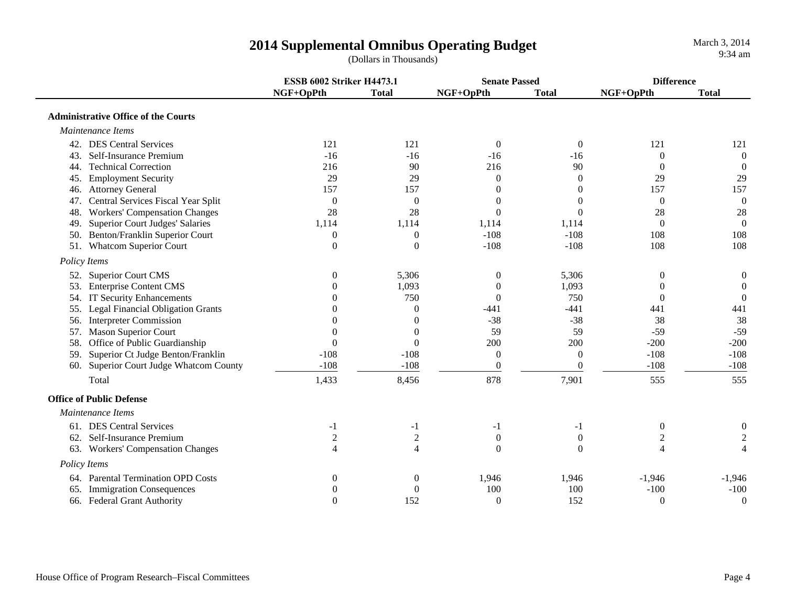|                                                 | <b>ESSB 6002 Striker H4473.1</b> |                  | <b>Senate Passed</b> |                | <b>Difference</b> |                  |
|-------------------------------------------------|----------------------------------|------------------|----------------------|----------------|-------------------|------------------|
|                                                 | NGF+OpPth                        | <b>Total</b>     | NGF+OpPth            | <b>Total</b>   | NGF+OpPth         | <b>Total</b>     |
| <b>Administrative Office of the Courts</b>      |                                  |                  |                      |                |                   |                  |
| Maintenance Items                               |                                  |                  |                      |                |                   |                  |
| 42. DES Central Services                        | 121                              | 121              | $\boldsymbol{0}$     | $\overline{0}$ | 121               | 121              |
| Self-Insurance Premium<br>43.                   | $-16$                            | $-16$            | $-16$                | $-16$          | $\theta$          | $\theta$         |
| 44. Technical Correction                        | 216                              | 90               | 216                  | 90             | $\overline{0}$    | $\theta$         |
| <b>Employment Security</b><br>45.               | 29                               | 29               | $\boldsymbol{0}$     | $\theta$       | 29                | 29               |
| 46. Attorney General                            | 157                              | 157              | $\boldsymbol{0}$     | 0              | 157               | 157              |
| 47. Central Services Fiscal Year Split          | $\boldsymbol{0}$                 | $\overline{0}$   | $\boldsymbol{0}$     | $\theta$       | $\overline{0}$    | $\overline{0}$   |
| <b>Workers' Compensation Changes</b><br>48.     | 28                               | 28               | $\overline{0}$       | $\Omega$       | 28                | 28               |
| 49. Superior Court Judges' Salaries             | 1,114                            | 1,114            | 1,114                | 1,114          | $\overline{0}$    | $\overline{0}$   |
| 50. Benton/Franklin Superior Court              | $\overline{0}$                   | $\theta$         | $-108$               | $-108$         | 108               | 108              |
| 51. Whatcom Superior Court                      | $\theta$                         | $\overline{0}$   | $-108$               | $-108$         | 108               | 108              |
| Policy Items                                    |                                  |                  |                      |                |                   |                  |
| 52. Superior Court CMS                          | $\theta$                         | 5,306            | $\boldsymbol{0}$     | 5,306          | $\Omega$          | $\boldsymbol{0}$ |
| 53. Enterprise Content CMS                      |                                  | 1,093            | $\overline{0}$       | 1,093          | 0                 | $\overline{0}$   |
| 54. IT Security Enhancements                    |                                  | 750              | $\overline{0}$       | 750            | $\Omega$          | $\Omega$         |
| <b>Legal Financial Obligation Grants</b><br>55. |                                  | $\Omega$         | $-441$               | $-441$         | 441               | 441              |
| 56. Interpreter Commission                      |                                  | $\Omega$         | $-38$                | $-38$          | 38                | 38               |
| <b>Mason Superior Court</b><br>57.              |                                  | $\theta$         | 59                   | 59             | $-59$             | $-59$            |
| Office of Public Guardianship<br>58.            | $\theta$                         | $\theta$         | 200                  | 200            | $-200$            | $-200$           |
| Superior Ct Judge Benton/Franklin<br>59.        | $-108$                           | $-108$           | $\boldsymbol{0}$     | $\overline{0}$ | $-108$            | $-108$           |
| 60. Superior Court Judge Whatcom County         | $-108$                           | $-108$           | $\boldsymbol{0}$     | $\mathbf{0}$   | $-108$            | $-108$           |
| Total                                           | 1,433                            | 8,456            | 878                  | 7,901          | 555               | 555              |
| <b>Office of Public Defense</b>                 |                                  |                  |                      |                |                   |                  |
| Maintenance Items                               |                                  |                  |                      |                |                   |                  |
| 61. DES Central Services                        | -1                               | -1               | $-1$                 | $-1$           | $\theta$          | 0                |
| 62. Self-Insurance Premium                      | 2                                | $\sqrt{2}$       | $\boldsymbol{0}$     | $\overline{0}$ | 2                 | $\overline{c}$   |
| 63. Workers' Compensation Changes               | $\overline{4}$                   | $\overline{4}$   | $\boldsymbol{0}$     | $\Omega$       | 4                 | $\overline{4}$   |
| Policy Items                                    |                                  |                  |                      |                |                   |                  |
| 64. Parental Termination OPD Costs              | $\overline{0}$                   | $\boldsymbol{0}$ | 1,946                | 1,946          | $-1,946$          | $-1,946$         |
| 65. Immigration Consequences                    |                                  | $\mathbf{0}$     | 100                  | 100            | $-100$            | $-100$           |
| 66. Federal Grant Authority                     | $\Omega$                         | 152              | $\overline{0}$       | 152            | $\theta$          | $\boldsymbol{0}$ |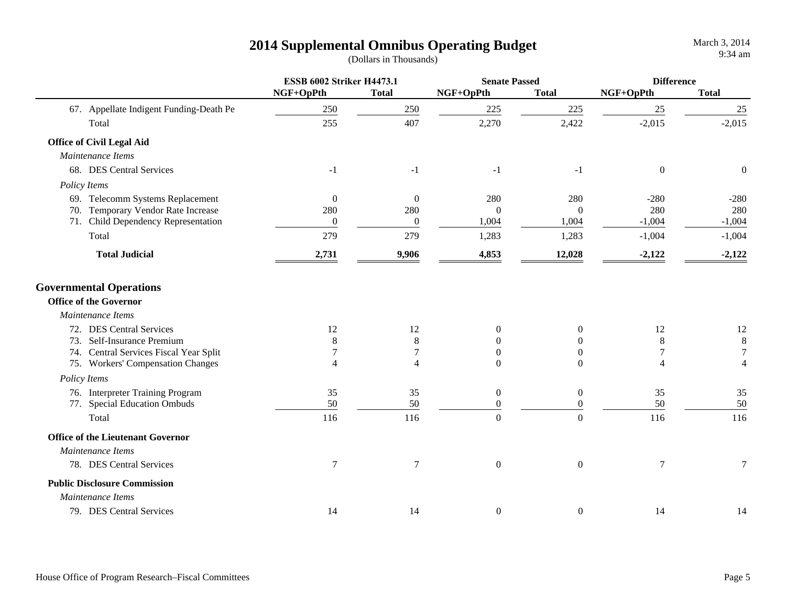|                                          | <b>ESSB 6002 Striker H4473.1</b> |                  | <b>Senate Passed</b> |                  | <b>Difference</b> |                  |
|------------------------------------------|----------------------------------|------------------|----------------------|------------------|-------------------|------------------|
|                                          | NGF+OpPth                        | <b>Total</b>     | NGF+OpPth            | <b>Total</b>     | NGF+OpPth         | <b>Total</b>     |
| 67. Appellate Indigent Funding-Death Pe  | 250                              | 250              | 225                  | 225              | 25                | 25               |
| Total                                    | 255                              | 407              | 2,270                | 2,422            | $-2,015$          | $-2,015$         |
| <b>Office of Civil Legal Aid</b>         |                                  |                  |                      |                  |                   |                  |
| Maintenance Items                        |                                  |                  |                      |                  |                   |                  |
| 68. DES Central Services                 | $-1$                             | $-1$             | $-1$                 | $-1$             | $\mathbf{0}$      | $\boldsymbol{0}$ |
| <b>Policy Items</b>                      |                                  |                  |                      |                  |                   |                  |
| 69. Telecomm Systems Replacement         | $\boldsymbol{0}$                 | $\boldsymbol{0}$ | 280                  | 280              | $-280$            | $-280$           |
| 70. Temporary Vendor Rate Increase       | 280                              | 280              | $\mathbf{0}$         | $\theta$         | 280               | 280              |
| 71. Child Dependency Representation      | $\boldsymbol{0}$                 | $\boldsymbol{0}$ | 1,004                | 1,004            | $-1,004$          | $-1,004$         |
| Total                                    | 279                              | 279              | 1,283                | 1,283            | $-1,004$          | $-1,004$         |
| <b>Total Judicial</b>                    | 2,731                            | 9,906            | 4,853                | 12,028           | $-2,122$          | $-2,122$         |
| <b>Governmental Operations</b>           |                                  |                  |                      |                  |                   |                  |
| <b>Office of the Governor</b>            |                                  |                  |                      |                  |                   |                  |
| Maintenance Items                        |                                  |                  |                      |                  |                   |                  |
| 72. DES Central Services                 | 12                               | 12               | $\boldsymbol{0}$     | $\boldsymbol{0}$ | 12                | $12\,$           |
| 73. Self-Insurance Premium               | 8                                | $\,8\,$          | $\theta$             | $\overline{0}$   | 8                 | $\,8\,$          |
| 74. Central Services Fiscal Year Split   |                                  | $\tau$           | $\theta$             | $\overline{0}$   | $\tau$            | $\overline{7}$   |
| 75. Workers' Compensation Changes        | 4                                | $\overline{4}$   | $\Omega$             | $\theta$         | $\overline{4}$    | $\overline{4}$   |
| Policy Items                             |                                  |                  |                      |                  |                   |                  |
| 76. Interpreter Training Program         | 35                               | 35               | $\boldsymbol{0}$     | $\boldsymbol{0}$ | 35                | 35               |
| 77. Special Education Ombuds             | 50                               | 50               | $\theta$             | $\overline{0}$   | 50                | 50               |
| Total                                    | 116                              | 116              | $\mathbf{0}$         | $\overline{0}$   | 116               | 116              |
| <b>Office of the Lieutenant Governor</b> |                                  |                  |                      |                  |                   |                  |
| Maintenance Items                        |                                  |                  |                      |                  |                   |                  |
| 78. DES Central Services                 | $\boldsymbol{7}$                 | $\boldsymbol{7}$ | $\boldsymbol{0}$     | $\boldsymbol{0}$ | $\tau$            | 7                |
| <b>Public Disclosure Commission</b>      |                                  |                  |                      |                  |                   |                  |
| Maintenance Items                        |                                  |                  |                      |                  |                   |                  |
| 79. DES Central Services                 | 14                               | 14               | $\boldsymbol{0}$     | $\boldsymbol{0}$ | 14                | 14               |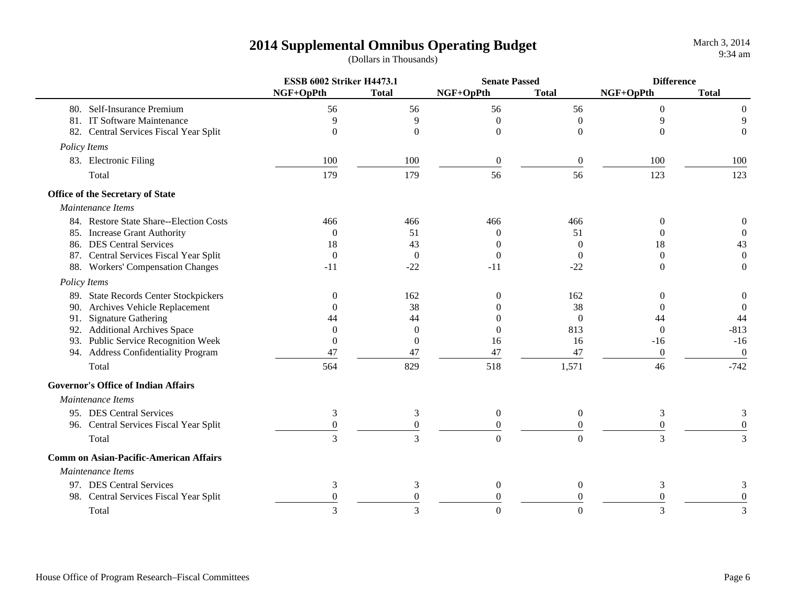|                                               | <b>ESSB 6002 Striker H4473.1</b> |                  | <b>Senate Passed</b> |                  | <b>Difference</b> |                  |
|-----------------------------------------------|----------------------------------|------------------|----------------------|------------------|-------------------|------------------|
|                                               | NGF+OpPth                        | <b>Total</b>     | NGF+OpPth            | <b>Total</b>     | NGF+OpPth         | <b>Total</b>     |
| 80. Self-Insurance Premium                    | 56                               | 56               | 56                   | 56               | $\theta$          | $\boldsymbol{0}$ |
| 81. IT Software Maintenance                   | 9                                | 9                | $\overline{0}$       | $\Omega$         | 9                 | 9                |
| 82. Central Services Fiscal Year Split        | $\theta$                         | $\overline{0}$   | $\boldsymbol{0}$     | $\Omega$         | $\Omega$          | $\boldsymbol{0}$ |
| Policy Items                                  |                                  |                  |                      |                  |                   |                  |
| 83. Electronic Filing                         | 100                              | 100              | $\overline{0}$       | $\theta$         | 100               | 100              |
| Total                                         | 179                              | 179              | 56                   | 56               | 123               | 123              |
| Office of the Secretary of State              |                                  |                  |                      |                  |                   |                  |
| Maintenance Items                             |                                  |                  |                      |                  |                   |                  |
| 84. Restore State Share--Election Costs       | 466                              | 466              | 466                  | 466              | $\Omega$          | $\boldsymbol{0}$ |
| 85. Increase Grant Authority                  | $\Omega$                         | 51               | $\Omega$             | 51               | $\Omega$          | $\mathbf{0}$     |
| 86. DES Central Services                      | 18                               | 43               | $\Omega$             | $\theta$         | 18                | 43               |
| 87. Central Services Fiscal Year Split        | $\overline{0}$                   | $\boldsymbol{0}$ | $\boldsymbol{0}$     | $\theta$         | $\mathbf{0}$      | $\boldsymbol{0}$ |
| 88. Workers' Compensation Changes             | $-11$                            | $-22$            | $-11$                | $-22$            | $\Omega$          | $\mathbf{0}$     |
| Policy Items                                  |                                  |                  |                      |                  |                   |                  |
| 89. State Records Center Stockpickers         | $\Omega$                         | 162              | $\theta$             | 162              | 0                 | $\boldsymbol{0}$ |
| 90. Archives Vehicle Replacement              | $^{(1)}$                         | 38               | 0                    | 38               | 0                 | $\overline{0}$   |
| 91. Signature Gathering                       | 44                               | 44               | 0                    | $\mathbf{0}$     | 44                | 44               |
| 92. Additional Archives Space                 | $\Omega$                         | $\Omega$         | 0                    | 813              | $\Omega$          | $-813$           |
| 93. Public Service Recognition Week           | $\overline{0}$                   | $\Omega$         | 16                   | 16               | $-16$             | $-16$            |
| 94. Address Confidentiality Program           | 47                               | 47               | 47                   | 47               | $\overline{0}$    | $\boldsymbol{0}$ |
| Total                                         | 564                              | 829              | 518                  | 1,571            | 46                | $-742$           |
| <b>Governor's Office of Indian Affairs</b>    |                                  |                  |                      |                  |                   |                  |
| Maintenance Items                             |                                  |                  |                      |                  |                   |                  |
| 95. DES Central Services                      | 3                                | 3                | $\boldsymbol{0}$     | $\boldsymbol{0}$ | 3                 | 3                |
| 96. Central Services Fiscal Year Split        | $\Omega$                         | $\boldsymbol{0}$ | $\overline{0}$       | $\overline{0}$   | $\Omega$          | $\boldsymbol{0}$ |
| Total                                         | $\overline{3}$                   | $\overline{3}$   | $\overline{0}$       | $\overline{0}$   | 3                 | 3                |
| <b>Comm on Asian-Pacific-American Affairs</b> |                                  |                  |                      |                  |                   |                  |
| Maintenance Items                             |                                  |                  |                      |                  |                   |                  |
| 97. DES Central Services                      | 3                                | 3                | $\boldsymbol{0}$     | $\boldsymbol{0}$ | 3                 | 3                |
| 98. Central Services Fiscal Year Split        |                                  | $\boldsymbol{0}$ | 0                    | $\theta$         | $\Omega$          | $\theta$         |
| Total                                         |                                  | $\mathbf{R}$     | $\Omega$             | $\Omega$         | $\mathbf{3}$      | $\mathcal{E}$    |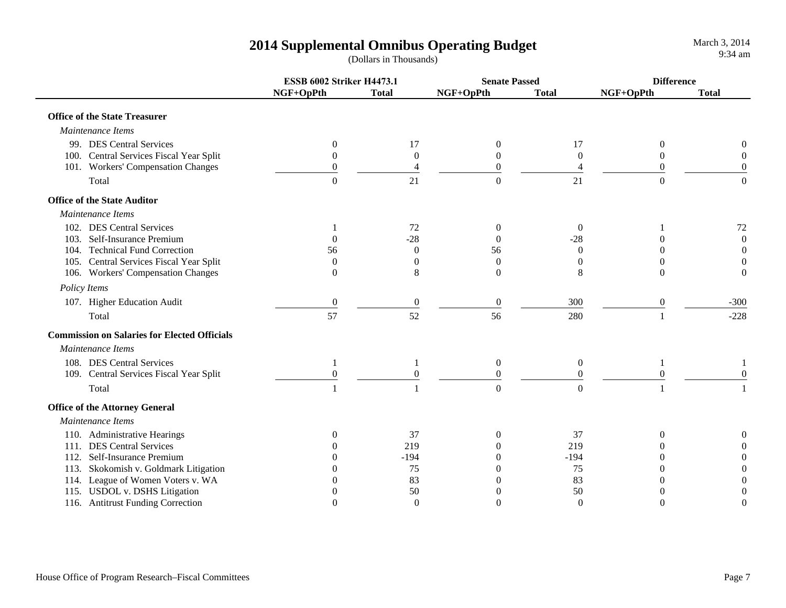|                                                     | <b>ESSB 6002 Striker H4473.1</b> |                  | <b>Senate Passed</b> |                  | <b>Difference</b> |                  |
|-----------------------------------------------------|----------------------------------|------------------|----------------------|------------------|-------------------|------------------|
|                                                     | NGF+OpPth                        | <b>Total</b>     | NGF+OpPth            | <b>Total</b>     | NGF+OpPth         | <b>Total</b>     |
| <b>Office of the State Treasurer</b>                |                                  |                  |                      |                  |                   |                  |
| Maintenance Items                                   |                                  |                  |                      |                  |                   |                  |
| 99. DES Central Services                            | $\overline{0}$                   | 17               | $\boldsymbol{0}$     | 17               | $\mathbf{0}$      | 0                |
| 100. Central Services Fiscal Year Split             | $\overline{0}$                   | $\boldsymbol{0}$ | $\theta$             | $\boldsymbol{0}$ | $\overline{0}$    | $\boldsymbol{0}$ |
| 101. Workers' Compensation Changes                  | $\overline{0}$                   | 4                | $\overline{0}$       | 4                | $\theta$          | $\theta$         |
| Total                                               | $\Omega$                         | 21               | $\boldsymbol{0}$     | 21               | $\boldsymbol{0}$  | $\boldsymbol{0}$ |
| <b>Office of the State Auditor</b>                  |                                  |                  |                      |                  |                   |                  |
| Maintenance Items                                   |                                  |                  |                      |                  |                   |                  |
| 102. DES Central Services                           |                                  | 72               | $\Omega$             | $\overline{0}$   |                   | $72\,$           |
| 103. Self-Insurance Premium                         | $\Omega$                         | $-28$            |                      | $-28$            | 0                 | $\boldsymbol{0}$ |
| 104. Technical Fund Correction                      | 56                               | $\theta$         | 56                   | $\Omega$         | 0                 | $\boldsymbol{0}$ |
| 105. Central Services Fiscal Year Split             | $\Omega$                         | $\Omega$         | $\Omega$             | $\Omega$         | 0                 | $\overline{0}$   |
| 106. Workers' Compensation Changes                  | $\Omega$                         | 8                | $\Omega$             | 8                | $\Omega$          | $\theta$         |
| Policy Items                                        |                                  |                  |                      |                  |                   |                  |
| 107. Higher Education Audit                         | $\mathbf{0}$                     | $\boldsymbol{0}$ | $\boldsymbol{0}$     | 300              | $\boldsymbol{0}$  | $-300$           |
| Total                                               | 57                               | 52               | 56                   | 280              |                   | $-228$           |
| <b>Commission on Salaries for Elected Officials</b> |                                  |                  |                      |                  |                   |                  |
| Maintenance Items                                   |                                  |                  |                      |                  |                   |                  |
| 108. DES Central Services                           | 1                                | $\mathbf{1}$     | $\boldsymbol{0}$     | $\overline{0}$   | 1                 |                  |
| 109. Central Services Fiscal Year Split             | $\Omega$                         | $\boldsymbol{0}$ | $\boldsymbol{0}$     | $\overline{0}$   | $\theta$          | $\theta$         |
| Total                                               |                                  | $\mathbf{1}$     | $\boldsymbol{0}$     | $\theta$         |                   |                  |
| <b>Office of the Attorney General</b>               |                                  |                  |                      |                  |                   |                  |
| Maintenance Items                                   |                                  |                  |                      |                  |                   |                  |
| 110. Administrative Hearings                        | $\theta$                         | 37               | $\Omega$             | 37               | $\Omega$          |                  |
| 111. DES Central Services                           | $\theta$                         | 219              |                      | 219              | 0                 |                  |
| 112. Self-Insurance Premium                         | $\Omega$                         | $-194$           |                      | $-194$           | 0                 | $\Omega$         |
| 113. Skokomish v. Goldmark Litigation               | $\Omega$                         | 75               |                      | 75               | 0                 | $\Omega$         |
| 114. League of Women Voters v. WA                   | 0                                | 83               |                      | 83               | 0                 | $\theta$         |
| 115. USDOL v. DSHS Litigation                       |                                  | 50               |                      | 50               | 0                 | $\theta$         |
| 116. Antitrust Funding Correction                   | $\theta$                         | $\theta$         | $\overline{0}$       | $\theta$         | $\theta$          | $\theta$         |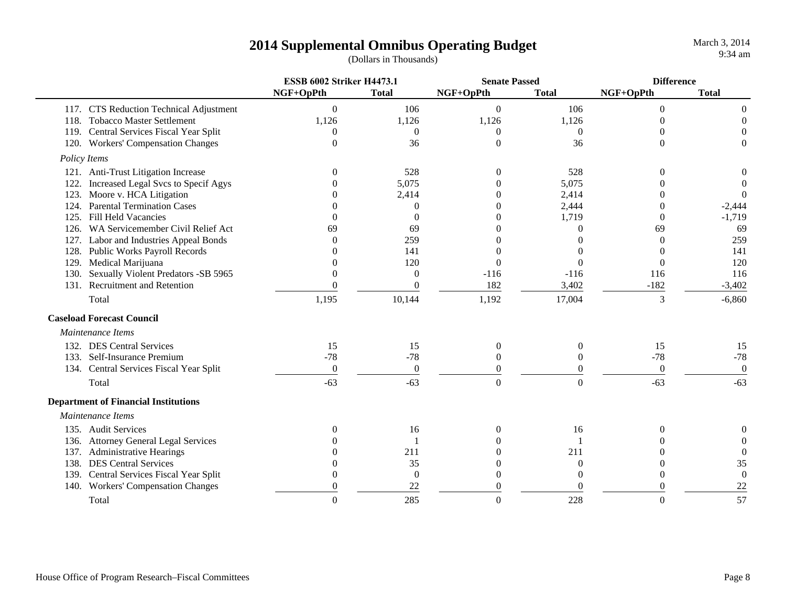|      |                                             | <b>ESSB 6002 Striker H4473.1</b> |                  | <b>Senate Passed</b> |                  | <b>Difference</b> |                  |
|------|---------------------------------------------|----------------------------------|------------------|----------------------|------------------|-------------------|------------------|
|      |                                             | NGF+OpPth                        | <b>Total</b>     | NGF+OpPth            | <b>Total</b>     | NGF+OpPth         | <b>Total</b>     |
|      | 117. CTS Reduction Technical Adjustment     | $\mathbf{0}$                     | 106              | $\overline{0}$       | 106              | $\overline{0}$    | 0                |
| 118. | <b>Tobacco Master Settlement</b>            | 1,126                            | 1,126            | 1,126                | 1,126            | 0                 | $\theta$         |
|      | 119. Central Services Fiscal Year Split     | $\mathbf{0}$                     | $\theta$         | $\theta$             | $\mathbf{0}$     | 0                 |                  |
|      | 120. Workers' Compensation Changes          | $\overline{0}$                   | 36               | $\overline{0}$       | 36               | $\theta$          | $\Omega$         |
|      | Policy Items                                |                                  |                  |                      |                  |                   |                  |
|      | 121. Anti-Trust Litigation Increase         | $\Omega$                         | 528              | $\Omega$             | 528              | $\theta$          |                  |
| 122. | Increased Legal Svcs to Specif Agys         |                                  | 5,075            |                      | 5,075            |                   | $\Omega$         |
| 123. | Moore v. HCA Litigation                     |                                  | 2,414            |                      | 2,414            |                   | $\theta$         |
| 124. | <b>Parental Termination Cases</b>           |                                  | $\Omega$         | $\Omega$             | 2,444            |                   | $-2,444$         |
| 125. | <b>Fill Held Vacancies</b>                  | $\Omega$                         | $\Omega$         | $\Omega$             | 1,719            | $\theta$          | $-1,719$         |
| 126. | WA Servicemember Civil Relief Act           | 69                               | 69               |                      | 0                | 69                | 69               |
| 127. | Labor and Industries Appeal Bonds           | $\Omega$                         | 259              |                      | 0                | $\theta$          | 259              |
| 128. | Public Works Payroll Records                | ∩                                | 141              |                      | 0                | 0                 | 141              |
| 129. | Medical Marijuana                           | 0                                | 120              | $\overline{0}$       | $\Omega$         | $\overline{0}$    | 120              |
| 130. | Sexually Violent Predators -SB 5965         | $\theta$                         | $\boldsymbol{0}$ | $-116$               | $-116$           | 116               | 116              |
| 131. | <b>Recruitment and Retention</b>            | $\Omega$                         | $\overline{0}$   | 182                  | 3,402            | $-182$            | $-3,402$         |
|      | Total                                       | 1,195                            | 10,144           | 1,192                | 17,004           | 3                 | $-6,860$         |
|      | <b>Caseload Forecast Council</b>            |                                  |                  |                      |                  |                   |                  |
|      | Maintenance Items                           |                                  |                  |                      |                  |                   |                  |
|      | 132. DES Central Services                   | 15                               | 15               | $\boldsymbol{0}$     | $\boldsymbol{0}$ | 15                | 15               |
|      | 133. Self-Insurance Premium                 | $-78$                            | $-78$            | 0                    | $\overline{0}$   | $-78$             | $-78$            |
|      | 134. Central Services Fiscal Year Split     | $\mathbf{0}$                     | $\mathbf{0}$     | $\overline{0}$       | $\overline{0}$   | $\boldsymbol{0}$  | $\mathbf{0}$     |
|      | Total                                       | $-63$                            | $-63$            | $\mathbf{0}$         | $\Omega$         | $-63$             | $-63$            |
|      | <b>Department of Financial Institutions</b> |                                  |                  |                      |                  |                   |                  |
|      | Maintenance Items                           |                                  |                  |                      |                  |                   |                  |
|      | 135. Audit Services                         | $\Omega$                         | 16               |                      | 16               | 0                 | 0                |
|      | 136. Attorney General Legal Services        |                                  |                  |                      |                  |                   | $\Omega$         |
| 137. | Administrative Hearings                     |                                  | 211              |                      | 211              |                   | $\overline{0}$   |
| 138. | <b>DES Central Services</b>                 |                                  | 35               |                      | 0                |                   | 35               |
| 139. | Central Services Fiscal Year Split          | $\Omega$                         | $\overline{0}$   |                      | $\theta$         | 0                 | $\boldsymbol{0}$ |
| 140. | <b>Workers' Compensation Changes</b>        | $\Omega$                         | 22               |                      | 0                | 0                 | 22               |
|      | Total                                       | $\overline{0}$                   | 285              | $\overline{0}$       | 228              | $\overline{0}$    | 57               |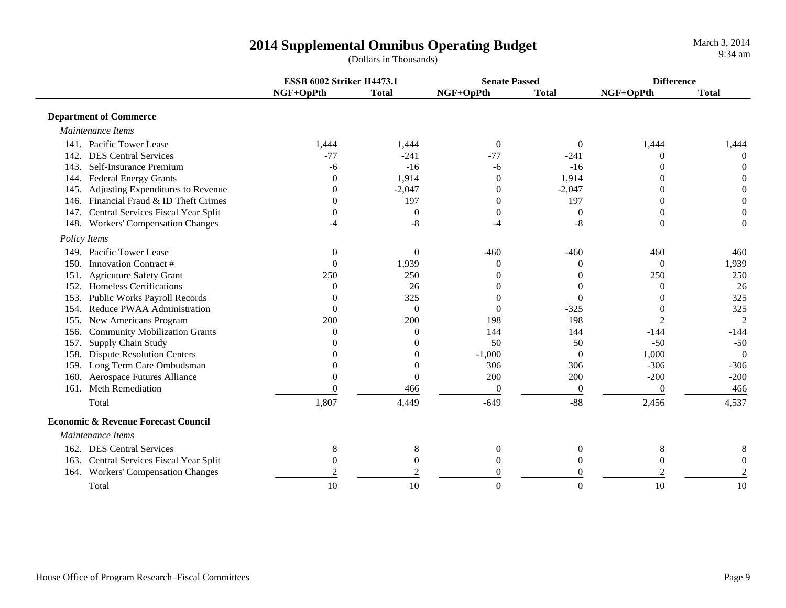**ESSB 6002 Striker H4473.1 Senate Passed DifferenceNGF+OpPth Total NGF+OpPth Total NGF+OpPth Total Department of Commerce**  *Maintenance Items*141. Pacific Tower Lease 1,444 1,444 0 0 1,444 1,444 142. DES Central Services $\sim$  5  $-7$   $-241$   $-77$   $-241$   $0$  0 143. Self-Insurance Premiumm and the set of  $-6$  -16  $-6$  -16  $-16$  0 0 144. Federal Energy Grants 0 1,914 0 1,914 0 0 145. Adjusting Expenditures to Revenue  $0$   $-2,047$   $0$   $-2,047$   $0$   $0$ 146. Financial Fraud & ID Theft Crimes $\mathbf{s}$  0  $197$  0 197 0 0 147. Central Services Fiscal Year Split  $\begin{pmatrix} 0 & 0 & 0 \\ 0 & 0 & 0 \end{pmatrix}$  (and 147. Central Services Fiscal Year Split 148. Workers' Compensation Changes -4 -8 -4 -8 0 0  *Policy Items* 149. Pacific Tower Leasee and  $\sim$  0 0 0 -460 -460 -460 460 460 150. Innovation Contract # 0 1,939 0 0 0 1,939 151. Agricuture Safety Grant 250 250 0 0 250 250 152. Homeless Certificationss and  $\sim 0$  $0 \t 26 \t 0 \t 0 \t 0 \t 0 \t 26$ 153. Public Works Payroll Records 0 325 0 0 0 325 154. Reduce PWAA Administrationn 0 0 0 0 -325 0 325 155. New Americans Program 200 200 198 198 2 2 156. Community Mobilization Grants 0 0 0 144 144 -144 -144 -144 157. Supply Chain Study 157. Supply Chain Study 157. Supply Chain Study 158. Dispute Resolution Centers 158. 20  $\frac{0}{0}$  1.000  $\frac{50}{0}$  1.000  $\frac{50}{0}$  1.000  $\frac{0}{0}$ 158. Dispute Resolution Centers 0 0 -1,000 0 1,000 0 159. Long Term Care Ombudsman and the control of the control of the control of the control of the control of the control of the control of the control of the control of the control of the control of the control of the cont 160. Aerospace Futures Alliance  $0$  0  $200$  200  $-200$  -200  $-200$ 161. Meth Remediationn 2006 0 2006 0 0 0 0 466 Total1,807 -649 -649 -88 2,456 4,537  **Economic & Revenue Forecast Council** *Maintenance Items*162. DES Central Services $\begin{array}{ccccccccccc}\ns & & & & 8 & & 8 & & 0 & & 0 & & 8 & & 8\n\end{array}$ 163. Central Services Fiscal Year Split  $\begin{array}{ccc} 0 & 0 & 0 & 0 \end{array}$ 164. Workers' Compensation Changes  $\frac{2}{2}$   $\frac{2}{2}$   $\frac{0}{2}$   $\frac{0}{2}$   $\frac{2}{2}$   $\frac{2}{2}$ Total $1$  and  $10$ 0 0 0 10 10 10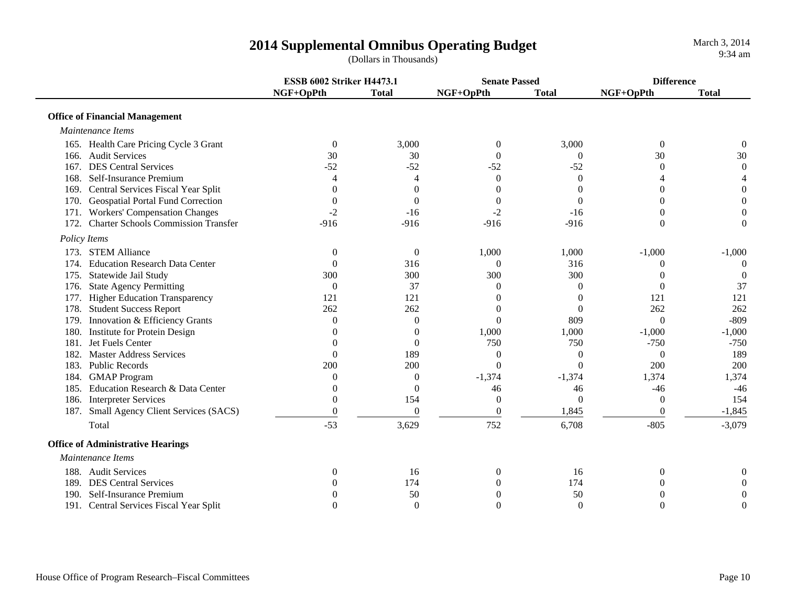**ESSB 6002 Striker H4473.1 Senate Passed DifferenceNGF+OpPth Total NGF+OpPth Total NGF+OpPth Total Office of Financial Management**  *Maintenance Items*165. Health Care Pricing Cycle 3 Grant 0 3,000 0 3,000 0 0 166. Audit Services $\sim$  30  $\begin{array}{ccccccc} 0 & 30 & 0 & 0 & 30 & 30 \end{array}$ 167. DES Central Services $\sim$  52 2  $-52$   $-52$   $-52$   $-52$  0 0 168. Self-Insurance Premiumm 4444000 444 169. Central Services Fiscal Year Split  $\begin{array}{ccc} 0 & 0 & 0 & 0 \end{array}$ 170. Geospatial Portal Fund Correction 000000 171. Workers' Compensation Changes  $\begin{array}{ccc} -2 & -16 & -2 & -16 \end{array}$  -16 0 0 172. Charter Schools Commission Transfer -916 -916 -916 -916 0 0  *Policy Items* 173. STEM Alliancee and  $\sim 0$ 0  $0$  1,000  $1,000$   $1,000$   $-1,000$   $-1,000$ 174. Education Research Data Centerr 0 0 316 0 316 0 0 175. Statewide Jail Study 1975. Statewide Jail Study 1975. Statewide Jail Study 1975. Statewide Jail Study 197 176. State Agency Permitting and the control of the control of the control of the control of the control of the control of the control of the control of the control of the control of the control of the control of the contr 177. Higher Education Transparency 121 121 121 0 0 121 121 121 178. Student Success Report 262 262 262 262 0 0 262 262 262 179. Innovation & Efficiency Grants **0** 0 0 0 809 0 -809 180. Institute for Protein Design and the contract of the contract of the contract of the contract of the contract of the contract of the contract of the contract of the contract of the contract of the contract of the cont 181. Jet Fuels Center $\Gamma$  0 0 0 750 750 -750 -750 -750 182. Master Address Servicess and  $\sim 0$  189 0 0 0 189 183. Public Records $\sim 200$  200 0 0 200 200 184. GMAP Program 1.374 1.374 1.374 1.374 1.374 1.374 185. Education Research & Data Center $\mathbf r = 0$ 0 6 -46 -46 -46 -46 -46 -46 186. Interpreter Services **154** 0 0 0 154<br>187. Small Agency Client Services (SACS) 0 0 0 0 0 0 1.845 0 1.845 187. Small Agency Client Services (SACS)  $0$  0 0  $1,845$  0  $-1,845$  0  $-1,845$ Total -533,629 752 6,708 -805 -3,079  **Office of Administrative Hearings**  *Maintenance Items*188. Audit Servicess and  $\sim 0$ 0 16 0 16 0 0 0 189. DES Central Servicess and  $\sim 0$ 0 174 0 174 0 0 190. Self-Insurance Premiumm and the  $\begin{array}{ccccccc} 0 & 50 & 0 & 50 & 0 \end{array}$ 191. Central Services Fiscal Year Split  $\begin{array}{ccc} 0 & 0 & 0 & 0 \end{array}$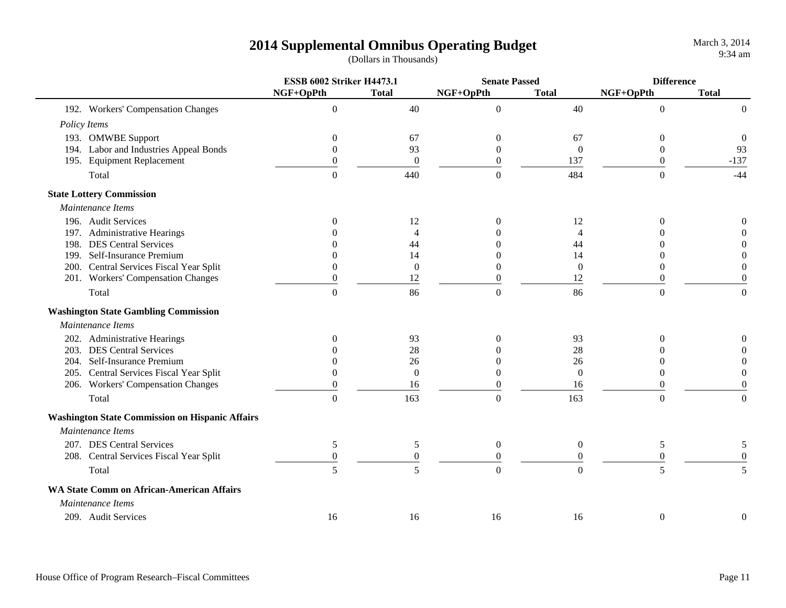|                                                        | <b>ESSB 6002 Striker H4473.1</b> |                  | <b>Senate Passed</b> |                  | <b>Difference</b> |                  |
|--------------------------------------------------------|----------------------------------|------------------|----------------------|------------------|-------------------|------------------|
|                                                        | NGF+OpPth                        | <b>Total</b>     | NGF+OpPth            | <b>Total</b>     | NGF+OpPth         | <b>Total</b>     |
| 192. Workers' Compensation Changes                     | $\overline{0}$                   | 40               | $\boldsymbol{0}$     | 40               | $\mathbf{0}$      | $\overline{0}$   |
| Policy Items                                           |                                  |                  |                      |                  |                   |                  |
| 193. OMWBE Support                                     | $\boldsymbol{0}$                 | 67               | $\theta$             | 67               | $\boldsymbol{0}$  | $\overline{0}$   |
| 194. Labor and Industries Appeal Bonds                 | $\theta$                         | 93               | $\overline{0}$       | $\mathbf{0}$     | $\overline{0}$    | 93               |
| 195. Equipment Replacement                             | $\boldsymbol{0}$                 | $\boldsymbol{0}$ | $\overline{0}$       | 137              | $\mathbf{0}$      | $-137$           |
| Total                                                  | $\overline{0}$                   | 440              | $\mathbf{0}$         | 484              | $\overline{0}$    | $-44$            |
| <b>State Lottery Commission</b>                        |                                  |                  |                      |                  |                   |                  |
| Maintenance Items                                      |                                  |                  |                      |                  |                   |                  |
| 196. Audit Services                                    | $\Omega$                         | 12               | $\Omega$             | 12               | $\boldsymbol{0}$  | 0                |
| 197. Administrative Hearings                           |                                  | $\overline{4}$   |                      | 4                | 0                 | $\Omega$         |
| 198. DES Central Services                              |                                  | 44               |                      | 44               | 0                 | 0                |
| 199. Self-Insurance Premium                            |                                  | 14               |                      | 14               | $\theta$          | $\theta$         |
| 200. Central Services Fiscal Year Split                | $\theta$                         | $\Omega$         | $\mathbf{0}$         | $\mathbf{0}$     | $\mathbf{0}$      | $\boldsymbol{0}$ |
| 201. Workers' Compensation Changes                     | $\boldsymbol{0}$                 | 12               | $\boldsymbol{0}$     | 12               | $\boldsymbol{0}$  | $\boldsymbol{0}$ |
| Total                                                  | $\overline{0}$                   | 86               | $\boldsymbol{0}$     | 86               | $\boldsymbol{0}$  | $\boldsymbol{0}$ |
| <b>Washington State Gambling Commission</b>            |                                  |                  |                      |                  |                   |                  |
| Maintenance Items                                      |                                  |                  |                      |                  |                   |                  |
| 202. Administrative Hearings                           | $\theta$                         | 93               | $\Omega$             | 93               | $\Omega$          | 0                |
| 203. DES Central Services                              |                                  | 28               |                      | 28               | 0                 | $\Omega$         |
| 204. Self-Insurance Premium                            | $\Omega$                         | 26               |                      | 26               | 0                 | $\theta$         |
| 205. Central Services Fiscal Year Split                | $\theta$                         | $\overline{0}$   | 0                    | $\boldsymbol{0}$ | $\mathbf{0}$      | $\boldsymbol{0}$ |
| 206. Workers' Compensation Changes                     | $\theta$                         | 16               | $\theta$             | 16               | 0                 | $\overline{0}$   |
| Total                                                  | $\overline{0}$                   | 163              | $\boldsymbol{0}$     | 163              | $\overline{0}$    | $\mathbf{0}$     |
| <b>Washington State Commission on Hispanic Affairs</b> |                                  |                  |                      |                  |                   |                  |
| Maintenance Items                                      |                                  |                  |                      |                  |                   |                  |
| 207. DES Central Services                              | 5                                | 5                | $\overline{0}$       | $\overline{0}$   | 5                 | 5                |
| 208. Central Services Fiscal Year Split                | $\boldsymbol{0}$                 | $\boldsymbol{0}$ | $\boldsymbol{0}$     | $\overline{0}$   | $\boldsymbol{0}$  | $\boldsymbol{0}$ |
| Total                                                  | 5                                | 5                | $\theta$             | $\theta$         | 5                 | $\overline{5}$   |
| <b>WA State Comm on African-American Affairs</b>       |                                  |                  |                      |                  |                   |                  |
| Maintenance Items                                      |                                  |                  |                      |                  |                   |                  |
| 209. Audit Services                                    | 16                               | 16               | 16                   | 16               | $\boldsymbol{0}$  | 0                |
|                                                        |                                  |                  |                      |                  |                   |                  |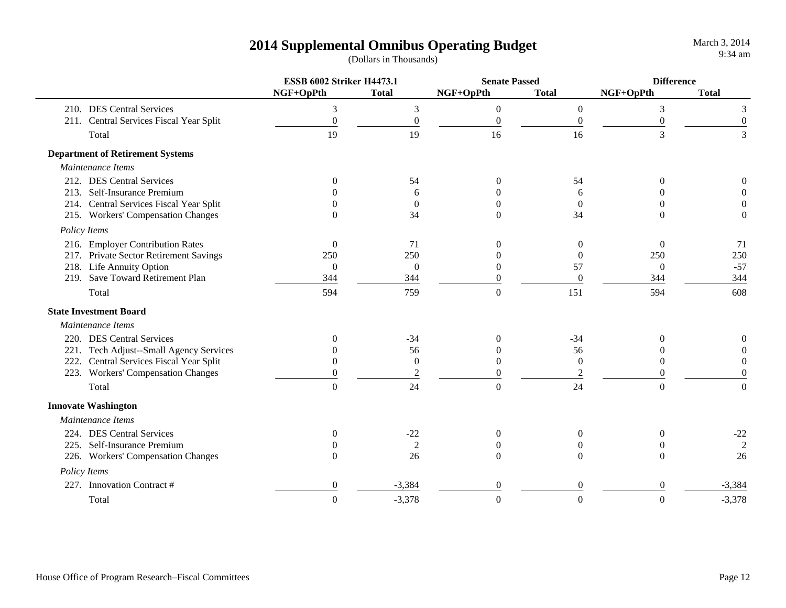|                               |                                         | <b>ESSB 6002 Striker H4473.1</b> |                  | <b>Senate Passed</b> |                  | <b>Difference</b> |                  |
|-------------------------------|-----------------------------------------|----------------------------------|------------------|----------------------|------------------|-------------------|------------------|
|                               |                                         | NGF+OpPth                        | <b>Total</b>     | NGF+OpPth            | <b>Total</b>     | NGF+OpPth         | <b>Total</b>     |
|                               | 210. DES Central Services               | 3                                | $\mathfrak{Z}$   | $\boldsymbol{0}$     | $\boldsymbol{0}$ | $\mathfrak{Z}$    | 3                |
|                               | 211. Central Services Fiscal Year Split | $\boldsymbol{0}$                 | $\boldsymbol{0}$ | $\boldsymbol{0}$     | $\boldsymbol{0}$ | $\boldsymbol{0}$  | $\boldsymbol{0}$ |
| Total                         |                                         | 19                               | 19               | 16                   | 16               | 3                 | 3                |
|                               | <b>Department of Retirement Systems</b> |                                  |                  |                      |                  |                   |                  |
| Maintenance Items             |                                         |                                  |                  |                      |                  |                   |                  |
|                               | 212. DES Central Services               | $\Omega$                         | 54               | $\theta$             | 54               | $\Omega$          | 0                |
|                               | 213. Self-Insurance Premium             |                                  | 6                | 0                    | 6                | $\Omega$          | $\Omega$         |
|                               | 214. Central Services Fiscal Year Split |                                  | $\overline{0}$   | $\Omega$             | $\Omega$         | $\Omega$          | $\Omega$         |
|                               | 215. Workers' Compensation Changes      | $\Omega$                         | 34               | $\Omega$             | 34               | $\Omega$          | $\theta$         |
| Policy Items                  |                                         |                                  |                  |                      |                  |                   |                  |
|                               | 216. Employer Contribution Rates        | $\theta$                         | 71               | $\theta$             | $\theta$         | $\theta$          | 71               |
|                               | 217. Private Sector Retirement Savings  | 250                              | 250              | 0                    | $\Omega$         | 250               | 250              |
|                               | 218. Life Annuity Option                | $\theta$                         | $\Omega$         | $\Omega$             | 57               | $\overline{0}$    | $-57$            |
|                               | 219. Save Toward Retirement Plan        | 344                              | 344              | $\Omega$             | $\Omega$         | 344               | 344              |
| Total                         |                                         | 594                              | 759              | $\boldsymbol{0}$     | 151              | 594               | 608              |
| <b>State Investment Board</b> |                                         |                                  |                  |                      |                  |                   |                  |
| Maintenance Items             |                                         |                                  |                  |                      |                  |                   |                  |
|                               | 220. DES Central Services               | $\Omega$                         | $-34$            | $\Omega$             | $-34$            | $\Omega$          | $\Omega$         |
|                               | 221. Tech Adjust--Small Agency Services |                                  | 56               | $\Omega$             | 56               | $\theta$          | $\Omega$         |
|                               | 222. Central Services Fiscal Year Split |                                  | $\boldsymbol{0}$ | $\theta$             | $\mathbf{0}$     | $\theta$          | $\theta$         |
|                               | 223. Workers' Compensation Changes      | $\theta$                         | $\sqrt{2}$       | $\mathbf{0}$         | $\overline{c}$   | $\theta$          | $\theta$         |
| Total                         |                                         | $\Omega$                         | 24               | $\overline{0}$       | 24               | $\Omega$          | $\Omega$         |
| <b>Innovate Washington</b>    |                                         |                                  |                  |                      |                  |                   |                  |
| Maintenance Items             |                                         |                                  |                  |                      |                  |                   |                  |
|                               | 224. DES Central Services               | $\Omega$                         | $-22$            | $\boldsymbol{0}$     | $\mathbf{0}$     | $\theta$          | $-22$            |
|                               | 225. Self-Insurance Premium             |                                  | $\overline{2}$   | $\Omega$             | 0                | 0                 | $\overline{2}$   |
|                               | 226. Workers' Compensation Changes      | $\Omega$                         | 26               | $\Omega$             | $\Omega$         | $\Omega$          | 26               |
| Policy Items                  |                                         |                                  |                  |                      |                  |                   |                  |
|                               | 227. Innovation Contract #              | 0                                | $-3,384$         | $\mathbf{0}$         | $\overline{0}$   | $\theta$          | $-3,384$         |
| Total                         |                                         | $\boldsymbol{0}$                 | $-3,378$         | $\mathbf{0}$         | $\boldsymbol{0}$ | $\overline{0}$    | $-3,378$         |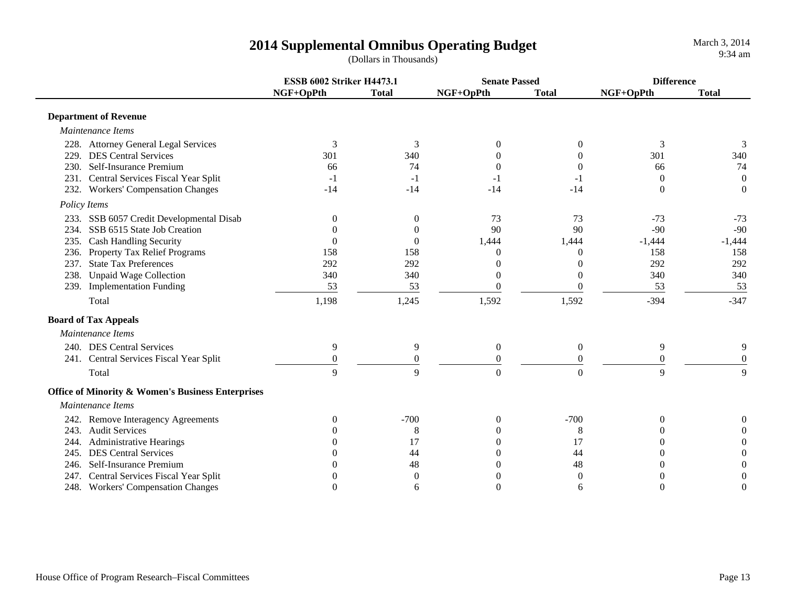|                                                              | <b>ESSB 6002 Striker H4473.1</b> |                  | <b>Senate Passed</b> |                  | <b>Difference</b> |                  |
|--------------------------------------------------------------|----------------------------------|------------------|----------------------|------------------|-------------------|------------------|
|                                                              | NGF+OpPth                        | <b>Total</b>     | NGF+OpPth            | <b>Total</b>     | NGF+OpPth         | <b>Total</b>     |
| <b>Department of Revenue</b>                                 |                                  |                  |                      |                  |                   |                  |
| Maintenance Items                                            |                                  |                  |                      |                  |                   |                  |
| 228. Attorney General Legal Services                         | 3                                | 3                | $\Omega$             | $\Omega$         | 3                 | 3                |
| <b>DES Central Services</b><br>229.                          | 301                              | 340              |                      |                  | 301               | 340              |
| 230. Self-Insurance Premium                                  | 66                               | 74               | $\theta$             |                  | 66                | 74               |
| 231. Central Services Fiscal Year Split                      | $-1$                             | $-1$             | $-1$                 | -1               | $\theta$          | $\boldsymbol{0}$ |
| 232. Workers' Compensation Changes                           | $-14$                            | $-14$            | $-14$                | $-14$            | $\Omega$          | $\Omega$         |
| Policy Items                                                 |                                  |                  |                      |                  |                   |                  |
| 233. SSB 6057 Credit Developmental Disab                     | $\theta$                         | $\Omega$         | 73                   | 73               | $-73$             | $-73$            |
| SSB 6515 State Job Creation<br>234.                          | $\Omega$                         | $\Omega$         | 90                   | 90               | $-90$             | $-90$            |
| 235. Cash Handling Security                                  | $\overline{0}$                   | $\Omega$         | 1,444                | 1,444            | $-1,444$          | $-1,444$         |
| Property Tax Relief Programs<br>236.                         | 158                              | 158              | $\Omega$             | $\Omega$         | 158               | 158              |
| 237. State Tax Preferences                                   | 292                              | 292              | $\theta$             | $\theta$         | 292               | 292              |
| 238. Unpaid Wage Collection                                  | 340                              | 340              | $\theta$             | $\theta$         | 340               | 340              |
| 239. Implementation Funding                                  | 53                               | 53               | $\Omega$             | 0                | 53                | 53               |
| Total                                                        | 1,198                            | 1,245            | 1,592                | 1,592            | $-394$            | $-347$           |
| <b>Board of Tax Appeals</b>                                  |                                  |                  |                      |                  |                   |                  |
| Maintenance Items                                            |                                  |                  |                      |                  |                   |                  |
| 240. DES Central Services                                    | 9                                | 9                | $\boldsymbol{0}$     | $\theta$         | 9                 | 9                |
| 241. Central Services Fiscal Year Split                      | $\overline{0}$                   | $\boldsymbol{0}$ | $\boldsymbol{0}$     | $\boldsymbol{0}$ | $\boldsymbol{0}$  | $\overline{0}$   |
| Total                                                        | 9                                | 9                | $\overline{0}$       | $\Omega$         | 9                 | 9                |
| <b>Office of Minority &amp; Women's Business Enterprises</b> |                                  |                  |                      |                  |                   |                  |
| Maintenance Items                                            |                                  |                  |                      |                  |                   |                  |
| 242. Remove Interagency Agreements                           | $\Omega$                         | $-700$           | $\theta$             | $-700$           | $\Omega$          | 0                |
| 243. Audit Services                                          | $\Omega$                         | 8                | $\Omega$             | 8                | 0                 | $\overline{0}$   |
| <b>Administrative Hearings</b><br>244.                       |                                  | 17               | $\Omega$             | 17               | 0                 | $\overline{0}$   |
| <b>DES Central Services</b><br>245.                          |                                  | 44               | $\Omega$             | 44               | 0                 | $\overline{0}$   |
| Self-Insurance Premium<br>246.                               |                                  | 48               | $\theta$             | 48               | 0                 | $\overline{0}$   |
| Central Services Fiscal Year Split<br>247.                   |                                  | $\overline{0}$   |                      | $\overline{0}$   | 0                 | $\boldsymbol{0}$ |
| 248. Workers' Compensation Changes                           | $\theta$                         | 6                | $\boldsymbol{0}$     | 6                | $\Omega$          | 0                |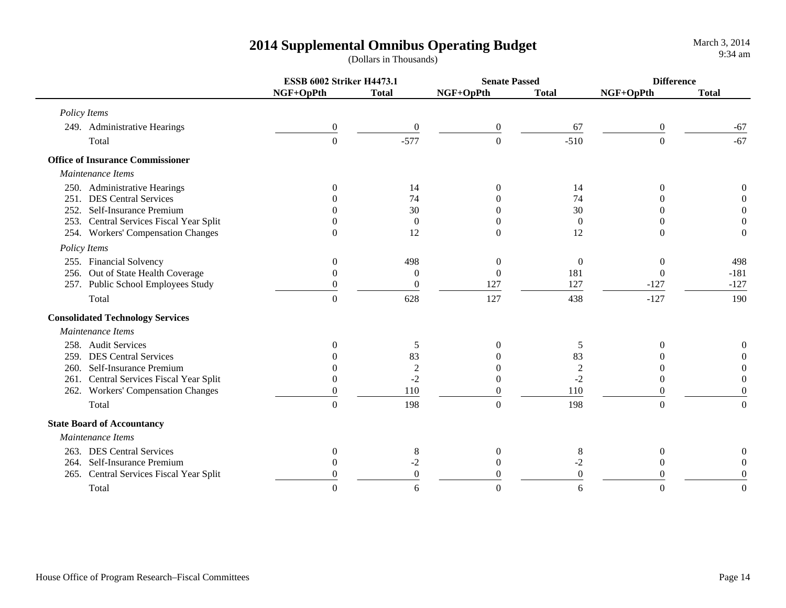|                                         | <b>ESSB 6002 Striker H4473.1</b> |                  | <b>Senate Passed</b> |              | <b>Difference</b> |                  |
|-----------------------------------------|----------------------------------|------------------|----------------------|--------------|-------------------|------------------|
|                                         | NGF+OpPth                        | <b>Total</b>     | NGF+OpPth            | <b>Total</b> | NGF+OpPth         | <b>Total</b>     |
| Policy Items                            |                                  |                  |                      |              |                   |                  |
| 249. Administrative Hearings            | $\boldsymbol{0}$                 | $\boldsymbol{0}$ | $\boldsymbol{0}$     | 67           | $\boldsymbol{0}$  | $-67$            |
| Total                                   | $\boldsymbol{0}$                 | $-577$           | $\boldsymbol{0}$     | $-510$       | $\theta$          | $-67$            |
| <b>Office of Insurance Commissioner</b> |                                  |                  |                      |              |                   |                  |
| Maintenance Items                       |                                  |                  |                      |              |                   |                  |
| 250. Administrative Hearings            | $\Omega$                         | 14               | $\Omega$             | 14           | $\Omega$          | $\Omega$         |
| 251. DES Central Services               |                                  | 74               |                      | 74           |                   | $\Omega$         |
| 252. Self-Insurance Premium             |                                  | 30               | Ω                    | 30           |                   | $\theta$         |
| 253. Central Services Fiscal Year Split |                                  | $\overline{0}$   | 0                    | $\Omega$     |                   | $\boldsymbol{0}$ |
| 254. Workers' Compensation Changes      | $\Omega$                         | 12               | $\theta$             | 12           | $\Omega$          | $\boldsymbol{0}$ |
| Policy Items                            |                                  |                  |                      |              |                   |                  |
| 255. Financial Solvency                 | $\Omega$                         | 498              | $\mathbf{0}$         | $\mathbf{0}$ | $\Omega$          | 498              |
| 256. Out of State Health Coverage       | $\Omega$                         | $\overline{0}$   | $\mathbf{0}$         | 181          | $\Omega$          | $-181$           |
| 257. Public School Employees Study      | $\Omega$                         | $\overline{0}$   | 127                  | 127          | $-127$            | $-127$           |
| Total                                   | $\theta$                         | 628              | 127                  | 438          | $-127$            | 190              |
| <b>Consolidated Technology Services</b> |                                  |                  |                      |              |                   |                  |
| Maintenance Items                       |                                  |                  |                      |              |                   |                  |
| 258. Audit Services                     | $\Omega$                         | 5                | $\Omega$             | 5            | $\Omega$          | $\boldsymbol{0}$ |
| 259. DES Central Services               |                                  | 83               |                      | 83           |                   | $\overline{0}$   |
| 260. Self-Insurance Premium             |                                  | $\boldsymbol{2}$ |                      | $\sqrt{2}$   |                   | 0                |
| 261. Central Services Fiscal Year Split |                                  | $-2$             | $\theta$             | $-2$         | 0                 | $\theta$         |
| 262. Workers' Compensation Changes      |                                  | 110              | $\theta$             | 110          | 0                 | $\theta$         |
| Total                                   | $\theta$                         | 198              | $\boldsymbol{0}$     | 198          | $\theta$          | $\theta$         |
| <b>State Board of Accountancy</b>       |                                  |                  |                      |              |                   |                  |
| Maintenance Items                       |                                  |                  |                      |              |                   |                  |
| 263. DES Central Services               | $\theta$                         | 8                | $\boldsymbol{0}$     | 8            | $\boldsymbol{0}$  | $\boldsymbol{0}$ |
| 264. Self-Insurance Premium             | $\Omega$                         | $-2$             | $\theta$             | $-2$         | $\theta$          | $\theta$         |
| 265. Central Services Fiscal Year Split |                                  | $\theta$         | 0                    | $\theta$     |                   | $\Omega$         |
| Total                                   |                                  | 6                | $\Omega$             | 6            | $\Omega$          | $\Omega$         |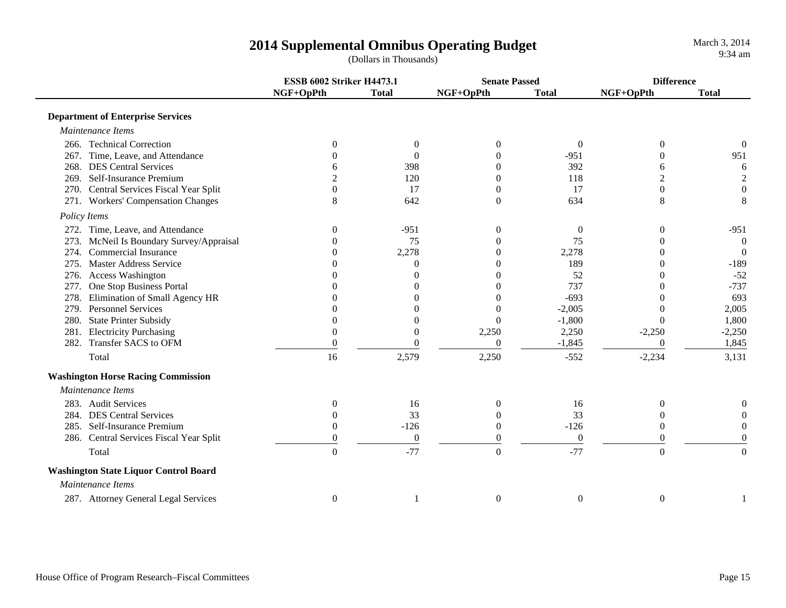|                                              | <b>ESSB 6002 Striker H4473.1</b> |                | <b>Senate Passed</b> |                  | <b>Difference</b> |                  |
|----------------------------------------------|----------------------------------|----------------|----------------------|------------------|-------------------|------------------|
|                                              | NGF+OpPth                        | <b>Total</b>   | NGF+OpPth            | <b>Total</b>     | NGF+OpPth         | <b>Total</b>     |
| <b>Department of Enterprise Services</b>     |                                  |                |                      |                  |                   |                  |
| Maintenance Items                            |                                  |                |                      |                  |                   |                  |
| 266. Technical Correction                    | $\Omega$                         | $\theta$       | $\theta$             | $\theta$         | $\overline{0}$    | $\theta$         |
| 267. Time, Leave, and Attendance             | $\Omega$                         | $\Omega$       | $\Omega$             | $-951$           | $\Omega$          | 951              |
| 268. DES Central Services                    |                                  | 398            | $\Omega$             | 392              | 6                 | 6                |
| Self-Insurance Premium<br>269.               |                                  | 120            | $\theta$             | 118              | 2                 | $\sqrt{2}$       |
| 270. Central Services Fiscal Year Split      | $\theta$                         | 17             | $\theta$             | 17               | $\mathbf{0}$      | $\boldsymbol{0}$ |
| 271. Workers' Compensation Changes           | 8                                | 642            | $\boldsymbol{0}$     | 634              | $8\,$             | $\,8\,$          |
| Policy Items                                 |                                  |                |                      |                  |                   |                  |
| 272. Time, Leave, and Attendance             | 0                                | $-951$         | $\boldsymbol{0}$     | $\boldsymbol{0}$ | $\overline{0}$    | $-951$           |
| McNeil Is Boundary Survey/Appraisal<br>273.  | 0                                | 75             | $\theta$             | 75               | 0                 | $\overline{0}$   |
| Commercial Insurance<br>274.                 |                                  | 2,278          | $\theta$             | 2,278            | 0                 | $\overline{0}$   |
| <b>Master Address Service</b><br>275.        |                                  | $\Omega$       | 0                    | 189              | 0                 | $-189$           |
| 276. Access Washington                       |                                  | $\theta$       | $\theta$             | 52               | 0                 | $-52$            |
| One Stop Business Portal<br>277.             |                                  | 0              |                      | 737              | $\theta$          | $-737$           |
| Elimination of Small Agency HR<br>278.       |                                  |                | $\Omega$             | $-693$           | 0                 | 693              |
| 279. Personnel Services                      |                                  |                | $\theta$             | $-2,005$         | $\theta$          | 2,005            |
| <b>State Printer Subsidy</b><br>280.         |                                  | $\overline{0}$ | $\Omega$             | $-1,800$         | $\Omega$          | 1,800            |
| 281. Electricity Purchasing                  | $\overline{0}$                   | $\Omega$       | 2,250                | 2,250            | $-2,250$          | $-2,250$         |
| 282. Transfer SACS to OFM                    | $\overline{0}$                   | $\Omega$       | $\boldsymbol{0}$     | $-1,845$         | $\theta$          | 1,845            |
| Total                                        | 16                               | 2,579          | 2,250                | $-552$           | $-2,234$          | 3,131            |
| <b>Washington Horse Racing Commission</b>    |                                  |                |                      |                  |                   |                  |
| Maintenance Items                            |                                  |                |                      |                  |                   |                  |
| 283. Audit Services                          | 0                                | 16             | $\theta$             | 16               | $\theta$          | 0                |
| <b>DES Central Services</b><br>284.          | $\Omega$                         | 33             | $\Omega$             | 33               | $\theta$          | $\theta$         |
| Self-Insurance Premium<br>285.               | $\theta$                         | $-126$         | $\mathbf{0}$         | $-126$           | $\Omega$          | $\overline{0}$   |
| 286. Central Services Fiscal Year Split      | $\theta$                         | $\mathbf{0}$   | $\boldsymbol{0}$     | $\boldsymbol{0}$ | $\mathbf{0}$      | $\boldsymbol{0}$ |
| Total                                        | $\overline{0}$                   | $-77$          | $\overline{0}$       | $-77$            | $\overline{0}$    | $\boldsymbol{0}$ |
| <b>Washington State Liquor Control Board</b> |                                  |                |                      |                  |                   |                  |
| Maintenance Items                            |                                  |                |                      |                  |                   |                  |
| 287. Attorney General Legal Services         | $\boldsymbol{0}$                 |                | $\boldsymbol{0}$     | $\boldsymbol{0}$ | $\boldsymbol{0}$  |                  |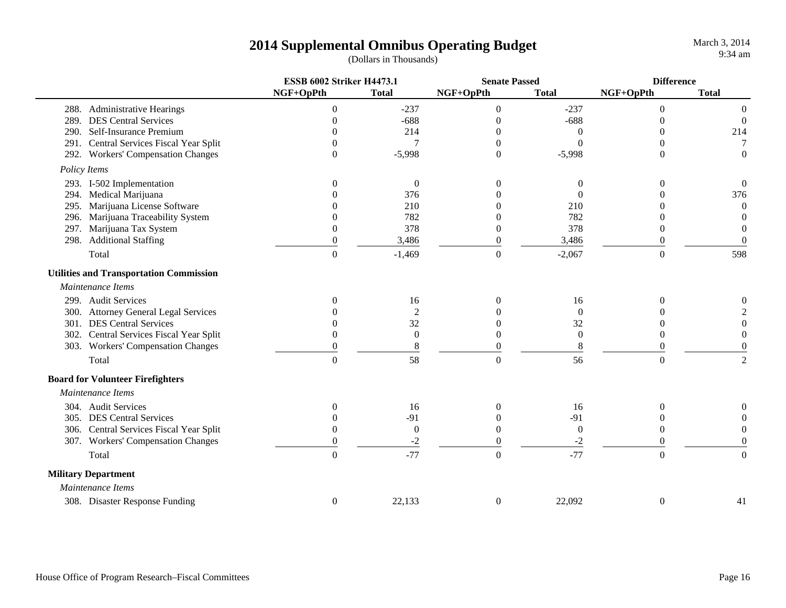|      |                                                | <b>ESSB 6002 Striker H4473.1</b> |                | <b>Senate Passed</b> |                  | <b>Difference</b> |                   |
|------|------------------------------------------------|----------------------------------|----------------|----------------------|------------------|-------------------|-------------------|
|      |                                                | NGF+OpPth                        | <b>Total</b>   | NGF+OpPth            | <b>Total</b>     | NGF+OpPth         | <b>Total</b>      |
|      | 288. Administrative Hearings                   | $\boldsymbol{0}$                 | $-237$         | $\boldsymbol{0}$     | $-237$           | $\theta$          | $\theta$          |
| 289. | <b>DES Central Services</b>                    | $\Omega$                         | $-688$         | $\theta$             | $-688$           | $\theta$          | $\overline{0}$    |
| 290. | Self-Insurance Premium                         | 0                                | 214            | 0                    | 0                | $\theta$          | 214               |
|      | 291. Central Services Fiscal Year Split        | $\Omega$                         | $\overline{7}$ | $\Omega$             | $\Omega$         | $\theta$          | 7                 |
|      | 292. Workers' Compensation Changes             | $\Omega$                         | $-5,998$       | $\overline{0}$       | $-5,998$         | $\theta$          | $\overline{0}$    |
|      | Policy Items                                   |                                  |                |                      |                  |                   |                   |
|      | 293. I-502 Implementation                      | $\theta$                         | $\overline{0}$ | $\Omega$             | 0                | 0                 | $\boldsymbol{0}$  |
|      | 294. Medical Marijuana                         |                                  | 376            |                      | $\Omega$         |                   | 376               |
|      | 295. Marijuana License Software                |                                  | 210            |                      | 210              |                   | $\theta$          |
|      | 296. Marijuana Traceability System             |                                  | 782            |                      | 782              |                   | $\theta$          |
|      | 297. Marijuana Tax System                      | $\theta$                         | 378            | $\Omega$             | 378              | 0                 | $\mathbf{0}$      |
|      | 298. Additional Staffing                       | $\overline{0}$                   | 3,486          | $\mathbf{0}$         | 3,486            | 0                 | $\mathbf{0}$      |
|      | Total                                          | $\boldsymbol{0}$                 | $-1,469$       | $\boldsymbol{0}$     | $-2,067$         | $\boldsymbol{0}$  | 598               |
|      | <b>Utilities and Transportation Commission</b> |                                  |                |                      |                  |                   |                   |
|      | Maintenance Items                              |                                  |                |                      |                  |                   |                   |
|      | 299. Audit Services                            | 0                                | 16             |                      | 16               | 0                 |                   |
|      | 300. Attorney General Legal Services           |                                  | $\overline{2}$ |                      | $\theta$         |                   |                   |
|      | 301. DES Central Services                      |                                  | 32             |                      | 32               |                   | $\mathbf{\Omega}$ |
|      | 302. Central Services Fiscal Year Split        | 0                                | $\mathbf{0}$   |                      | $\boldsymbol{0}$ | 0                 | $\Omega$          |
|      | 303. Workers' Compensation Changes             | $\boldsymbol{0}$                 | 8              | 0                    | 8                | $\overline{0}$    | $\overline{0}$    |
|      | Total                                          | $\Omega$                         | 58             | $\overline{0}$       | 56               | $\Omega$          | $\overline{2}$    |
|      | <b>Board for Volunteer Firefighters</b>        |                                  |                |                      |                  |                   |                   |
|      | Maintenance Items                              |                                  |                |                      |                  |                   |                   |
|      | 304. Audit Services                            | $\Omega$                         | 16             | $\Omega$             | 16               | $\Omega$          | $\Omega$          |
|      | 305. DES Central Services                      | 0                                | $-91$          |                      | $-91$            | $\Omega$          | $\Omega$          |
|      | 306. Central Services Fiscal Year Split        | $\Omega$                         | $\overline{0}$ | 0                    | $\mathbf{0}$     | 0                 | 0                 |
|      | 307. Workers' Compensation Changes             | $\theta$                         | $-2$           | $\theta$             | $-2$             | $\Omega$          | $\theta$          |
|      | Total                                          | $\overline{0}$                   | $-77$          | $\boldsymbol{0}$     | $-77$            | $\boldsymbol{0}$  | $\boldsymbol{0}$  |
|      | <b>Military Department</b>                     |                                  |                |                      |                  |                   |                   |
|      | Maintenance Items                              |                                  |                |                      |                  |                   |                   |
|      | 308. Disaster Response Funding                 | $\boldsymbol{0}$                 | 22,133         | $\boldsymbol{0}$     | 22,092           | $\boldsymbol{0}$  | 41                |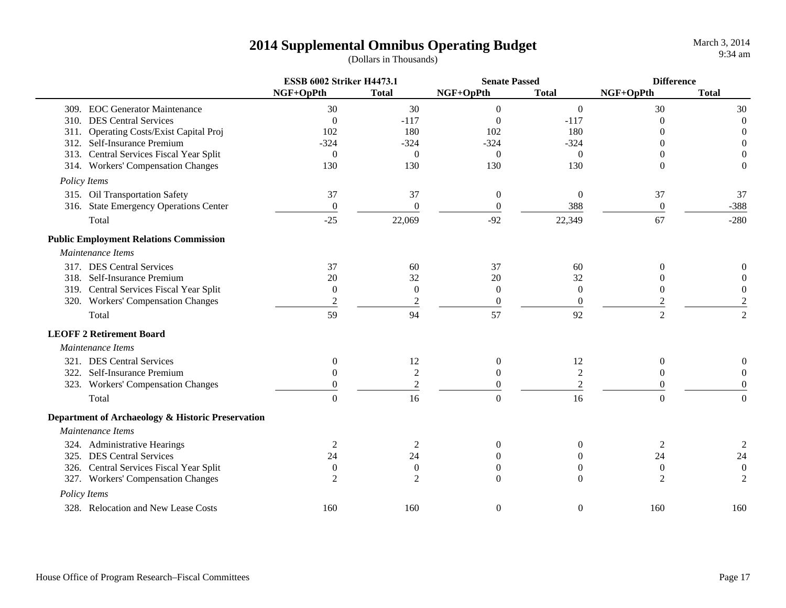March 3, 2014 9:34 am

|                                                   | <b>ESSB 6002 Striker H4473.1</b> |                  | <b>Senate Passed</b> |                  | <b>Difference</b> |                  |
|---------------------------------------------------|----------------------------------|------------------|----------------------|------------------|-------------------|------------------|
|                                                   | NGF+OpPth                        | <b>Total</b>     | NGF+OpPth            | <b>Total</b>     | NGF+OpPth         | <b>Total</b>     |
| 309. EOC Generator Maintenance                    | 30                               | 30               | $\boldsymbol{0}$     | $\mathbf{0}$     | 30                | 30               |
| 310. DES Central Services                         | $\mathbf{0}$                     | $-117$           | $\Omega$             | $-117$           | $\Omega$          | $\overline{0}$   |
| 311. Operating Costs/Exist Capital Proj           | 102                              | 180              | 102                  | 180              | 0                 | $\boldsymbol{0}$ |
| 312. Self-Insurance Premium                       | $-324$                           | $-324$           | $-324$               | $-324$           | 0                 | $\mathbf{0}$     |
| 313. Central Services Fiscal Year Split           | $\boldsymbol{0}$                 | $\theta$         | $\overline{0}$       | $\mathbf{0}$     | 0                 | $\theta$         |
| 314. Workers' Compensation Changes                | 130                              | 130              | 130                  | 130              | $\Omega$          | $\theta$         |
| Policy Items                                      |                                  |                  |                      |                  |                   |                  |
| 315. Oil Transportation Safety                    | 37                               | 37               | $\boldsymbol{0}$     | $\mathbf{0}$     | 37                | 37               |
| 316. State Emergency Operations Center            | $\mathbf{0}$                     | $\Omega$         | $\Omega$             | 388              | $\theta$          | $-388$           |
| Total                                             | $-25$                            | 22,069           | $-92$                | 22,349           | 67                | $-280$           |
| <b>Public Employment Relations Commission</b>     |                                  |                  |                      |                  |                   |                  |
| Maintenance Items                                 |                                  |                  |                      |                  |                   |                  |
| 317. DES Central Services                         | 37                               | 60               | 37                   | 60               | $\theta$          |                  |
| 318. Self-Insurance Premium                       | 20                               | 32               | 20                   | 32               | 0                 |                  |
| 319. Central Services Fiscal Year Split           | $\boldsymbol{0}$                 | $\boldsymbol{0}$ | $\boldsymbol{0}$     | $\overline{0}$   | $\overline{0}$    | $\boldsymbol{0}$ |
| 320. Workers' Compensation Changes                | $\overline{2}$                   | $\mathfrak{2}$   | $\boldsymbol{0}$     | $\boldsymbol{0}$ |                   | $\overline{2}$   |
| Total                                             | 59                               | 94               | 57                   | 92               | $\overline{2}$    | $\overline{2}$   |
| <b>LEOFF 2 Retirement Board</b>                   |                                  |                  |                      |                  |                   |                  |
| Maintenance Items                                 |                                  |                  |                      |                  |                   |                  |
| 321. DES Central Services                         | $\mathbf{0}$                     | 12               | $\boldsymbol{0}$     | 12               | $\boldsymbol{0}$  |                  |
| 322. Self-Insurance Premium                       | $\overline{0}$                   | $\mathfrak{2}$   | $\overline{0}$       | $\boldsymbol{2}$ | $\overline{0}$    | $\theta$         |
| 323. Workers' Compensation Changes                | $\overline{0}$                   | $\overline{2}$   | $\overline{0}$       | $\mathbf{2}$     | $\theta$          | $\theta$         |
| Total                                             | $\Omega$                         | 16               | $\Omega$             | 16               | $\theta$          | $\theta$         |
| Department of Archaeology & Historic Preservation |                                  |                  |                      |                  |                   |                  |
| Maintenance Items                                 |                                  |                  |                      |                  |                   |                  |
| 324. Administrative Hearings                      | 2                                |                  | 0                    | $\theta$         | 2                 |                  |
| 325. DES Central Services                         | 24                               | 24               |                      | $\mathbf{0}$     | 24                | 24               |
| 326. Central Services Fiscal Year Split           | $\theta$                         | $\theta$         | $\theta$             | $\overline{0}$   | $\mathbf{0}$      | $\boldsymbol{0}$ |
| 327. Workers' Compensation Changes                | $\overline{c}$                   | $\overline{2}$   | $\theta$             | $\Omega$         | $\overline{2}$    | $\overline{2}$   |
| Policy Items                                      |                                  |                  |                      |                  |                   |                  |
| 328. Relocation and New Lease Costs               | 160                              | 160              | $\boldsymbol{0}$     | $\mathbf{0}$     | 160               | 160              |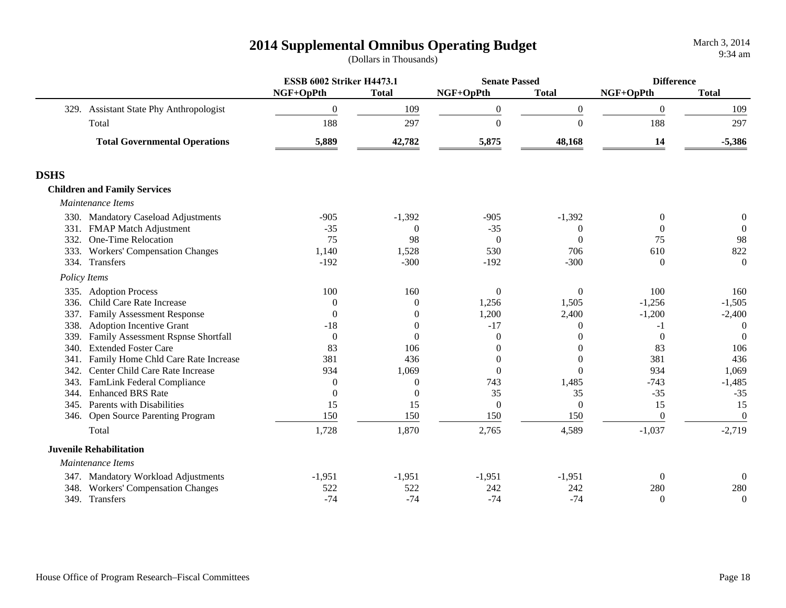|             |                                         | <b>ESSB 6002 Striker H4473.1</b> |                  | <b>Senate Passed</b> |                | <b>Difference</b> |                  |
|-------------|-----------------------------------------|----------------------------------|------------------|----------------------|----------------|-------------------|------------------|
|             |                                         | NGF+OpPth                        | <b>Total</b>     | NGF+OpPth            | <b>Total</b>   | NGF+OpPth         | <b>Total</b>     |
|             | 329. Assistant State Phy Anthropologist | $\overline{0}$                   | 109              | $\boldsymbol{0}$     | $\overline{0}$ | $\overline{0}$    | 109              |
|             | Total                                   | 188                              | 297              | $\boldsymbol{0}$     | $\Omega$       | 188               | 297              |
|             | <b>Total Governmental Operations</b>    | 5,889                            | 42,782           | 5,875                | 48,168         | 14                | $-5,386$         |
| <b>DSHS</b> |                                         |                                  |                  |                      |                |                   |                  |
|             | <b>Children and Family Services</b>     |                                  |                  |                      |                |                   |                  |
|             | Maintenance Items                       |                                  |                  |                      |                |                   |                  |
|             | 330. Mandatory Caseload Adjustments     | $-905$                           | $-1,392$         | $-905$               | $-1,392$       | $\theta$          | $\boldsymbol{0}$ |
| 331.        | <b>FMAP Match Adjustment</b>            | $-35$                            | $\theta$         | $-35$                | $\theta$       | $\Omega$          | $\boldsymbol{0}$ |
| 332.        | One-Time Relocation                     | 75                               | 98               | $\theta$             | $\theta$       | 75                | 98               |
| 333.        | <b>Workers' Compensation Changes</b>    | 1,140                            | 1,528            | 530                  | 706            | 610               | 822              |
|             | 334. Transfers                          | $-192$                           | $-300$           | $-192$               | $-300$         | $\Omega$          | $\boldsymbol{0}$ |
|             | Policy Items                            |                                  |                  |                      |                |                   |                  |
|             | 335. Adoption Process                   | 100                              | 160              | $\overline{0}$       | $\overline{0}$ | 100               | 160              |
| 336.        | Child Care Rate Increase                | $\Omega$                         | $\theta$         | 1,256                | 1,505          | $-1,256$          | $-1,505$         |
| 337.        | <b>Family Assessment Response</b>       | $\Omega$                         | $\theta$         | 1,200                | 2,400          | $-1,200$          | $-2,400$         |
| 338.        | <b>Adoption Incentive Grant</b>         | $-18$                            | $\overline{0}$   | $-17$                | $\Omega$       | $-1$              | $\theta$         |
| 339.        | Family Assessment Rspnse Shortfall      | $\Omega$                         | $\theta$         | $\Omega$             | $\Omega$       | $\Omega$          | $\Omega$         |
| 340.        | <b>Extended Foster Care</b>             | 83                               | 106              | $\Omega$             | $\Omega$       | 83                | 106              |
| 341.        | Family Home Chld Care Rate Increase     | 381                              | 436              | $\Omega$             | $\theta$       | 381               | 436              |
| 342.        | Center Child Care Rate Increase         | 934                              | 1,069            | $\Omega$             | $\Omega$       | 934               | 1,069            |
| 343.        | <b>FamLink Federal Compliance</b>       | $\Omega$                         | $\overline{0}$   | 743                  | 1,485          | $-743$            | $-1,485$         |
| 344.        | <b>Enhanced BRS Rate</b>                | $\theta$                         | $\boldsymbol{0}$ | 35                   | 35             | $-35$             | $-35$            |
|             | 345. Parents with Disabilities          | 15                               | 15               | $\mathbf{0}$         | $\mathbf{0}$   | 15                | 15               |
|             | 346. Open Source Parenting Program      | 150                              | 150              | 150                  | 150            | $\theta$          | $\Omega$         |
|             | Total                                   | 1,728                            | 1,870            | 2,765                | 4,589          | $-1,037$          | $-2,719$         |
|             | <b>Juvenile Rehabilitation</b>          |                                  |                  |                      |                |                   |                  |
|             | Maintenance Items                       |                                  |                  |                      |                |                   |                  |
|             | 347. Mandatory Workload Adjustments     | $-1,951$                         | $-1,951$         | $-1,951$             | $-1,951$       | $\theta$          | $\Omega$         |
| 348.        | <b>Workers' Compensation Changes</b>    | 522                              | 522              | 242                  | 242            | 280               | 280              |
|             | 349. Transfers                          | $-74$                            | $-74$            | $-74$                | $-74$          | $\Omega$          | $\theta$         |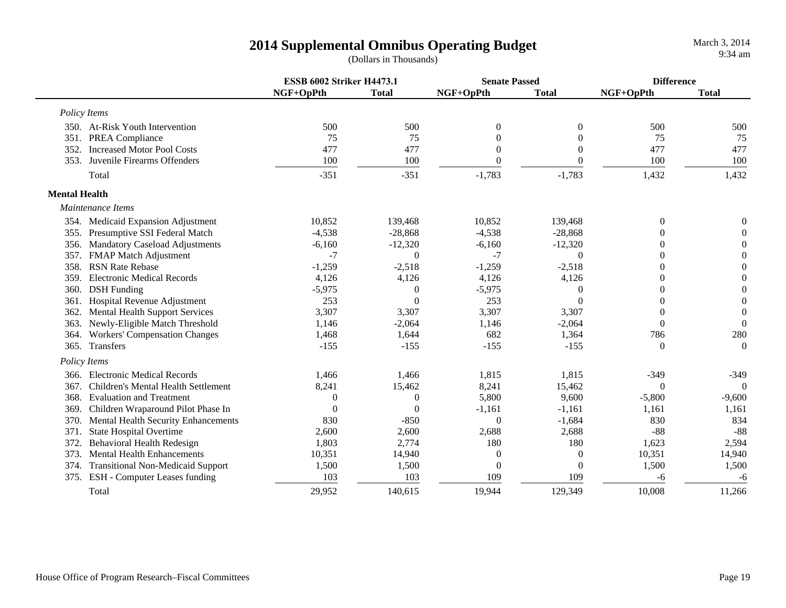March 3, 2014 9:34 am

|                      |                                          | <b>ESSB 6002 Striker H4473.1</b> |              | <b>Senate Passed</b> |              |                  | <b>Difference</b> |  |
|----------------------|------------------------------------------|----------------------------------|--------------|----------------------|--------------|------------------|-------------------|--|
|                      |                                          | NGF+OpPth                        | <b>Total</b> | NGF+OpPth            | <b>Total</b> | NGF+OpPth        | <b>Total</b>      |  |
|                      | Policy Items                             |                                  |              |                      |              |                  |                   |  |
|                      | 350. At-Risk Youth Intervention          | 500                              | 500          | $\boldsymbol{0}$     | $\theta$     | 500              | 500               |  |
| 351.                 | <b>PREA Compliance</b>                   | 75                               | 75           | $\theta$             |              | 75               | 75                |  |
| 352.                 | <b>Increased Motor Pool Costs</b>        | 477                              | 477          | $\theta$             | $\Omega$     | 477              | 477               |  |
| 353.                 | Juvenile Firearms Offenders              | 100                              | 100          | $\Omega$             | $\theta$     | 100              | 100               |  |
|                      | Total                                    | $-351$                           | $-351$       | $-1,783$             | $-1,783$     | 1,432            | 1,432             |  |
| <b>Mental Health</b> |                                          |                                  |              |                      |              |                  |                   |  |
|                      | Maintenance Items                        |                                  |              |                      |              |                  |                   |  |
|                      | 354. Medicaid Expansion Adjustment       | 10,852                           | 139,468      | 10,852               | 139,468      | $\boldsymbol{0}$ | $\Omega$          |  |
|                      | 355. Presumptive SSI Federal Match       | $-4,538$                         | $-28,868$    | $-4,538$             | $-28,868$    | $\theta$         | $\Omega$          |  |
| 356.                 | <b>Mandatory Caseload Adjustments</b>    | $-6,160$                         | $-12,320$    | $-6,160$             | $-12,320$    | $\theta$         | 0                 |  |
| 357.                 | <b>FMAP Match Adjustment</b>             | $-7$                             | $\theta$     | $-7$                 | $\Omega$     | $\theta$         | $\theta$          |  |
| 358.                 | <b>RSN Rate Rebase</b>                   | $-1,259$                         | $-2,518$     | $-1,259$             | $-2,518$     | $\Omega$         | $\theta$          |  |
| 359.                 | <b>Electronic Medical Records</b>        | 4,126                            | 4,126        | 4,126                | 4,126        | $\theta$         | 0                 |  |
| 360.                 | <b>DSH</b> Funding                       | $-5,975$                         | $\theta$     | $-5,975$             | $\Omega$     | $\theta$         | $\overline{0}$    |  |
| 361.                 | Hospital Revenue Adjustment              | 253                              | $\Omega$     | 253                  | $\Omega$     | $\theta$         | $\overline{0}$    |  |
| 362.                 | <b>Mental Health Support Services</b>    | 3,307                            | 3,307        | 3,307                | 3,307        | $\theta$         | $\theta$          |  |
| 363.                 | Newly-Eligible Match Threshold           | 1,146                            | $-2,064$     | 1,146                | $-2,064$     | $\theta$         | $\Omega$          |  |
| 364.                 | <b>Workers' Compensation Changes</b>     | 1,468                            | 1,644        | 682                  | 1,364        | 786              | 280               |  |
| 365.                 | Transfers                                | $-155$                           | $-155$       | $-155$               | $-155$       | $\mathbf{0}$     | $\Omega$          |  |
|                      | Policy Items                             |                                  |              |                      |              |                  |                   |  |
| 366.                 | <b>Electronic Medical Records</b>        | 1,466                            | 1,466        | 1,815                | 1,815        | $-349$           | $-349$            |  |
| 367.                 | Children's Mental Health Settlement      | 8,241                            | 15,462       | 8,241                | 15,462       | $\Omega$         | $\Omega$          |  |
| 368.                 | <b>Evaluation and Treatment</b>          | $\theta$                         | $\Omega$     | 5,800                | 9,600        | $-5,800$         | $-9,600$          |  |
| 369.                 | Children Wraparound Pilot Phase In       | $\Omega$                         | $\Omega$     | $-1,161$             | $-1,161$     | 1,161            | 1,161             |  |
| 370.                 | Mental Health Security Enhancements      | 830                              | $-850$       | $\mathbf{0}$         | $-1,684$     | 830              | 834               |  |
| 371.                 | <b>State Hospital Overtime</b>           | 2,600                            | 2,600        | 2,688                | 2,688        | $-88$            | $-88$             |  |
| 372.                 | <b>Behavioral Health Redesign</b>        | 1,803                            | 2,774        | 180                  | 180          | 1,623            | 2,594             |  |
| 373.                 | <b>Mental Health Enhancements</b>        | 10,351                           | 14,940       | 0                    | $\theta$     | 10,351           | 14,940            |  |
| 374.                 | <b>Transitional Non-Medicaid Support</b> | 1,500                            | 1,500        | $\boldsymbol{0}$     | $\Omega$     | 1,500            | 1,500             |  |
| 375.                 | ESH - Computer Leases funding            | 103                              | 103          | 109                  | 109          | $-6$             | $-6$              |  |
|                      | Total                                    | 29,952                           | 140,615      | 19,944               | 129,349      | 10,008           | 11,266            |  |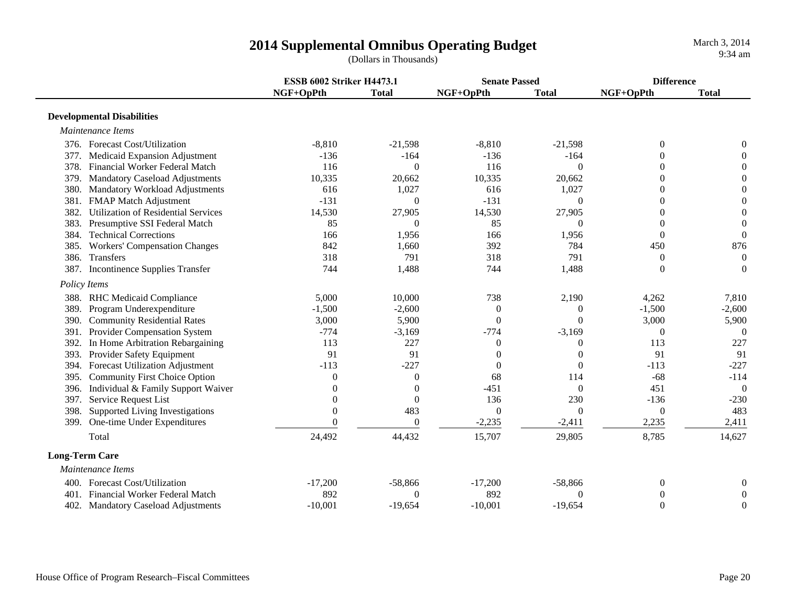|                                                    |                | <b>ESSB 6002 Striker H4473.1</b> |                | <b>Senate Passed</b> |                | <b>Difference</b> |  |
|----------------------------------------------------|----------------|----------------------------------|----------------|----------------------|----------------|-------------------|--|
|                                                    | NGF+OpPth      | <b>Total</b>                     | NGF+OpPth      | <b>Total</b>         | NGF+OpPth      | <b>Total</b>      |  |
| <b>Developmental Disabilities</b>                  |                |                                  |                |                      |                |                   |  |
| Maintenance Items                                  |                |                                  |                |                      |                |                   |  |
| 376. Forecast Cost/Utilization                     | $-8,810$       | $-21,598$                        | $-8,810$       | $-21,598$            | $\mathbf{0}$   | $\theta$          |  |
| 377. Medicaid Expansion Adjustment                 | $-136$         | $-164$                           | $-136$         | $-164$               | $\mathbf{0}$   | $\overline{0}$    |  |
| 378.<br>Financial Worker Federal Match             | 116            | $\Omega$                         | 116            | $\Omega$             | $\theta$       | $\mathbf{0}$      |  |
| <b>Mandatory Caseload Adjustments</b><br>379.      | 10,335         | 20,662                           | 10,335         | 20,662               | $\overline{0}$ | $\boldsymbol{0}$  |  |
| 380. Mandatory Workload Adjustments                | 616            | 1,027                            | 616            | 1,027                | $\theta$       | $\overline{0}$    |  |
| <b>FMAP Match Adjustment</b><br>381.               | $-131$         | $\Omega$                         | $-131$         | $\Omega$             | $\Omega$       | $\overline{0}$    |  |
| <b>Utilization of Residential Services</b><br>382. | 14,530         | 27,905                           | 14,530         | 27,905               |                | $\boldsymbol{0}$  |  |
| Presumptive SSI Federal Match<br>383.              | 85             | $\Omega$                         | 85             | $\Omega$             | $\Omega$       | $\overline{0}$    |  |
| <b>Technical Corrections</b><br>384.               | 166            | 1,956                            | 166            | 1,956                | $\Omega$       | $\theta$          |  |
| 385. Workers' Compensation Changes                 | 842            | 1,660                            | 392            | 784                  | 450            | 876               |  |
| Transfers<br>386.                                  | 318            | 791                              | 318            | 791                  | $\Omega$       | $\theta$          |  |
| Incontinence Supplies Transfer<br>387.             | 744            | 1,488                            | 744            | 1,488                | $\Omega$       | $\theta$          |  |
| Policy Items                                       |                |                                  |                |                      |                |                   |  |
| 388. RHC Medicaid Compliance                       | 5,000          | 10,000                           | 738            | 2,190                | 4,262          | 7,810             |  |
| 389. Program Underexpenditure                      | $-1,500$       | $-2,600$                         | $\Omega$       | $\theta$             | $-1,500$       | $-2,600$          |  |
| <b>Community Residential Rates</b><br>390.         | 3,000          | 5,900                            | $\mathbf{0}$   | 0                    | 3,000          | 5,900             |  |
| Provider Compensation System<br>391.               | $-774$         | $-3,169$                         | $-774$         | $-3,169$             | $\overline{0}$ | $\theta$          |  |
| In Home Arbitration Rebargaining<br>392.           | 113            | 227                              | $\mathbf{0}$   | $\Omega$             | 113            | 227               |  |
| 393. Provider Safety Equipment                     | 91             | 91                               | $\overline{0}$ | $\Omega$             | 91             | 91                |  |
| 394. Forecast Utilization Adjustment               | $-113$         | $-227$                           | $\overline{0}$ |                      | $-113$         | $-227$            |  |
| 395. Community First Choice Option                 | $\overline{0}$ | $\overline{0}$                   | 68             | 114                  | $-68$          | $-114$            |  |
| Individual & Family Support Waiver<br>396.         | $\Omega$       | $\theta$                         | $-451$         | $\Omega$             | 451            | $\overline{0}$    |  |
| Service Request List<br>397.                       | $\Omega$       | $\Omega$                         | 136            | 230                  | $-136$         | $-230$            |  |
| Supported Living Investigations<br>398.            | $\Omega$       | 483                              | $\overline{0}$ | $\Omega$             | $\overline{0}$ | 483               |  |
| One-time Under Expenditures<br>399.                | $\Omega$       | $\Omega$                         | $-2,235$       | $-2,411$             | 2,235          | 2,411             |  |
| Total                                              | 24,492         | 44,432                           | 15,707         | 29,805               | 8,785          | 14,627            |  |
| <b>Long-Term Care</b>                              |                |                                  |                |                      |                |                   |  |
| Maintenance Items                                  |                |                                  |                |                      |                |                   |  |
| 400. Forecast Cost/Utilization                     | $-17,200$      | $-58,866$                        | $-17,200$      | $-58,866$            | $\mathbf{0}$   | $\boldsymbol{0}$  |  |
| 401. Financial Worker Federal Match                | 892            | $\Omega$                         | 892            | 0                    | $\theta$       | $\mathbf{0}$      |  |
| 402. Mandatory Caseload Adjustments                | $-10,001$      | $-19,654$                        | $-10,001$      | $-19,654$            | $\mathbf{0}$   | $\mathbf{0}$      |  |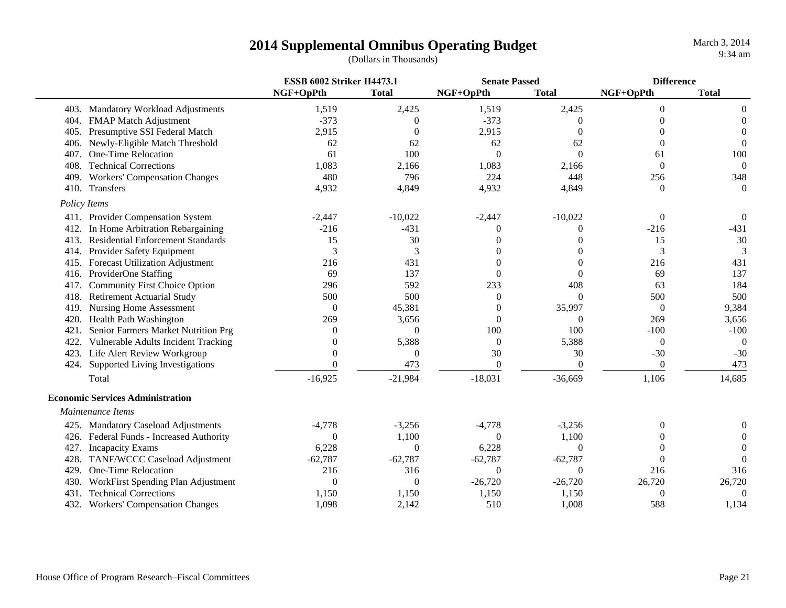|      |                                            | <b>ESSB 6002 Striker H4473.1</b> |              | <b>Senate Passed</b> |                | <b>Difference</b> |                |
|------|--------------------------------------------|----------------------------------|--------------|----------------------|----------------|-------------------|----------------|
|      |                                            | NGF+OpPth                        | <b>Total</b> | NGF+OpPth            | <b>Total</b>   | NGF+OpPth         | <b>Total</b>   |
|      | 403. Mandatory Workload Adjustments        | 1,519                            | 2,425        | 1,519                | 2,425          | $\overline{0}$    | $\theta$       |
| 404. | <b>FMAP Match Adjustment</b>               | $-373$                           | $\Omega$     | $-373$               | $\Omega$       | $\Omega$          | $\Omega$       |
| 405. | Presumptive SSI Federal Match              | 2,915                            | $\Omega$     | 2,915                | $\Omega$       | $\Omega$          | 0              |
| 406. | Newly-Eligible Match Threshold             | 62                               | 62           | 62                   | 62             | $\Omega$          | $\theta$       |
| 407. | One-Time Relocation                        | 61                               | 100          | $\overline{0}$       | $\Omega$       | 61                | 100            |
| 408. | <b>Technical Corrections</b>               | 1,083                            | 2,166        | 1,083                | 2,166          | $\theta$          | $\theta$       |
| 409. | <b>Workers' Compensation Changes</b>       | 480                              | 796          | 224                  | 448            | 256               | 348            |
| 410. | Transfers                                  | 4,932                            | 4,849        | 4,932                | 4,849          | $\Omega$          | $\Omega$       |
|      | Policy Items                               |                                  |              |                      |                |                   |                |
|      | 411. Provider Compensation System          | $-2,447$                         | $-10,022$    | $-2,447$             | $-10,022$      | $\overline{0}$    | 0              |
| 412. | In Home Arbitration Rebargaining           | $-216$                           | $-431$       | 0                    |                | $-216$            | $-431$         |
| 413. | <b>Residential Enforcement Standards</b>   | 15                               | 30           | 0                    |                | 15                | 30             |
| 414. | Provider Safety Equipment                  | 3                                | 3            | 0                    |                | 3                 | 3              |
| 415. | <b>Forecast Utilization Adjustment</b>     | 216                              | 431          | $\theta$             |                | 216               | 431            |
| 416. | ProviderOne Staffing                       | 69                               | 137          | $\Omega$             | $\Omega$       | 69                | 137            |
| 417. | <b>Community First Choice Option</b>       | 296                              | 592          | 233                  | 408            | 63                | 184            |
| 418. | <b>Retirement Actuarial Study</b>          | 500                              | 500          | $\theta$             | $\Omega$       | 500               | 500            |
| 419. | <b>Nursing Home Assessment</b>             | $\theta$                         | 45,381       | $\overline{0}$       | 35,997         | $\mathbf{0}$      | 9,384          |
| 420. | Health Path Washington                     | 269                              | 3,656        | $\theta$             | $\theta$       | 269               | 3,656          |
| 421. | Senior Farmers Market Nutrition Prg        | 0                                | $\Omega$     | 100                  | 100            | $-100$            | $-100$         |
| 422. | <b>Vulnerable Adults Incident Tracking</b> | 0                                | 5,388        | $\theta$             | 5,388          | $\overline{0}$    | $\overline{0}$ |
|      | 423. Life Alert Review Workgroup           | $\Omega$                         | $\Omega$     | 30                   | 30             | $-30$             | $-30$          |
|      | 424. Supported Living Investigations       | $\Omega$                         | 473          | $\boldsymbol{0}$     | $\overline{0}$ | $\theta$          | 473            |
|      | Total                                      | $-16,925$                        | $-21,984$    | $-18,031$            | $-36,669$      | 1,106             | 14,685         |
|      | <b>Economic Services Administration</b>    |                                  |              |                      |                |                   |                |
|      | Maintenance Items                          |                                  |              |                      |                |                   |                |
|      | 425. Mandatory Caseload Adjustments        | $-4,778$                         | $-3,256$     | $-4,778$             | $-3,256$       | $\theta$          |                |
| 426. | Federal Funds - Increased Authority        | $\theta$                         | 1,100        | $\theta$             | 1,100          | 0                 |                |
| 427. | <b>Incapacity Exams</b>                    | 6,228                            | $\Omega$     | 6,228                | $\Omega$       | 0                 | 0              |
| 428. | TANF/WCCC Caseload Adjustment              | $-62,787$                        | $-62,787$    | $-62,787$            | $-62,787$      | $\Omega$          | $\Omega$       |
| 429. | One-Time Relocation                        | 216                              | 316          | $\overline{0}$       | $\Omega$       | 216               | 316            |
| 430. | WorkFirst Spending Plan Adjustment         | $\theta$                         | $\Omega$     | $-26,720$            | $-26,720$      | 26,720            | 26,720         |
| 431. | <b>Technical Corrections</b>               | 1,150                            | 1,150        | 1,150                | 1,150          | $\theta$          | $\theta$       |
|      | 432. Workers' Compensation Changes         | 1,098                            | 2,142        | 510                  | 1,008          | 588               | 1,134          |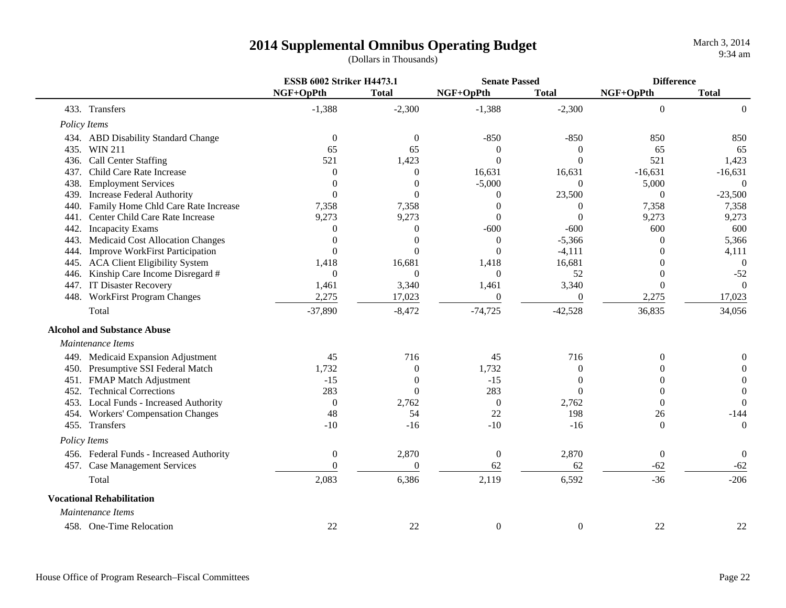| March 3, 2014 |  |                   |
|---------------|--|-------------------|
|               |  | $9:34 \text{ am}$ |

|      |                                          | <b>ESSB 6002 Striker H4473.1</b> |                  | <b>Senate Passed</b> |                  | <b>Difference</b> |                  |
|------|------------------------------------------|----------------------------------|------------------|----------------------|------------------|-------------------|------------------|
|      |                                          | NGF+OpPth                        | <b>Total</b>     | NGF+OpPth            | <b>Total</b>     | NGF+OpPth         | <b>Total</b>     |
|      | 433. Transfers                           | $-1,388$                         | $-2,300$         | $-1,388$             | $-2,300$         | $\overline{0}$    | $\Omega$         |
|      | Policy Items                             |                                  |                  |                      |                  |                   |                  |
|      | 434. ABD Disability Standard Change      | $\boldsymbol{0}$                 | $\boldsymbol{0}$ | $-850$               | $-850$           | 850               | 850              |
|      | 435. WIN 211                             | 65                               | 65               | $\mathbf{0}$         | $\theta$         | 65                | 65               |
|      | 436. Call Center Staffing                | 521                              | 1,423            | $\mathbf{0}$         | $\Omega$         | 521               | 1,423            |
| 437. | Child Care Rate Increase                 | $\overline{0}$                   | $\theta$         | 16,631               | 16,631           | $-16,631$         | $-16,631$        |
| 438. | <b>Employment Services</b>               | $\theta$                         | $\theta$         | $-5,000$             | $\Omega$         | 5,000             | $\theta$         |
| 439. | <b>Increase Federal Authority</b>        | $\theta$                         | $\Omega$         | $\theta$             | 23,500           | $\mathbf{0}$      | $-23,500$        |
| 440. | Family Home Chld Care Rate Increase      | 7,358                            | 7,358            | $\theta$             |                  | 7,358             | 7,358            |
| 441. | Center Child Care Rate Increase          | 9,273                            | 9,273            | $\boldsymbol{0}$     | $\Omega$         | 9,273             | 9,273            |
|      | 442. Incapacity Exams                    | $\boldsymbol{0}$                 | $\Omega$         | $-600$               | $-600$           | 600               | 600              |
| 443. | Medicaid Cost Allocation Changes         | $\theta$                         | $\Omega$         | $\mathbf{0}$         | $-5,366$         | $\theta$          | 5,366            |
| 444. | <b>Improve WorkFirst Participation</b>   | $\overline{0}$                   | $\Omega$         | $\theta$             | $-4,111$         | 0                 | 4,111            |
|      | 445. ACA Client Eligibility System       | 1,418                            | 16,681           | 1,418                | 16,681           | 0                 | $\theta$         |
| 446. | Kinship Care Income Disregard #          | $\Omega$                         | $\Omega$         | $\overline{0}$       | 52               | $\theta$          | $-52$            |
|      | 447. IT Disaster Recovery                | 1,461                            | 3,340            | 1,461                | 3,340            | $\mathbf{0}$      | $\Omega$         |
|      | 448. WorkFirst Program Changes           | 2,275                            | 17,023           | $\boldsymbol{0}$     | $\theta$         | 2,275             | 17,023           |
|      | Total                                    | $-37,890$                        | $-8,472$         | $-74,725$            | $-42,528$        | 36,835            | 34,056           |
|      | <b>Alcohol and Substance Abuse</b>       |                                  |                  |                      |                  |                   |                  |
|      | Maintenance Items                        |                                  |                  |                      |                  |                   |                  |
|      | 449. Medicaid Expansion Adjustment       | 45                               | 716              | 45                   | 716              | $\boldsymbol{0}$  | $\boldsymbol{0}$ |
|      | 450. Presumptive SSI Federal Match       | 1,732                            | $\theta$         | 1,732                | $\Omega$         | $\theta$          | $\Omega$         |
|      | 451. FMAP Match Adjustment               | $-15$                            | $\theta$         | $-15$                | $\Omega$         | 0                 | 0                |
| 452. | <b>Technical Corrections</b>             | 283                              | $\mathbf{0}$     | 283                  | $\Omega$         | 0                 | $\boldsymbol{0}$ |
|      | 453. Local Funds - Increased Authority   | $\mathbf{0}$                     | 2,762            | $\mathbf{0}$         | 2,762            | $\Omega$          | $\Omega$         |
|      | 454. Workers' Compensation Changes       | 48                               | 54               | 22                   | 198              | 26                | $-144$           |
|      | 455. Transfers                           | $-10$                            | $-16$            | $-10$                | $-16$            | $\Omega$          | $\mathbf{0}$     |
|      | Policy Items                             |                                  |                  |                      |                  |                   |                  |
|      | 456. Federal Funds - Increased Authority | $\boldsymbol{0}$                 | 2,870            | $\boldsymbol{0}$     | 2,870            | $\boldsymbol{0}$  | $\boldsymbol{0}$ |
|      | 457. Case Management Services            | $\Omega$                         | $\Omega$         | 62                   | 62               | $-62$             | $-62$            |
|      | Total                                    | 2,083                            | 6,386            | 2,119                | 6,592            | $-36$             | $-206$           |
|      | <b>Vocational Rehabilitation</b>         |                                  |                  |                      |                  |                   |                  |
|      | Maintenance Items                        |                                  |                  |                      |                  |                   |                  |
|      | 458. One-Time Relocation                 | 22                               | 22               | $\boldsymbol{0}$     | $\boldsymbol{0}$ | 22                | 22               |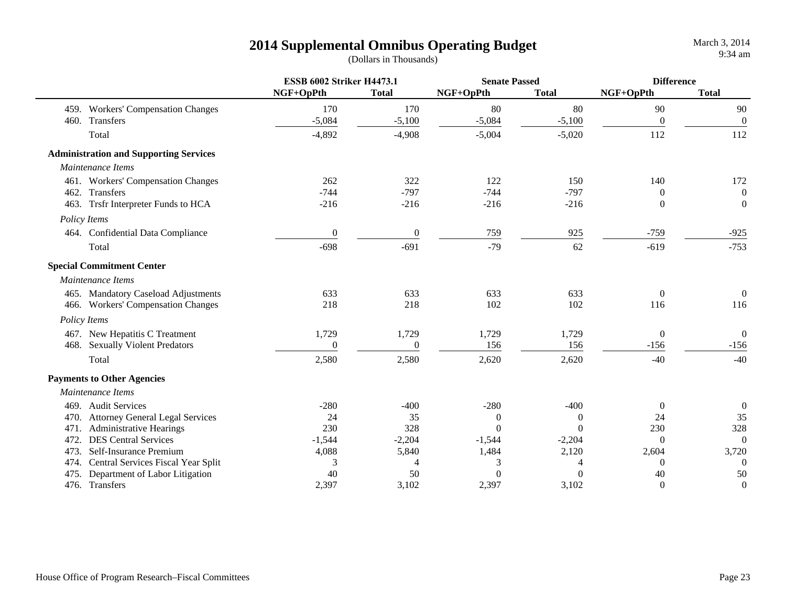|      |                                               | <b>ESSB 6002 Striker H4473.1</b> |                  | <b>Senate Passed</b> |              | <b>Difference</b> |                  |
|------|-----------------------------------------------|----------------------------------|------------------|----------------------|--------------|-------------------|------------------|
|      |                                               | NGF+OpPth                        | <b>Total</b>     | NGF+OpPth            | <b>Total</b> | NGF+OpPth         | <b>Total</b>     |
|      | 459. Workers' Compensation Changes            | 170                              | 170              | 80                   | 80           | 90                | 90               |
|      | 460. Transfers                                | $-5,084$                         | $-5,100$         | $-5,084$             | $-5,100$     | $\mathbf{0}$      | $\boldsymbol{0}$ |
|      | Total                                         | $-4,892$                         | $-4,908$         | $-5,004$             | $-5,020$     | 112               | 112              |
|      | <b>Administration and Supporting Services</b> |                                  |                  |                      |              |                   |                  |
|      | Maintenance Items                             |                                  |                  |                      |              |                   |                  |
|      | 461. Workers' Compensation Changes            | 262                              | 322              | 122                  | 150          | 140               | 172              |
|      | 462. Transfers                                | $-744$                           | $-797$           | $-744$               | $-797$       | $\Omega$          | $\boldsymbol{0}$ |
|      | 463. Trsfr Interpreter Funds to HCA           | $-216$                           | $-216$           | $-216$               | $-216$       | $\Omega$          | $\mathbf{0}$     |
|      | Policy Items                                  |                                  |                  |                      |              |                   |                  |
|      | 464. Confidential Data Compliance             | $\mathbf{0}$                     | $\boldsymbol{0}$ | 759                  | 925          | $-759$            | $-925$           |
|      | Total                                         | $-698$                           | $-691$           | $-79$                | 62           | $-619$            | $-753$           |
|      | <b>Special Commitment Center</b>              |                                  |                  |                      |              |                   |                  |
|      | Maintenance Items                             |                                  |                  |                      |              |                   |                  |
|      | 465. Mandatory Caseload Adjustments           | 633                              | 633              | 633                  | 633          | $\Omega$          | $\overline{0}$   |
|      | 466. Workers' Compensation Changes            | 218                              | 218              | 102                  | 102          | 116               | 116              |
|      | Policy Items                                  |                                  |                  |                      |              |                   |                  |
|      | 467. New Hepatitis C Treatment                | 1,729                            | 1,729            | 1,729                | 1,729        | $\overline{0}$    | $\boldsymbol{0}$ |
|      | 468. Sexually Violent Predators               | $\boldsymbol{0}$                 | $\boldsymbol{0}$ | 156                  | 156          | $-156$            | $-156$           |
|      | Total                                         | 2,580                            | 2,580            | 2,620                | 2,620        | $-40$             | $-40$            |
|      | <b>Payments to Other Agencies</b>             |                                  |                  |                      |              |                   |                  |
|      | Maintenance Items                             |                                  |                  |                      |              |                   |                  |
|      | 469. Audit Services                           | $-280$                           | $-400$           | $-280$               | $-400$       | $\Omega$          | $\boldsymbol{0}$ |
|      | 470. Attorney General Legal Services          | 24                               | 35               | $\theta$             | $\theta$     | 24                | 35               |
| 471. | <b>Administrative Hearings</b>                | 230                              | 328              | $\Omega$             | $\theta$     | 230               | 328              |
| 472. | <b>DES Central Services</b>                   | $-1,544$                         | $-2,204$         | $-1,544$             | $-2,204$     | $\Omega$          | $\boldsymbol{0}$ |
| 473. | Self-Insurance Premium                        | 4,088                            | 5,840            | 1,484                | 2,120        | 2,604             | 3,720            |
|      | 474. Central Services Fiscal Year Split       | 3                                | 4                | 3                    | 4            | $\Omega$          | $\overline{0}$   |
| 475. | Department of Labor Litigation                | 40                               | 50               | $\theta$             | $\theta$     | 40                | 50               |
|      | 476. Transfers                                | 2,397                            | 3,102            | 2,397                | 3,102        | $\theta$          | $\boldsymbol{0}$ |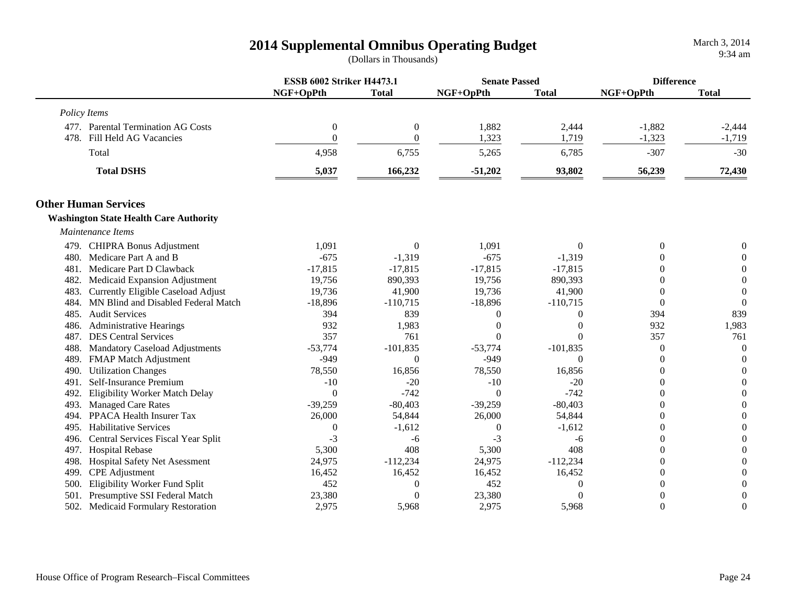|              |                                               | <b>ESSB 6002 Striker H4473.1</b> |                  | <b>Senate Passed</b> |              | <b>Difference</b> |                  |
|--------------|-----------------------------------------------|----------------------------------|------------------|----------------------|--------------|-------------------|------------------|
|              |                                               | NGF+OpPth                        | <b>Total</b>     | NGF+OpPth            | <b>Total</b> | NGF+OpPth         | <b>Total</b>     |
| Policy Items |                                               |                                  |                  |                      |              |                   |                  |
|              | 477. Parental Termination AG Costs            | $\boldsymbol{0}$                 | $\boldsymbol{0}$ | 1,882                | 2,444        | $-1,882$          | $-2,444$         |
| 478.         | Fill Held AG Vacancies                        | $\Omega$                         | $\overline{0}$   | 1,323                | 1,719        | $-1,323$          | $-1,719$         |
|              | Total                                         | 4,958                            | 6,755            | 5,265                | 6,785        | $-307$            | $-30$            |
|              | <b>Total DSHS</b>                             | 5,037                            | 166,232          | $-51,202$            | 93,802       | 56,239            | 72,430           |
|              | <b>Other Human Services</b>                   |                                  |                  |                      |              |                   |                  |
|              | <b>Washington State Health Care Authority</b> |                                  |                  |                      |              |                   |                  |
|              | Maintenance Items                             |                                  |                  |                      |              |                   |                  |
|              | 479. CHIPRA Bonus Adjustment                  | 1,091                            | $\Omega$         | 1,091                | $\Omega$     | $\theta$          | 0                |
| 480.         | Medicare Part A and B                         | $-675$                           | $-1,319$         | $-675$               | $-1,319$     | 0                 | $\Omega$         |
| 481.         | Medicare Part D Clawback                      | $-17,815$                        | $-17,815$        | $-17,815$            | $-17,815$    | 0                 | $\Omega$         |
| 482.         | Medicaid Expansion Adjustment                 | 19,756                           | 890,393          | 19,756               | 890,393      | $\Omega$          | $\Omega$         |
| 483.         | Currently Eligible Caseload Adjust            | 19,736                           | 41,900           | 19,736               | 41,900       | 0                 | $\mathbf{0}$     |
| 484.         | MN Blind and Disabled Federal Match           | $-18,896$                        | $-110,715$       | $-18,896$            | $-110,715$   | $\Omega$          | $\Omega$         |
| 485.         | <b>Audit Services</b>                         | 394                              | 839              | $\theta$             |              | 394               | 839              |
| 486.         | <b>Administrative Hearings</b>                | 932                              | 1,983            | $\Omega$             |              | 932               | 1,983            |
| 487.         | <b>DES Central Services</b>                   | 357                              | 761              | $\theta$             |              | 357               | 761              |
| 488.         | <b>Mandatory Caseload Adjustments</b>         | $-53,774$                        | $-101,835$       | $-53,774$            | $-101,835$   | 0                 | $\theta$         |
| 489.         | FMAP Match Adjustment                         | $-949$                           | $\Omega$         | $-949$               | $\Omega$     | 0                 | $\theta$         |
| 490.         | <b>Utilization Changes</b>                    | 78,550                           | 16,856           | 78,550               | 16,856       | 0                 | $\overline{0}$   |
| 491.         | Self-Insurance Premium                        | $-10$                            | $-20$            | $-10$                | $-20$        | 0                 | $\boldsymbol{0}$ |
| 492.         | Eligibility Worker Match Delay                | $\Omega$                         | $-742$           | $\theta$             | $-742$       | 0                 | $\theta$         |
| 493.         | <b>Managed Care Rates</b>                     | $-39,259$                        | $-80,403$        | $-39,259$            | $-80,403$    | 0                 | 0                |
| 494.         | PPACA Health Insurer Tax                      | 26,000                           | 54,844           | 26,000               | 54,844       | $\Omega$          | $\theta$         |
| 495.         | <b>Habilitative Services</b>                  | $\theta$                         | $-1,612$         | $\theta$             | $-1,612$     | 0                 | $\Omega$         |
| 496.         | Central Services Fiscal Year Split            | $-3$                             | -6               | $-3$                 | -6           | $\Omega$          | $\theta$         |
| 497.         | <b>Hospital Rebase</b>                        | 5,300                            | 408              | 5,300                | 408          | 0                 | 0                |
| 498.         | Hospital Safety Net Asessment                 | 24,975                           | $-112,234$       | 24,975               | $-112,234$   | $\overline{0}$    | 0                |
| 499.         | <b>CPE</b> Adjustment                         | 16,452                           | 16,452           | 16,452               | 16,452       | $\theta$          | 0                |
| 500.         | Eligibility Worker Fund Split                 | 452                              | $\overline{0}$   | 452                  | $\Omega$     | $\overline{0}$    | $\overline{0}$   |
| 501.         | Presumptive SSI Federal Match                 | 23,380                           | $\theta$         | 23,380               |              | $\overline{0}$    | $\overline{0}$   |
|              | 502. Medicaid Formulary Restoration           | 2,975                            | 5,968            | 2,975                | 5,968        | $\Omega$          | $\overline{0}$   |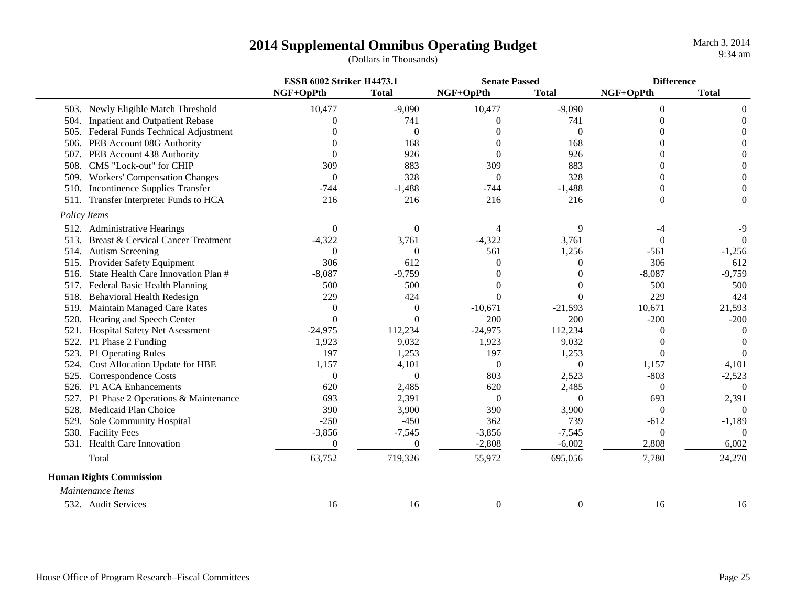|                                |                                         | <b>ESSB 6002 Striker H4473.1</b> |              | <b>Senate Passed</b> |              | <b>Difference</b> |                |
|--------------------------------|-----------------------------------------|----------------------------------|--------------|----------------------|--------------|-------------------|----------------|
|                                |                                         | NGF+OpPth                        | <b>Total</b> | NGF+OpPth            | <b>Total</b> | NGF+OpPth         | <b>Total</b>   |
|                                | 503. Newly Eligible Match Threshold     | 10,477                           | $-9,090$     | 10,477               | $-9,090$     | $\overline{0}$    | $\theta$       |
|                                | 504. Inpatient and Outpatient Rebase    | 0                                | 741          | 0                    | 741          | 0                 | $\theta$       |
|                                | 505. Federal Funds Technical Adjustment |                                  | $\theta$     |                      | 0            | 0                 | $\theta$       |
|                                | 506. PEB Account 08G Authority          |                                  | 168          | $\Omega$             | 168          | 0                 | $\Omega$       |
|                                | 507. PEB Account 438 Authority          | $\Omega$                         | 926          | $\Omega$             | 926          | 0                 | $\Omega$       |
| 508.                           | CMS "Lock-out" for CHIP                 | 309                              | 883          | 309                  | 883          | 0                 | $\Omega$       |
| 509.                           | <b>Workers' Compensation Changes</b>    | $\theta$                         | 328          | $\theta$             | 328          | 0                 | $\Omega$       |
| 510.                           | <b>Incontinence Supplies Transfer</b>   | $-744$                           | $-1,488$     | $-744$               | $-1,488$     | 0                 | 0              |
|                                | 511. Transfer Interpreter Funds to HCA  | 216                              | 216          | 216                  | 216          | 0                 | $\Omega$       |
| Policy Items                   |                                         |                                  |              |                      |              |                   |                |
|                                | 512. Administrative Hearings            | $\theta$                         | $\Omega$     | 4                    | 9            |                   | $-9$           |
| 513.                           | Breast & Cervical Cancer Treatment      | $-4,322$                         | 3,761        | $-4,322$             | 3,761        | $\Omega$          | $\overline{0}$ |
| 514.                           | <b>Autism Screening</b>                 | $\theta$                         | $\Omega$     | 561                  | 1,256        | $-561$            | $-1,256$       |
| 515.                           | Provider Safety Equipment               | 306                              | 612          | $\Omega$             | $\Omega$     | 306               | 612            |
| 516.                           | State Health Care Innovation Plan #     | $-8,087$                         | $-9,759$     | $\left($             | 0            | $-8,087$          | $-9,759$       |
| 517.                           | Federal Basic Health Planning           | 500                              | 500          |                      |              | 500               | 500            |
| 518.                           | <b>Behavioral Health Redesign</b>       | 229                              | 424          | $\theta$             |              | 229               | 424            |
| 519.                           | Maintain Managed Care Rates             | $\theta$                         | $\theta$     | $-10,671$            | $-21,593$    | 10,671            | 21,593         |
| 520.                           | Hearing and Speech Center               | $\theta$                         | $\Omega$     | 200                  | 200          | $-200$            | $-200$         |
| 521.                           | Hospital Safety Net Asessment           | $-24,975$                        | 112,234      | $-24,975$            | 112,234      | 0                 | $\Omega$       |
| 522.                           | P1 Phase 2 Funding                      | 1,923                            | 9,032        | 1,923                | 9,032        | 0                 | $\Omega$       |
| 523.                           | P1 Operating Rules                      | 197                              | 1,253        | 197                  | 1,253        | $\Omega$          | $\Omega$       |
| 524.                           | Cost Allocation Update for HBE          | 1,157                            | 4,101        | $\theta$             | 0            | 1,157             | 4,101          |
| 525.                           | Correspondence Costs                    | $\theta$                         | $\Omega$     | 803                  | 2,523        | $-803$            | $-2,523$       |
| 526.                           | <b>P1 ACA Enhancements</b>              | 620                              | 2,485        | 620                  | 2,485        | $\theta$          | $\Omega$       |
| 527.                           | P1 Phase 2 Operations & Maintenance     | 693                              | 2,391        | $\theta$             | 0            | 693               | 2,391          |
| 528.                           | Medicaid Plan Choice                    | 390                              | 3,900        | 390                  | 3,900        | $\theta$          | $\Omega$       |
| 529.                           | Sole Community Hospital                 | $-250$                           | $-450$       | 362                  | 739          | $-612$            | $-1,189$       |
| <b>Facility Fees</b><br>530.   |                                         | $-3,856$                         | $-7,545$     | $-3,856$             | $-7,545$     | $\Omega$          | $\Omega$       |
| 531.                           | <b>Health Care Innovation</b>           | $\mathbf{0}$                     | $\Omega$     | $-2,808$             | $-6,002$     | 2,808             | 6,002          |
| Total                          |                                         | 63,752                           | 719,326      | 55,972               | 695,056      | 7,780             | 24,270         |
| <b>Human Rights Commission</b> |                                         |                                  |              |                      |              |                   |                |
| Maintenance Items              |                                         |                                  |              |                      |              |                   |                |
| 532. Audit Services            |                                         | 16                               | 16           | $\boldsymbol{0}$     | $\mathbf{0}$ | 16                | 16             |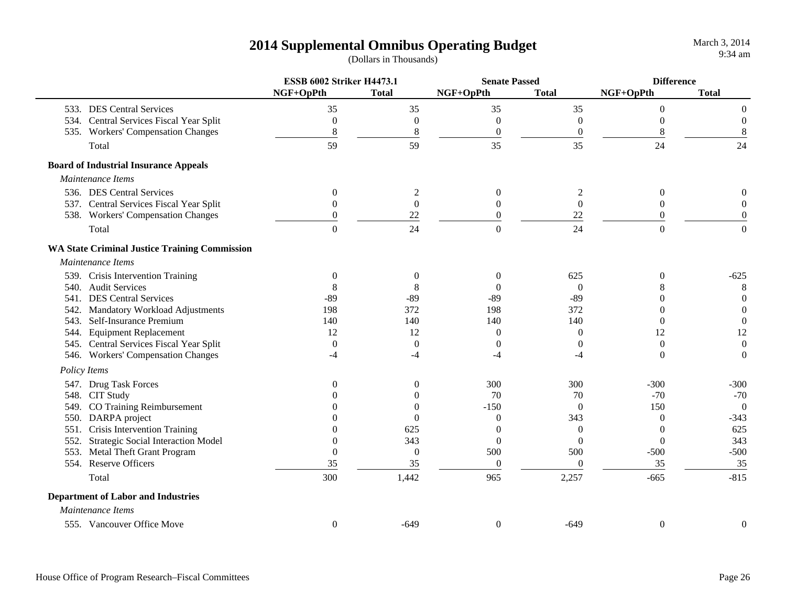|      |                                                      | <b>ESSB 6002 Striker H4473.1</b> |                  | <b>Senate Passed</b> |                  | <b>Difference</b> |                  |
|------|------------------------------------------------------|----------------------------------|------------------|----------------------|------------------|-------------------|------------------|
|      |                                                      | NGF+OpPth                        | <b>Total</b>     | NGF+OpPth            | <b>Total</b>     | NGF+OpPth         | <b>Total</b>     |
|      | 533. DES Central Services                            | 35                               | 35               | 35                   | 35               | $\overline{0}$    | 0                |
|      | 534. Central Services Fiscal Year Split              | $\theta$                         | $\mathbf{0}$     | $\mathbf{0}$         | $\mathbf{0}$     | $\Omega$          | $\Omega$         |
|      | 535. Workers' Compensation Changes                   | 8                                | $\,8\,$          | $\boldsymbol{0}$     | $\boldsymbol{0}$ | 8                 | 8                |
|      | Total                                                | 59                               | 59               | 35                   | 35               | 24                | 24               |
|      | <b>Board of Industrial Insurance Appeals</b>         |                                  |                  |                      |                  |                   |                  |
|      | Maintenance Items                                    |                                  |                  |                      |                  |                   |                  |
|      | 536. DES Central Services                            | $\boldsymbol{0}$                 | $\mathfrak{2}$   | $\boldsymbol{0}$     | 2                | $\boldsymbol{0}$  |                  |
|      | 537. Central Services Fiscal Year Split              | $\overline{0}$                   | $\boldsymbol{0}$ | $\mathbf{0}$         | $\boldsymbol{0}$ | $\boldsymbol{0}$  | $\Omega$         |
|      | 538. Workers' Compensation Changes                   | $\theta$                         | 22               | $\boldsymbol{0}$     | 22               | $\boldsymbol{0}$  | $\boldsymbol{0}$ |
|      | Total                                                | $\Omega$                         | 24               | $\Omega$             | 24               | $\overline{0}$    | $\theta$         |
|      | <b>WA State Criminal Justice Training Commission</b> |                                  |                  |                      |                  |                   |                  |
|      | Maintenance Items                                    |                                  |                  |                      |                  |                   |                  |
|      | 539. Crisis Intervention Training                    | $\boldsymbol{0}$                 | $\boldsymbol{0}$ | $\boldsymbol{0}$     | 625              | $\boldsymbol{0}$  | $-625$           |
|      | 540. Audit Services                                  | 8                                | 8                | $\Omega$             | $\Omega$         | 8                 | 8                |
|      | 541. DES Central Services                            | $-89$                            | $-89$            | $-89$                | $-89$            | $\overline{0}$    | $\overline{0}$   |
|      | 542. Mandatory Workload Adjustments                  | 198                              | 372              | 198                  | 372              | $\Omega$          | $\boldsymbol{0}$ |
|      | 543. Self-Insurance Premium                          | 140                              | 140              | 140                  | 140              | $\Omega$          | $\boldsymbol{0}$ |
|      | 544. Equipment Replacement                           | 12                               | 12               | $\theta$             | $\theta$         | 12                | 12               |
|      | 545. Central Services Fiscal Year Split              | $\boldsymbol{0}$                 | $\theta$         | $\theta$             | $\theta$         | $\theta$          | $\theta$         |
|      | 546. Workers' Compensation Changes                   | $-4$                             | $-4$             | $-4$                 | -4               | $\overline{0}$    | $\boldsymbol{0}$ |
|      | Policy Items                                         |                                  |                  |                      |                  |                   |                  |
|      | 547. Drug Task Forces                                | $\theta$                         | $\boldsymbol{0}$ | 300                  | 300              | $-300$            | $-300$           |
|      | 548. CIT Study                                       |                                  | $\Omega$         | 70                   | 70               | $-70$             | $-70$            |
|      | 549. CO Training Reimbursement                       |                                  | $\Omega$         | $-150$               | $\theta$         | 150               | $\theta$         |
|      | 550. DARPA project                                   |                                  | $\Omega$         | $\theta$             | 343              | $\theta$          | $-343$           |
| 551. | Crisis Intervention Training                         |                                  | 625              | $\theta$             | $\overline{0}$   | $\theta$          | 625              |
|      | 552. Strategic Social Interaction Model              | $\theta$                         | 343              | $\mathbf{0}$         | $\overline{0}$   | $\boldsymbol{0}$  | 343              |
|      | 553. Metal Theft Grant Program                       | $\overline{0}$                   | $\mathbf{0}$     | 500                  | 500              | $-500$            | $-500$           |
|      | 554. Reserve Officers                                | 35                               | 35               | $\boldsymbol{0}$     | $\boldsymbol{0}$ | 35                | 35               |
|      | Total                                                | 300                              | 1,442            | 965                  | 2,257            | $-665$            | $-815$           |
|      | <b>Department of Labor and Industries</b>            |                                  |                  |                      |                  |                   |                  |
|      | Maintenance Items                                    |                                  |                  |                      |                  |                   |                  |
|      | 555. Vancouver Office Move                           | $\theta$                         | $-649$           | $\theta$             | $-649$           | $\theta$          | $\overline{0}$   |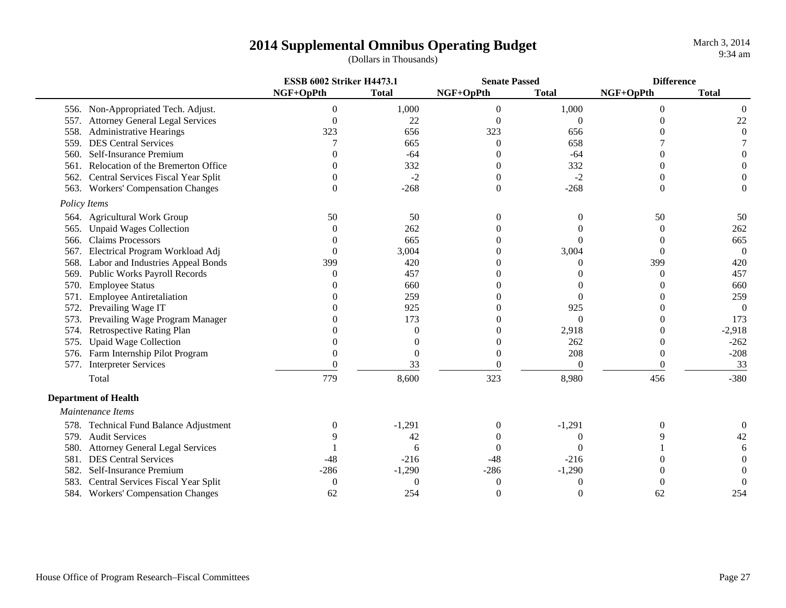|              |                                        | <b>ESSB 6002 Striker H4473.1</b> |              | <b>Senate Passed</b> |                   | <b>Difference</b> |                  |
|--------------|----------------------------------------|----------------------------------|--------------|----------------------|-------------------|-------------------|------------------|
|              |                                        | NGF+OpPth                        | <b>Total</b> | NGF+OpPth            | <b>Total</b>      | NGF+OpPth         | <b>Total</b>     |
|              | 556. Non-Appropriated Tech. Adjust.    | $\overline{0}$                   | 1,000        | $\boldsymbol{0}$     | 1,000             | $\mathbf{0}$      | 0                |
| 557.         | <b>Attorney General Legal Services</b> | $\theta$                         | 22           | $\theta$             | $\theta$          | 0                 | $22\,$           |
| 558.         | <b>Administrative Hearings</b>         | 323                              | 656          | 323                  | 656               |                   | $\boldsymbol{0}$ |
| 559.         | <b>DES Central Services</b>            |                                  | 665          | $\theta$             | 658               |                   |                  |
| 560.         | Self-Insurance Premium                 |                                  | $-64$        | $\theta$             | $-64$             | 0                 | 0                |
| 561.         | Relocation of the Bremerton Office     |                                  | 332          | 0                    | 332               |                   |                  |
| 562.         | Central Services Fiscal Year Split     |                                  | $-2$         | $\Omega$             | $-2$              |                   |                  |
| 563.         | <b>Workers' Compensation Changes</b>   | $\theta$                         | $-268$       | $\boldsymbol{0}$     | $-268$            | 0                 | 0                |
| Policy Items |                                        |                                  |              |                      |                   |                   |                  |
|              | 564. Agricultural Work Group           | 50                               | 50           |                      |                   | 50                | 50               |
| 565.         | <b>Unpaid Wages Collection</b>         | $\Omega$                         | 262          |                      |                   | $\Omega$          | 262              |
| 566.         | <b>Claims Processors</b>               |                                  | 665          |                      | $\Omega$          | 0                 | 665              |
| 567.         | Electrical Program Workload Adj        | $\Omega$                         | 3,004        |                      | 3,004             | $\Omega$          | $\overline{0}$   |
| 568.         | Labor and Industries Appeal Bonds      | 399                              | 420          |                      | $\mathcal{L}$     | 399               | 420              |
| 569.         | <b>Public Works Payroll Records</b>    | $\mathcal{L}$                    | 457          |                      |                   | 0                 | 457              |
| 570.         | <b>Employee Status</b>                 |                                  | 660          |                      |                   | $\mathbf{\Omega}$ | 660              |
| 571          | <b>Employee Antiretaliation</b>        |                                  | 259          |                      | $\mathbf{\Omega}$ | 0                 | 259              |
| 572.         | Prevailing Wage IT                     |                                  | 925          |                      | 925               | 0                 | $\Omega$         |
| 573.         | Prevailing Wage Program Manager        |                                  | 173          |                      | $\Omega$          | 0                 | 173              |
| 574.         | Retrospective Rating Plan              |                                  | $\Omega$     |                      | 2,918             | 0                 | $-2,918$         |
| 575.         | <b>Upaid Wage Collection</b>           |                                  | $\Omega$     |                      | 262               | 0                 | $-262$           |
|              | 576. Farm Internship Pilot Program     | 0                                | $\Omega$     |                      | 208               | 0                 | $-208$           |
|              | 577. Interpreter Services              | 0                                | 33           |                      | $\Omega$          | 0                 | 33               |
|              | Total                                  | 779                              | 8,600        | 323                  | 8,980             | 456               | $-380$           |
|              | <b>Department of Health</b>            |                                  |              |                      |                   |                   |                  |
|              | Maintenance Items                      |                                  |              |                      |                   |                   |                  |
|              | 578. Technical Fund Balance Adjustment | $\Omega$                         | $-1,291$     | $\boldsymbol{0}$     | $-1,291$          | 0                 | $\boldsymbol{0}$ |
|              | 579. Audit Services                    |                                  | 42           |                      |                   |                   | 42               |
| 580.         | <b>Attorney General Legal Services</b> |                                  | 6            |                      | 0                 |                   | 6                |
| 581.         | <b>DES Central Services</b>            | $-48$                            | $-216$       | -48                  | $-216$            |                   | 0                |
| 582.         | Self-Insurance Premium                 | $-286$                           | $-1,290$     | $-286$               | $-1,290$          |                   | $\Omega$         |
| 583.         | Central Services Fiscal Year Split     | $\boldsymbol{0}$                 | $\Omega$     | $\left($             |                   |                   | $\theta$         |
|              | 584. Workers' Compensation Changes     | 62                               | 254          | $\theta$             | 0                 | 62                | 254              |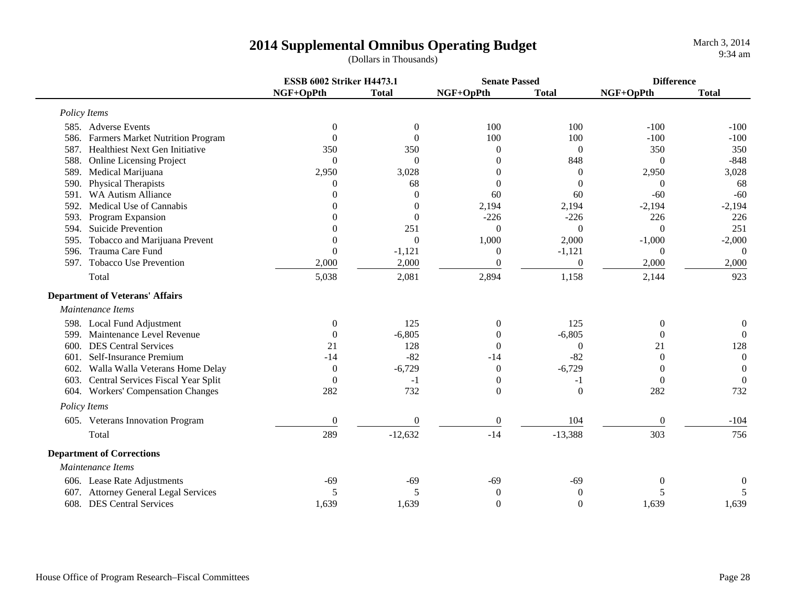|      |                                         | <b>ESSB 6002 Striker H4473.1</b> |                  | <b>Senate Passed</b> |                  | <b>Difference</b> |                  |
|------|-----------------------------------------|----------------------------------|------------------|----------------------|------------------|-------------------|------------------|
|      |                                         | NGF+OpPth                        | <b>Total</b>     | NGF+OpPth            | <b>Total</b>     | NGF+OpPth         | <b>Total</b>     |
|      | Policy Items                            |                                  |                  |                      |                  |                   |                  |
|      | 585. Adverse Events                     | $\boldsymbol{0}$                 | $\theta$         | 100                  | 100              | $-100$            | $-100$           |
|      | 586. Farmers Market Nutrition Program   | $\Omega$                         | $\theta$         | 100                  | 100              | $-100$            | $-100$           |
|      | 587. Healthiest Next Gen Initiative     | 350                              | 350              | $\mathbf{0}$         | $\boldsymbol{0}$ | 350               | 350              |
| 588. | <b>Online Licensing Project</b>         | $\Omega$                         | $\theta$         | $\Omega$             | 848              | $\mathbf{0}$      | $-848$           |
| 589. | Medical Marijuana                       | 2,950                            | 3,028            | $\Omega$             | $\overline{0}$   | 2,950             | 3,028            |
| 590. | Physical Therapists                     | $\Omega$                         | 68               | $\Omega$             | $\Omega$         | $\Omega$          | 68               |
| 591. | <b>WA Autism Alliance</b>               | $\Omega$                         | $\overline{0}$   | 60                   | 60               | $-60$             | $-60$            |
| 592. | Medical Use of Cannabis                 | $\Omega$                         | $\boldsymbol{0}$ | 2,194                | 2,194            | $-2,194$          | $-2,194$         |
| 593. | Program Expansion                       | $\Omega$                         | $\theta$         | $-226$               | $-226$           | 226               | 226              |
| 594. | Suicide Prevention                      | $\Omega$                         | 251              | $\Omega$             | $\theta$         | $\theta$          | 251              |
| 595. | Tobacco and Marijuana Prevent           | $\Omega$                         | $\theta$         | 1,000                | 2,000            | $-1,000$          | $-2,000$         |
| 596. | Trauma Care Fund                        | $\Omega$                         | $-1,121$         | $\overline{0}$       | $-1,121$         | $\Omega$          | $\Omega$         |
| 597. | Tobacco Use Prevention                  | 2,000                            | 2,000            | $\boldsymbol{0}$     | $\theta$         | 2,000             | 2,000            |
|      | Total                                   | 5,038                            | 2,081            | 2,894                | 1,158            | 2,144             | 923              |
|      | <b>Department of Veterans' Affairs</b>  |                                  |                  |                      |                  |                   |                  |
|      | Maintenance Items                       |                                  |                  |                      |                  |                   |                  |
|      | 598. Local Fund Adjustment              | $\boldsymbol{0}$                 | 125              | $\mathbf{0}$         | 125              | $\boldsymbol{0}$  | $\overline{0}$   |
|      | 599. Maintenance Level Revenue          | $\theta$                         | $-6,805$         | $\Omega$             | $-6,805$         | $\theta$          | $\theta$         |
| 600. | <b>DES Central Services</b>             | 21                               | 128              | $\Omega$             | $\Omega$         | 21                | 128              |
| 601. | Self-Insurance Premium                  | $-14$                            | $-82$            | $-14$                | $-82$            | $\Omega$          | $\overline{0}$   |
| 602. | Walla Walla Veterans Home Delay         | $\theta$                         | $-6,729$         | $\theta$             | $-6,729$         | $\Omega$          | $\theta$         |
|      | 603. Central Services Fiscal Year Split | $\Omega$                         | $-1$             | $\mathbf{0}$         | $-1$             | $\Omega$          | $\overline{0}$   |
|      | 604. Workers' Compensation Changes      | 282                              | 732              | $\mathbf{0}$         | $\theta$         | 282               | 732              |
|      | Policy Items                            |                                  |                  |                      |                  |                   |                  |
|      | 605. Veterans Innovation Program        | $\overline{0}$                   | $\mathbf{0}$     | $\mathbf{0}$         | 104              | $\overline{0}$    | $-104$           |
|      | Total                                   | 289                              | $-12,632$        | $-14$                | $-13,388$        | 303               | 756              |
|      | <b>Department of Corrections</b>        |                                  |                  |                      |                  |                   |                  |
|      | Maintenance Items                       |                                  |                  |                      |                  |                   |                  |
|      | 606. Lease Rate Adjustments             | $-69$                            | $-69$            | $-69$                | $-69$            | $\Omega$          | $\boldsymbol{0}$ |
|      | 607. Attorney General Legal Services    | 5                                | 5                | $\boldsymbol{0}$     | $\theta$         | 5                 | 5                |
|      | 608. DES Central Services               | 1,639                            | 1,639            | $\mathbf{0}$         | $\mathbf{0}$     | 1,639             | 1,639            |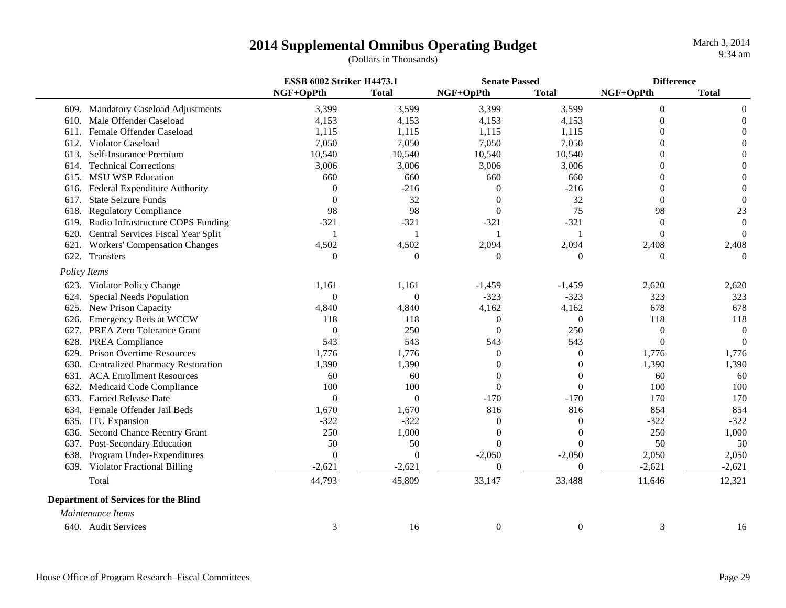|      |                                             | <b>ESSB 6002 Striker H4473.1</b> |                | <b>Senate Passed</b> |                | <b>Difference</b> |                  |
|------|---------------------------------------------|----------------------------------|----------------|----------------------|----------------|-------------------|------------------|
|      |                                             | NGF+OpPth                        | <b>Total</b>   | NGF+OpPth            | <b>Total</b>   | NGF+OpPth         | <b>Total</b>     |
|      | 609. Mandatory Caseload Adjustments         | 3,399                            | 3,599          | 3,399                | 3,599          | $\theta$          | $\overline{0}$   |
| 610. | Male Offender Caseload                      | 4,153                            | 4,153          | 4,153                | 4,153          | $\Omega$          | 0                |
| 611. | Female Offender Caseload                    | 1,115                            | 1,115          | 1,115                | 1,115          | 0                 | $\theta$         |
| 612. | Violator Caseload                           | 7,050                            | 7,050          | 7,050                | 7,050          | $\Omega$          | $\Omega$         |
| 613. | Self-Insurance Premium                      | 10,540                           | 10,540         | 10,540               | 10,540         | $\theta$          | $\theta$         |
| 614. | <b>Technical Corrections</b>                | 3,006                            | 3,006          | 3,006                | 3,006          | $\Omega$          | $\Omega$         |
| 615. | <b>MSU WSP Education</b>                    | 660                              | 660            | 660                  | 660            | $\Omega$          | $\Omega$         |
| 616. | Federal Expenditure Authority               | $\Omega$                         | $-216$         | $\theta$             | $-216$         | $\Omega$          | $\overline{0}$   |
| 617. | <b>State Seizure Funds</b>                  | $\Omega$                         | 32             | $\Omega$             | 32             | $\Omega$          | $\overline{0}$   |
| 618. | <b>Regulatory Compliance</b>                | 98                               | 98             | $\theta$             | 75             | 98                | 23               |
| 619. | Radio Infrastructure COPS Funding           | $-321$                           | $-321$         | $-321$               | $-321$         | $\theta$          | $\boldsymbol{0}$ |
|      | 620. Central Services Fiscal Year Split     | $\mathbf{1}$                     | $\mathbf{1}$   |                      |                | $\theta$          | $\theta$         |
| 621. | <b>Workers' Compensation Changes</b>        | 4,502                            | 4,502          | 2,094                | 2,094          | 2,408             | 2,408            |
| 622. | Transfers                                   | $\Omega$                         | $\Omega$       | $\theta$             | 0              | $\Omega$          | $\overline{0}$   |
|      | Policy Items                                |                                  |                |                      |                |                   |                  |
|      | 623. Violator Policy Change                 | 1,161                            | 1,161          | $-1,459$             | $-1,459$       | 2,620             | 2,620            |
| 624. | <b>Special Needs Population</b>             | $\theta$                         | $\theta$       | $-323$               | $-323$         | 323               | 323              |
|      | 625. New Prison Capacity                    | 4,840                            | 4,840          | 4,162                | 4,162          | 678               | 678              |
| 626. | <b>Emergency Beds at WCCW</b>               | 118                              | 118            | $\boldsymbol{0}$     | $\overline{0}$ | 118               | 118              |
| 627. | PREA Zero Tolerance Grant                   | $\overline{0}$                   | 250            | $\mathbf{0}$         | 250            | $\overline{0}$    | $\theta$         |
| 628. | PREA Compliance                             | 543                              | 543            | 543                  | 543            | $\theta$          | $\overline{0}$   |
| 629. | <b>Prison Overtime Resources</b>            | 1,776                            | 1,776          | $\overline{0}$       | 0              | 1,776             | 1,776            |
| 630. | <b>Centralized Pharmacy Restoration</b>     | 1,390                            | 1,390          | 0                    | 0              | 1,390             | 1,390            |
| 631. | <b>ACA Enrollment Resources</b>             | 60                               | 60             | $\theta$             | 0              | 60                | 60               |
| 632. | Medicaid Code Compliance                    | 100                              | 100            | $\boldsymbol{0}$     | $\theta$       | 100               | 100              |
| 633. | <b>Earned Release Date</b>                  | $\overline{0}$                   | $\theta$       | $-170$               | $-170$         | 170               | 170              |
| 634. | Female Offender Jail Beds                   | 1,670                            | 1,670          | 816                  | 816            | 854               | 854              |
| 635. | <b>ITU</b> Expansion                        | $-322$                           | $-322$         | $\overline{0}$       | 0              | $-322$            | $-322$           |
| 636. | Second Chance Reentry Grant                 | 250                              | 1,000          | $\theta$             | 0              | 250               | 1,000            |
|      | 637. Post-Secondary Education               | 50                               | 50             | $\Omega$             | 0              | 50                | 50               |
|      | 638. Program Under-Expenditures             | $\overline{0}$                   | $\overline{0}$ | $-2,050$             | $-2,050$       | 2,050             | 2,050            |
|      | 639. Violator Fractional Billing            | $-2,621$                         | $-2,621$       | $\boldsymbol{0}$     | $\overline{0}$ | $-2,621$          | $-2,621$         |
|      | Total                                       | 44,793                           | 45,809         | 33,147               | 33,488         | 11,646            | 12,321           |
|      | <b>Department of Services for the Blind</b> |                                  |                |                      |                |                   |                  |
|      | Maintenance Items                           |                                  |                |                      |                |                   |                  |
|      | 640. Audit Services                         | 3                                | 16             | $\mathbf{0}$         | $\overline{0}$ | 3                 | 16               |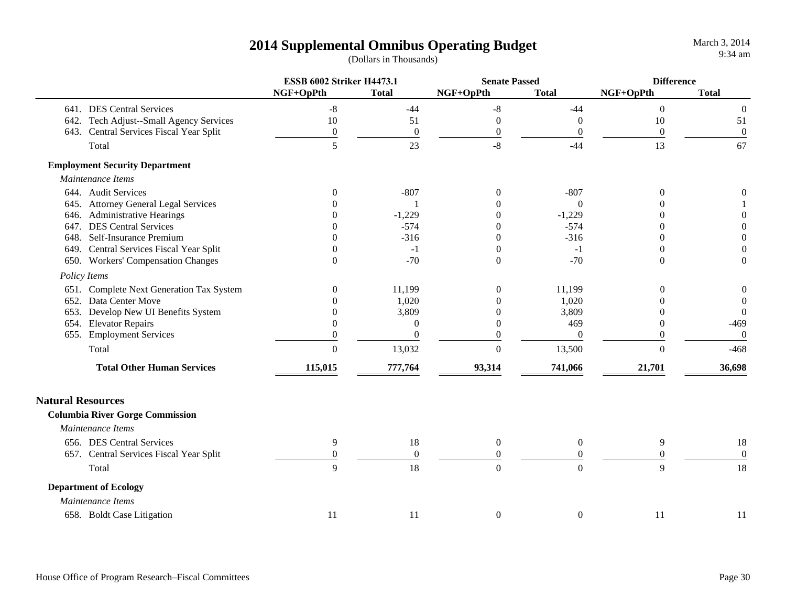|                          |                                          | <b>ESSB 6002 Striker H4473.1</b> |                  | <b>Senate Passed</b> |                  | <b>Difference</b> |                  |
|--------------------------|------------------------------------------|----------------------------------|------------------|----------------------|------------------|-------------------|------------------|
|                          |                                          | NGF+OpPth                        | <b>Total</b>     | NGF+OpPth            | <b>Total</b>     | NGF+OpPth         | <b>Total</b>     |
|                          | 641. DES Central Services                | $-8$                             | $-44$            | $\mbox{-}8$          | $-44$            | $\overline{0}$    | $\boldsymbol{0}$ |
|                          | 642. Tech Adjust--Small Agency Services  | 10                               | 51               | $\boldsymbol{0}$     | $\Omega$         | 10                | 51               |
|                          | 643. Central Services Fiscal Year Split  | $\boldsymbol{0}$                 | $\boldsymbol{0}$ | $\boldsymbol{0}$     | $\theta$         | $\boldsymbol{0}$  | $\boldsymbol{0}$ |
|                          | Total                                    | 5                                | 23               | $-8$                 | $-44$            | 13                | 67               |
|                          | <b>Employment Security Department</b>    |                                  |                  |                      |                  |                   |                  |
|                          | Maintenance Items                        |                                  |                  |                      |                  |                   |                  |
|                          | 644. Audit Services                      | $\Omega$                         | $-807$           | $\overline{0}$       | $-807$           | $\Omega$          | $\boldsymbol{0}$ |
|                          | 645. Attorney General Legal Services     |                                  |                  | $\Omega$             | $\theta$         | $\Omega$          |                  |
|                          | 646. Administrative Hearings             |                                  | $-1,229$         | 0                    | $-1,229$         |                   | 0                |
|                          | 647. DES Central Services                |                                  | $-574$           | $\Omega$             | $-574$           | ∩                 | $\overline{0}$   |
|                          | 648. Self-Insurance Premium              |                                  | $-316$           | $\Omega$             | $-316$           | 0                 | $\Omega$         |
|                          | 649. Central Services Fiscal Year Split  |                                  | $-1$             | $\mathbf{0}$         | $-1$             | $\Omega$          | $\overline{0}$   |
|                          | 650. Workers' Compensation Changes       | $\Omega$                         | $-70$            | $\Omega$             | $-70$            | $\theta$          | $\theta$         |
|                          | Policy Items                             |                                  |                  |                      |                  |                   |                  |
|                          | 651. Complete Next Generation Tax System | $\overline{0}$                   | 11,199           | $\boldsymbol{0}$     | 11,199           | $\theta$          | $\boldsymbol{0}$ |
|                          | 652. Data Center Move                    |                                  | 1,020            |                      | 1,020            |                   | $\theta$         |
|                          | 653. Develop New UI Benefits System      |                                  | 3,809            | $\Omega$             | 3,809            | $\Omega$          | $\theta$         |
|                          | 654. Elevator Repairs                    | $\Omega$                         | $\theta$         | $\Omega$             | 469              | $\theta$          | $-469$           |
|                          | 655. Employment Services                 | $\Omega$                         | $\overline{0}$   | $\theta$             | $\theta$         | $\theta$          | $\mathbf{0}$     |
|                          | Total                                    | $\boldsymbol{0}$                 | 13,032           | $\boldsymbol{0}$     | 13,500           | $\overline{0}$    | $-468$           |
|                          | <b>Total Other Human Services</b>        | 115,015                          | 777,764          | 93,314               | 741,066          | 21,701            | 36,698           |
| <b>Natural Resources</b> |                                          |                                  |                  |                      |                  |                   |                  |
|                          | <b>Columbia River Gorge Commission</b>   |                                  |                  |                      |                  |                   |                  |
|                          | Maintenance Items                        |                                  |                  |                      |                  |                   |                  |
|                          | 656. DES Central Services                | 9                                | 18               | $\boldsymbol{0}$     | $\boldsymbol{0}$ | 9                 | 18               |
|                          | 657. Central Services Fiscal Year Split  | $\boldsymbol{0}$                 | $\boldsymbol{0}$ | $\boldsymbol{0}$     | $\theta$         | $\overline{0}$    | $\boldsymbol{0}$ |
|                          | Total                                    | 9                                | 18               | $\boldsymbol{0}$     | $\overline{0}$   | 9                 | 18               |
|                          | <b>Department of Ecology</b>             |                                  |                  |                      |                  |                   |                  |
|                          | Maintenance Items                        |                                  |                  |                      |                  |                   |                  |
|                          | 658. Boldt Case Litigation               | 11                               | 11               | $\boldsymbol{0}$     | $\boldsymbol{0}$ | 11                | 11               |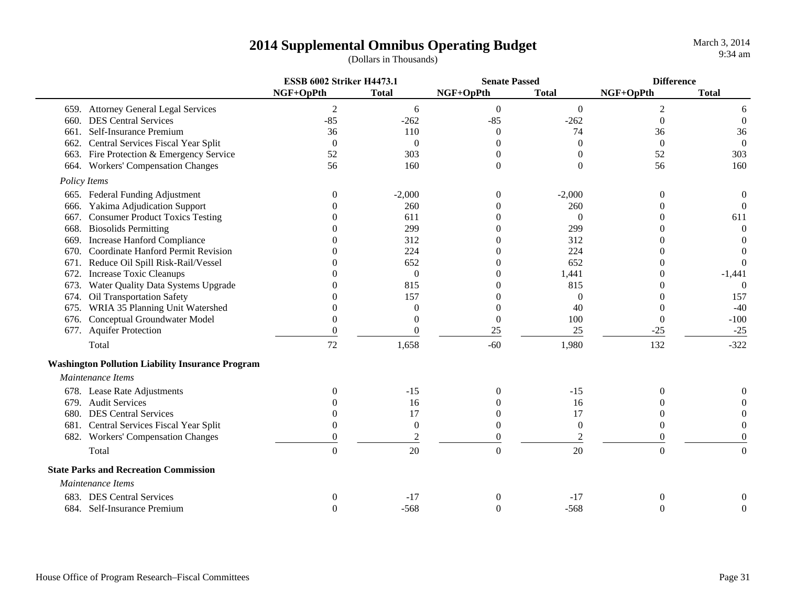| <b>Total</b><br>NGF+OpPth<br>NGF+OpPth<br>NGF+OpPth<br><b>Total</b><br><b>Total</b><br>659. Attorney General Legal Services<br>$\overline{2}$<br>$\mathfrak{2}$<br>$\boldsymbol{0}$<br>$\overline{0}$<br>6<br>6<br>$-85$<br><b>DES Central Services</b><br>$-85$<br>$-262$<br>$-262$<br>$\Omega$<br>$\boldsymbol{0}$<br>660.<br>Self-Insurance Premium<br>36<br>110<br>36<br>$\theta$<br>36<br>661.<br>74<br>Central Services Fiscal Year Split<br>$\overline{0}$<br>$\boldsymbol{0}$<br>662.<br>$\theta$<br>$\overline{0}$<br>$\theta$<br>$\overline{0}$<br>663. Fire Protection & Emergency Service<br>303<br>52<br>303<br>52<br>$\theta$<br>0<br>160<br>664. Workers' Compensation Changes<br>56<br>$\boldsymbol{0}$<br>56<br>160<br>0<br>Policy Items<br>665. Federal Funding Adjustment<br>$-2,000$<br>$-2,000$<br>$\boldsymbol{0}$<br>0<br>$\overline{0}$<br>$\boldsymbol{0}$<br>Yakima Adjudication Support<br>$\overline{0}$<br>260<br>260<br>$\Omega$<br>0<br>$\Omega$<br>666.<br><b>Consumer Product Toxics Testing</b><br>611<br>611<br>$\Omega$<br>667.<br>0<br>0<br><b>Biosolids Permitting</b><br>299<br>299<br>$\overline{0}$<br>668.<br>0<br>Increase Hanford Compliance<br>312<br>312<br>$\theta$<br>669.<br>$\Omega$<br>0<br><b>Coordinate Hanford Permit Revision</b><br>224<br>224<br>$\theta$<br>670.<br>0<br>0<br>$\Omega$<br>Reduce Oil Spill Risk-Rail/Vessel<br>652<br>652<br>671.<br>$\Omega$<br>0<br>Increase Toxic Cleanups<br>1,441<br>$\overline{0}$<br>$-1,441$<br>672.<br>0<br>0<br>Water Quality Data Systems Upgrade<br>815<br>815<br>$\overline{0}$<br>673.<br>0<br>0<br>Oil Transportation Safety<br>157<br>157<br>674.<br>$\theta$<br>0<br>WRIA 35 Planning Unit Watershed<br>40<br>$-40$<br>$\overline{0}$<br>$\boldsymbol{0}$<br>0<br>675.<br>$\Omega$<br>$\boldsymbol{0}$<br>$-100$<br>676. Conceptual Groundwater Model<br>$\Omega$<br>100<br>$\Omega$<br>$\Omega$<br>677. Aquifer Protection<br>25<br>25<br>$-25$<br>$\theta$<br>$-25$<br>$\Omega$<br>72<br>$-60$<br>132<br>1,658<br>$-322$<br>Total<br>1,980<br><b>Washington Pollution Liability Insurance Program</b><br>Maintenance Items<br>678. Lease Rate Adjustments<br>$-15$<br>$-15$<br>0<br>$\theta$<br>0<br><b>Audit Services</b><br>16<br>16<br>679.<br>0<br>17<br><b>DES Central Services</b><br>17<br>680.<br>0<br>$\Omega$<br>0<br>681. Central Services Fiscal Year Split<br>$\overline{0}$<br>$\theta$<br>$\overline{0}$<br>$\Omega$<br>$\theta$<br>$\theta$<br>$\overline{2}$<br>$\Omega$<br>$\boldsymbol{0}$<br>$\theta$<br>682. Workers' Compensation Changes<br>0<br>20<br>$\boldsymbol{0}$<br>20<br>$\overline{0}$<br>$\overline{0}$<br>Total<br>$\theta$<br><b>State Parks and Recreation Commission</b><br>Maintenance Items<br>683. DES Central Services<br>$-17$<br>$-17$<br>$\theta$<br>0<br>$-568$<br>$-568$<br>$\Omega$<br>$\Omega$<br>$\Omega$<br>$\Omega$<br>684. Self-Insurance Premium |  | <b>ESSB 6002 Striker H4473.1</b> | <b>Senate Passed</b> | <b>Difference</b> |  |
|--------------------------------------------------------------------------------------------------------------------------------------------------------------------------------------------------------------------------------------------------------------------------------------------------------------------------------------------------------------------------------------------------------------------------------------------------------------------------------------------------------------------------------------------------------------------------------------------------------------------------------------------------------------------------------------------------------------------------------------------------------------------------------------------------------------------------------------------------------------------------------------------------------------------------------------------------------------------------------------------------------------------------------------------------------------------------------------------------------------------------------------------------------------------------------------------------------------------------------------------------------------------------------------------------------------------------------------------------------------------------------------------------------------------------------------------------------------------------------------------------------------------------------------------------------------------------------------------------------------------------------------------------------------------------------------------------------------------------------------------------------------------------------------------------------------------------------------------------------------------------------------------------------------------------------------------------------------------------------------------------------------------------------------------------------------------------------------------------------------------------------------------------------------------------------------------------------------------------------------------------------------------------------------------------------------------------------------------------------------------------------------------------------------------------------------------------------------------------------------------------------------------------------------------------------------------------------------------------------------------------------------------------------------------------------------------------------------------------------------------------------------------------------------------------------------------------------------------------------------------------------------------------------------------|--|----------------------------------|----------------------|-------------------|--|
|                                                                                                                                                                                                                                                                                                                                                                                                                                                                                                                                                                                                                                                                                                                                                                                                                                                                                                                                                                                                                                                                                                                                                                                                                                                                                                                                                                                                                                                                                                                                                                                                                                                                                                                                                                                                                                                                                                                                                                                                                                                                                                                                                                                                                                                                                                                                                                                                                                                                                                                                                                                                                                                                                                                                                                                                                                                                                                                    |  |                                  |                      |                   |  |
|                                                                                                                                                                                                                                                                                                                                                                                                                                                                                                                                                                                                                                                                                                                                                                                                                                                                                                                                                                                                                                                                                                                                                                                                                                                                                                                                                                                                                                                                                                                                                                                                                                                                                                                                                                                                                                                                                                                                                                                                                                                                                                                                                                                                                                                                                                                                                                                                                                                                                                                                                                                                                                                                                                                                                                                                                                                                                                                    |  |                                  |                      |                   |  |
|                                                                                                                                                                                                                                                                                                                                                                                                                                                                                                                                                                                                                                                                                                                                                                                                                                                                                                                                                                                                                                                                                                                                                                                                                                                                                                                                                                                                                                                                                                                                                                                                                                                                                                                                                                                                                                                                                                                                                                                                                                                                                                                                                                                                                                                                                                                                                                                                                                                                                                                                                                                                                                                                                                                                                                                                                                                                                                                    |  |                                  |                      |                   |  |
|                                                                                                                                                                                                                                                                                                                                                                                                                                                                                                                                                                                                                                                                                                                                                                                                                                                                                                                                                                                                                                                                                                                                                                                                                                                                                                                                                                                                                                                                                                                                                                                                                                                                                                                                                                                                                                                                                                                                                                                                                                                                                                                                                                                                                                                                                                                                                                                                                                                                                                                                                                                                                                                                                                                                                                                                                                                                                                                    |  |                                  |                      |                   |  |
|                                                                                                                                                                                                                                                                                                                                                                                                                                                                                                                                                                                                                                                                                                                                                                                                                                                                                                                                                                                                                                                                                                                                                                                                                                                                                                                                                                                                                                                                                                                                                                                                                                                                                                                                                                                                                                                                                                                                                                                                                                                                                                                                                                                                                                                                                                                                                                                                                                                                                                                                                                                                                                                                                                                                                                                                                                                                                                                    |  |                                  |                      |                   |  |
|                                                                                                                                                                                                                                                                                                                                                                                                                                                                                                                                                                                                                                                                                                                                                                                                                                                                                                                                                                                                                                                                                                                                                                                                                                                                                                                                                                                                                                                                                                                                                                                                                                                                                                                                                                                                                                                                                                                                                                                                                                                                                                                                                                                                                                                                                                                                                                                                                                                                                                                                                                                                                                                                                                                                                                                                                                                                                                                    |  |                                  |                      |                   |  |
|                                                                                                                                                                                                                                                                                                                                                                                                                                                                                                                                                                                                                                                                                                                                                                                                                                                                                                                                                                                                                                                                                                                                                                                                                                                                                                                                                                                                                                                                                                                                                                                                                                                                                                                                                                                                                                                                                                                                                                                                                                                                                                                                                                                                                                                                                                                                                                                                                                                                                                                                                                                                                                                                                                                                                                                                                                                                                                                    |  |                                  |                      |                   |  |
|                                                                                                                                                                                                                                                                                                                                                                                                                                                                                                                                                                                                                                                                                                                                                                                                                                                                                                                                                                                                                                                                                                                                                                                                                                                                                                                                                                                                                                                                                                                                                                                                                                                                                                                                                                                                                                                                                                                                                                                                                                                                                                                                                                                                                                                                                                                                                                                                                                                                                                                                                                                                                                                                                                                                                                                                                                                                                                                    |  |                                  |                      |                   |  |
|                                                                                                                                                                                                                                                                                                                                                                                                                                                                                                                                                                                                                                                                                                                                                                                                                                                                                                                                                                                                                                                                                                                                                                                                                                                                                                                                                                                                                                                                                                                                                                                                                                                                                                                                                                                                                                                                                                                                                                                                                                                                                                                                                                                                                                                                                                                                                                                                                                                                                                                                                                                                                                                                                                                                                                                                                                                                                                                    |  |                                  |                      |                   |  |
|                                                                                                                                                                                                                                                                                                                                                                                                                                                                                                                                                                                                                                                                                                                                                                                                                                                                                                                                                                                                                                                                                                                                                                                                                                                                                                                                                                                                                                                                                                                                                                                                                                                                                                                                                                                                                                                                                                                                                                                                                                                                                                                                                                                                                                                                                                                                                                                                                                                                                                                                                                                                                                                                                                                                                                                                                                                                                                                    |  |                                  |                      |                   |  |
|                                                                                                                                                                                                                                                                                                                                                                                                                                                                                                                                                                                                                                                                                                                                                                                                                                                                                                                                                                                                                                                                                                                                                                                                                                                                                                                                                                                                                                                                                                                                                                                                                                                                                                                                                                                                                                                                                                                                                                                                                                                                                                                                                                                                                                                                                                                                                                                                                                                                                                                                                                                                                                                                                                                                                                                                                                                                                                                    |  |                                  |                      |                   |  |
|                                                                                                                                                                                                                                                                                                                                                                                                                                                                                                                                                                                                                                                                                                                                                                                                                                                                                                                                                                                                                                                                                                                                                                                                                                                                                                                                                                                                                                                                                                                                                                                                                                                                                                                                                                                                                                                                                                                                                                                                                                                                                                                                                                                                                                                                                                                                                                                                                                                                                                                                                                                                                                                                                                                                                                                                                                                                                                                    |  |                                  |                      |                   |  |
|                                                                                                                                                                                                                                                                                                                                                                                                                                                                                                                                                                                                                                                                                                                                                                                                                                                                                                                                                                                                                                                                                                                                                                                                                                                                                                                                                                                                                                                                                                                                                                                                                                                                                                                                                                                                                                                                                                                                                                                                                                                                                                                                                                                                                                                                                                                                                                                                                                                                                                                                                                                                                                                                                                                                                                                                                                                                                                                    |  |                                  |                      |                   |  |
|                                                                                                                                                                                                                                                                                                                                                                                                                                                                                                                                                                                                                                                                                                                                                                                                                                                                                                                                                                                                                                                                                                                                                                                                                                                                                                                                                                                                                                                                                                                                                                                                                                                                                                                                                                                                                                                                                                                                                                                                                                                                                                                                                                                                                                                                                                                                                                                                                                                                                                                                                                                                                                                                                                                                                                                                                                                                                                                    |  |                                  |                      |                   |  |
|                                                                                                                                                                                                                                                                                                                                                                                                                                                                                                                                                                                                                                                                                                                                                                                                                                                                                                                                                                                                                                                                                                                                                                                                                                                                                                                                                                                                                                                                                                                                                                                                                                                                                                                                                                                                                                                                                                                                                                                                                                                                                                                                                                                                                                                                                                                                                                                                                                                                                                                                                                                                                                                                                                                                                                                                                                                                                                                    |  |                                  |                      |                   |  |
|                                                                                                                                                                                                                                                                                                                                                                                                                                                                                                                                                                                                                                                                                                                                                                                                                                                                                                                                                                                                                                                                                                                                                                                                                                                                                                                                                                                                                                                                                                                                                                                                                                                                                                                                                                                                                                                                                                                                                                                                                                                                                                                                                                                                                                                                                                                                                                                                                                                                                                                                                                                                                                                                                                                                                                                                                                                                                                                    |  |                                  |                      |                   |  |
|                                                                                                                                                                                                                                                                                                                                                                                                                                                                                                                                                                                                                                                                                                                                                                                                                                                                                                                                                                                                                                                                                                                                                                                                                                                                                                                                                                                                                                                                                                                                                                                                                                                                                                                                                                                                                                                                                                                                                                                                                                                                                                                                                                                                                                                                                                                                                                                                                                                                                                                                                                                                                                                                                                                                                                                                                                                                                                                    |  |                                  |                      |                   |  |
|                                                                                                                                                                                                                                                                                                                                                                                                                                                                                                                                                                                                                                                                                                                                                                                                                                                                                                                                                                                                                                                                                                                                                                                                                                                                                                                                                                                                                                                                                                                                                                                                                                                                                                                                                                                                                                                                                                                                                                                                                                                                                                                                                                                                                                                                                                                                                                                                                                                                                                                                                                                                                                                                                                                                                                                                                                                                                                                    |  |                                  |                      |                   |  |
|                                                                                                                                                                                                                                                                                                                                                                                                                                                                                                                                                                                                                                                                                                                                                                                                                                                                                                                                                                                                                                                                                                                                                                                                                                                                                                                                                                                                                                                                                                                                                                                                                                                                                                                                                                                                                                                                                                                                                                                                                                                                                                                                                                                                                                                                                                                                                                                                                                                                                                                                                                                                                                                                                                                                                                                                                                                                                                                    |  |                                  |                      |                   |  |
|                                                                                                                                                                                                                                                                                                                                                                                                                                                                                                                                                                                                                                                                                                                                                                                                                                                                                                                                                                                                                                                                                                                                                                                                                                                                                                                                                                                                                                                                                                                                                                                                                                                                                                                                                                                                                                                                                                                                                                                                                                                                                                                                                                                                                                                                                                                                                                                                                                                                                                                                                                                                                                                                                                                                                                                                                                                                                                                    |  |                                  |                      |                   |  |
|                                                                                                                                                                                                                                                                                                                                                                                                                                                                                                                                                                                                                                                                                                                                                                                                                                                                                                                                                                                                                                                                                                                                                                                                                                                                                                                                                                                                                                                                                                                                                                                                                                                                                                                                                                                                                                                                                                                                                                                                                                                                                                                                                                                                                                                                                                                                                                                                                                                                                                                                                                                                                                                                                                                                                                                                                                                                                                                    |  |                                  |                      |                   |  |
|                                                                                                                                                                                                                                                                                                                                                                                                                                                                                                                                                                                                                                                                                                                                                                                                                                                                                                                                                                                                                                                                                                                                                                                                                                                                                                                                                                                                                                                                                                                                                                                                                                                                                                                                                                                                                                                                                                                                                                                                                                                                                                                                                                                                                                                                                                                                                                                                                                                                                                                                                                                                                                                                                                                                                                                                                                                                                                                    |  |                                  |                      |                   |  |
|                                                                                                                                                                                                                                                                                                                                                                                                                                                                                                                                                                                                                                                                                                                                                                                                                                                                                                                                                                                                                                                                                                                                                                                                                                                                                                                                                                                                                                                                                                                                                                                                                                                                                                                                                                                                                                                                                                                                                                                                                                                                                                                                                                                                                                                                                                                                                                                                                                                                                                                                                                                                                                                                                                                                                                                                                                                                                                                    |  |                                  |                      |                   |  |
|                                                                                                                                                                                                                                                                                                                                                                                                                                                                                                                                                                                                                                                                                                                                                                                                                                                                                                                                                                                                                                                                                                                                                                                                                                                                                                                                                                                                                                                                                                                                                                                                                                                                                                                                                                                                                                                                                                                                                                                                                                                                                                                                                                                                                                                                                                                                                                                                                                                                                                                                                                                                                                                                                                                                                                                                                                                                                                                    |  |                                  |                      |                   |  |
|                                                                                                                                                                                                                                                                                                                                                                                                                                                                                                                                                                                                                                                                                                                                                                                                                                                                                                                                                                                                                                                                                                                                                                                                                                                                                                                                                                                                                                                                                                                                                                                                                                                                                                                                                                                                                                                                                                                                                                                                                                                                                                                                                                                                                                                                                                                                                                                                                                                                                                                                                                                                                                                                                                                                                                                                                                                                                                                    |  |                                  |                      |                   |  |
|                                                                                                                                                                                                                                                                                                                                                                                                                                                                                                                                                                                                                                                                                                                                                                                                                                                                                                                                                                                                                                                                                                                                                                                                                                                                                                                                                                                                                                                                                                                                                                                                                                                                                                                                                                                                                                                                                                                                                                                                                                                                                                                                                                                                                                                                                                                                                                                                                                                                                                                                                                                                                                                                                                                                                                                                                                                                                                                    |  |                                  |                      |                   |  |
|                                                                                                                                                                                                                                                                                                                                                                                                                                                                                                                                                                                                                                                                                                                                                                                                                                                                                                                                                                                                                                                                                                                                                                                                                                                                                                                                                                                                                                                                                                                                                                                                                                                                                                                                                                                                                                                                                                                                                                                                                                                                                                                                                                                                                                                                                                                                                                                                                                                                                                                                                                                                                                                                                                                                                                                                                                                                                                                    |  |                                  |                      |                   |  |
|                                                                                                                                                                                                                                                                                                                                                                                                                                                                                                                                                                                                                                                                                                                                                                                                                                                                                                                                                                                                                                                                                                                                                                                                                                                                                                                                                                                                                                                                                                                                                                                                                                                                                                                                                                                                                                                                                                                                                                                                                                                                                                                                                                                                                                                                                                                                                                                                                                                                                                                                                                                                                                                                                                                                                                                                                                                                                                                    |  |                                  |                      |                   |  |
|                                                                                                                                                                                                                                                                                                                                                                                                                                                                                                                                                                                                                                                                                                                                                                                                                                                                                                                                                                                                                                                                                                                                                                                                                                                                                                                                                                                                                                                                                                                                                                                                                                                                                                                                                                                                                                                                                                                                                                                                                                                                                                                                                                                                                                                                                                                                                                                                                                                                                                                                                                                                                                                                                                                                                                                                                                                                                                                    |  |                                  |                      |                   |  |
|                                                                                                                                                                                                                                                                                                                                                                                                                                                                                                                                                                                                                                                                                                                                                                                                                                                                                                                                                                                                                                                                                                                                                                                                                                                                                                                                                                                                                                                                                                                                                                                                                                                                                                                                                                                                                                                                                                                                                                                                                                                                                                                                                                                                                                                                                                                                                                                                                                                                                                                                                                                                                                                                                                                                                                                                                                                                                                                    |  |                                  |                      |                   |  |
|                                                                                                                                                                                                                                                                                                                                                                                                                                                                                                                                                                                                                                                                                                                                                                                                                                                                                                                                                                                                                                                                                                                                                                                                                                                                                                                                                                                                                                                                                                                                                                                                                                                                                                                                                                                                                                                                                                                                                                                                                                                                                                                                                                                                                                                                                                                                                                                                                                                                                                                                                                                                                                                                                                                                                                                                                                                                                                                    |  |                                  |                      |                   |  |
|                                                                                                                                                                                                                                                                                                                                                                                                                                                                                                                                                                                                                                                                                                                                                                                                                                                                                                                                                                                                                                                                                                                                                                                                                                                                                                                                                                                                                                                                                                                                                                                                                                                                                                                                                                                                                                                                                                                                                                                                                                                                                                                                                                                                                                                                                                                                                                                                                                                                                                                                                                                                                                                                                                                                                                                                                                                                                                                    |  |                                  |                      |                   |  |
|                                                                                                                                                                                                                                                                                                                                                                                                                                                                                                                                                                                                                                                                                                                                                                                                                                                                                                                                                                                                                                                                                                                                                                                                                                                                                                                                                                                                                                                                                                                                                                                                                                                                                                                                                                                                                                                                                                                                                                                                                                                                                                                                                                                                                                                                                                                                                                                                                                                                                                                                                                                                                                                                                                                                                                                                                                                                                                                    |  |                                  |                      |                   |  |
|                                                                                                                                                                                                                                                                                                                                                                                                                                                                                                                                                                                                                                                                                                                                                                                                                                                                                                                                                                                                                                                                                                                                                                                                                                                                                                                                                                                                                                                                                                                                                                                                                                                                                                                                                                                                                                                                                                                                                                                                                                                                                                                                                                                                                                                                                                                                                                                                                                                                                                                                                                                                                                                                                                                                                                                                                                                                                                                    |  |                                  |                      |                   |  |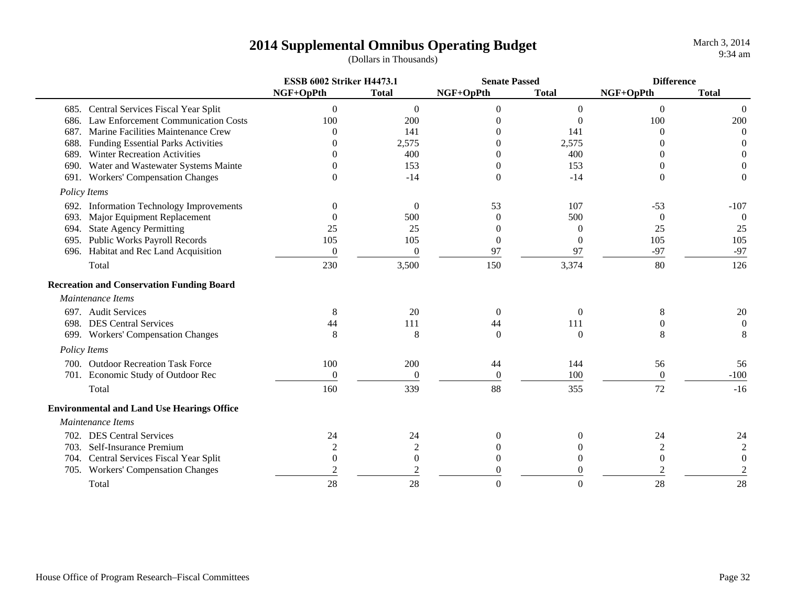|                                                    | <b>ESSB 6002 Striker H4473.1</b> |                | <b>Senate Passed</b> |                | <b>Difference</b> |                  |
|----------------------------------------------------|----------------------------------|----------------|----------------------|----------------|-------------------|------------------|
|                                                    | NGF+OpPth                        | <b>Total</b>   | NGF+OpPth            | <b>Total</b>   | NGF+OpPth         | <b>Total</b>     |
| 685. Central Services Fiscal Year Split            | $\theta$                         | $\overline{0}$ | $\theta$             | $\overline{0}$ | $\overline{0}$    | $\overline{0}$   |
| <b>Law Enforcement Communication Costs</b><br>686. | 100                              | 200            | $\Omega$             | $\Omega$       | 100               | 200              |
| Marine Facilities Maintenance Crew<br>687.         | $\Omega$                         | 141            | $\Omega$             | 141            | $\Omega$          | $\Omega$         |
| <b>Funding Essential Parks Activities</b><br>688.  | $\Omega$                         | 2,575          | $\Omega$             | 2,575          | $\Omega$          | $\theta$         |
| <b>Winter Recreation Activities</b><br>689.        |                                  | 400            | $\Omega$             | 400            | 0                 | $\theta$         |
| Water and Wastewater Systems Mainte<br>690.        |                                  | 153            | 0                    | 153            | $\Omega$          | $\overline{0}$   |
| 691. Workers' Compensation Changes                 | $\Omega$                         | $-14$          | $\Omega$             | $-14$          | $\Omega$          | $\overline{0}$   |
| Policy Items                                       |                                  |                |                      |                |                   |                  |
| 692. Information Technology Improvements           | $\theta$                         | $\Omega$       | 53                   | 107            | $-53$             | $-107$           |
| Major Equipment Replacement<br>693.                | $\Omega$                         | 500            | $\Omega$             | 500            | $\Omega$          | $\theta$         |
| <b>State Agency Permitting</b><br>694.             | 25                               | 25             | $\theta$             | $\theta$       | 25                | 25               |
| 695. Public Works Payroll Records                  | 105                              | 105            | $\overline{0}$       | $\Omega$       | 105               | 105              |
| Habitat and Rec Land Acquisition<br>696.           | $\boldsymbol{0}$                 | $\overline{0}$ | 97                   | 97             | $-97$             | $-97$            |
| Total                                              | 230                              | 3,500          | 150                  | 3,374          | 80                | 126              |
| <b>Recreation and Conservation Funding Board</b>   |                                  |                |                      |                |                   |                  |
| Maintenance Items                                  |                                  |                |                      |                |                   |                  |
| 697. Audit Services                                | 8                                | 20             | $\overline{0}$       | $\overline{0}$ | 8                 | 20               |
| 698. DES Central Services                          | 44                               | 111            | 44                   | 111            | 0                 | $\mathbf{0}$     |
| 699. Workers' Compensation Changes                 | 8                                | 8              | $\theta$             | $\Omega$       | 8                 | 8                |
| Policy Items                                       |                                  |                |                      |                |                   |                  |
| 700. Outdoor Recreation Task Force                 | 100                              | 200            | 44                   | 144            | 56                | 56               |
| 701. Economic Study of Outdoor Rec                 | $\boldsymbol{0}$                 | $\theta$       | $\boldsymbol{0}$     | 100            | $\boldsymbol{0}$  | $-100$           |
| Total                                              | 160                              | 339            | 88                   | 355            | 72                | $-16$            |
| <b>Environmental and Land Use Hearings Office</b>  |                                  |                |                      |                |                   |                  |
| Maintenance Items                                  |                                  |                |                      |                |                   |                  |
| 702. DES Central Services                          | 24                               | 24             | $\Omega$             | $\Omega$       | 24                | 24               |
| 703. Self-Insurance Premium                        | $\overline{c}$                   | $\overline{2}$ | $\Omega$             |                |                   | $\mathfrak 2$    |
| 704. Central Services Fiscal Year Split            | $\theta$                         | $\theta$       | $\Omega$             |                | $\theta$          | $\boldsymbol{0}$ |
| 705. Workers' Compensation Changes                 | $\overline{c}$                   | $\mathfrak{2}$ | $\Omega$             |                | 2                 | $\mathfrak 2$    |
| Total                                              | 28                               | 28             | $\Omega$             |                | 28                | 28               |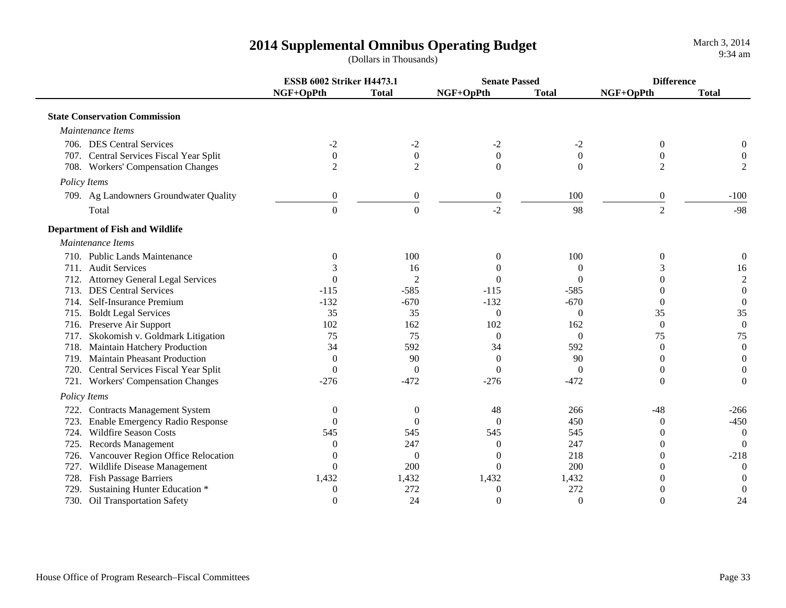|      |                                         | <b>ESSB 6002 Striker H4473.1</b> |                  | <b>Senate Passed</b> |                  |                  | <b>Difference</b> |
|------|-----------------------------------------|----------------------------------|------------------|----------------------|------------------|------------------|-------------------|
|      |                                         | NGF+OpPth                        | <b>Total</b>     | NGF+OpPth            | <b>Total</b>     | NGF+OpPth        | <b>Total</b>      |
|      | <b>State Conservation Commission</b>    |                                  |                  |                      |                  |                  |                   |
|      | Maintenance Items                       |                                  |                  |                      |                  |                  |                   |
|      | 706. DES Central Services               | $-2$                             | $-2$             | $-2$                 | $-2$             | $\boldsymbol{0}$ |                   |
|      | 707. Central Services Fiscal Year Split | $\boldsymbol{0}$                 | $\boldsymbol{0}$ | $\boldsymbol{0}$     | $\boldsymbol{0}$ | $\overline{0}$   | $\overline{0}$    |
|      | 708. Workers' Compensation Changes      | $\overline{2}$                   | $\overline{2}$   | $\Omega$             | $\theta$         | $\overline{2}$   | $\mathfrak{2}$    |
|      | Policy Items                            |                                  |                  |                      |                  |                  |                   |
|      | 709. Ag Landowners Groundwater Quality  | $\boldsymbol{0}$                 | $\boldsymbol{0}$ | $\boldsymbol{0}$     | 100              | $\boldsymbol{0}$ | $-100$            |
|      | Total                                   | $\overline{0}$                   | $\overline{0}$   | $-2$                 | 98               | $\overline{2}$   | $-98$             |
|      | <b>Department of Fish and Wildlife</b>  |                                  |                  |                      |                  |                  |                   |
|      | Maintenance Items                       |                                  |                  |                      |                  |                  |                   |
|      | 710. Public Lands Maintenance           | $\Omega$                         | 100              | $\theta$             | 100              | $\theta$         | $\theta$          |
|      | 711. Audit Services                     |                                  | 16               | $\Omega$             | $\Omega$         | 3                | 16                |
|      | 712. Attorney General Legal Services    | 0                                | $\overline{2}$   | $\Omega$             | $\Omega$         | 0                | $\sqrt{2}$        |
|      | 713. DES Central Services               | $-115$                           | $-585$           | $-115$               | $-585$           | 0                | $\boldsymbol{0}$  |
|      | 714. Self-Insurance Premium             | $-132$                           | $-670$           | $-132$               | $-670$           | $\theta$         | $\boldsymbol{0}$  |
|      | 715. Boldt Legal Services               | 35                               | 35               | $\mathbf{0}$         | $\Omega$         | 35               | 35                |
|      | 716. Preserve Air Support               | 102                              | 162              | 102                  | 162              | $\mathbf{0}$     | $\boldsymbol{0}$  |
| 717. | Skokomish v. Goldmark Litigation        | 75                               | 75               | $\theta$             | $\theta$         | 75               | 75                |
|      | 718. Maintain Hatchery Production       | 34                               | 592              | 34                   | 592              | $\Omega$         | $\boldsymbol{0}$  |
| 719. | <b>Maintain Pheasant Production</b>     | $\Omega$                         | 90               | $\Omega$             | 90               | $\Omega$         | $\Omega$          |
|      | 720. Central Services Fiscal Year Split | $\overline{0}$                   | $\Omega$         | $\theta$             | $\mathbf{0}$     | $\Omega$         | $\theta$          |
|      | 721. Workers' Compensation Changes      | $-276$                           | $-472$           | $-276$               | $-472$           | $\theta$         | $\Omega$          |
|      | Policy Items                            |                                  |                  |                      |                  |                  |                   |
| 722. | <b>Contracts Management System</b>      | $\theta$                         | $\theta$         | 48                   | 266              | $-48$            | $-266$            |
| 723. | Enable Emergency Radio Response         | $\Omega$                         | $\theta$         | $\Omega$             | 450              | $\theta$         | $-450$            |
|      | 724. Wildfire Season Costs              | 545                              | 545              | 545                  | 545              | $\theta$         | $\Omega$          |
| 725. | <b>Records Management</b>               | 0                                | 247              | $\theta$             | 247              | $\theta$         | $\Omega$          |
|      | 726. Vancouver Region Office Relocation | $\theta$                         | $\overline{0}$   | $\theta$             | 218              | $\theta$         | $-218$            |
| 727. | Wildlife Disease Management             | $\Omega$                         | 200              | $\theta$             | 200              | $\Omega$         | $\Omega$          |
| 728. | Fish Passage Barriers                   | 1,432                            | 1,432            | 1,432                | 1,432            | $\Omega$         | $\Omega$          |
| 729. | Sustaining Hunter Education *           | $\boldsymbol{0}$                 | 272              | 0                    | 272              | $\Omega$         | $\overline{0}$    |
|      | 730. Oil Transportation Safety          | $\theta$                         | 24               | $\overline{0}$       | $\overline{0}$   | $\Omega$         | 24                |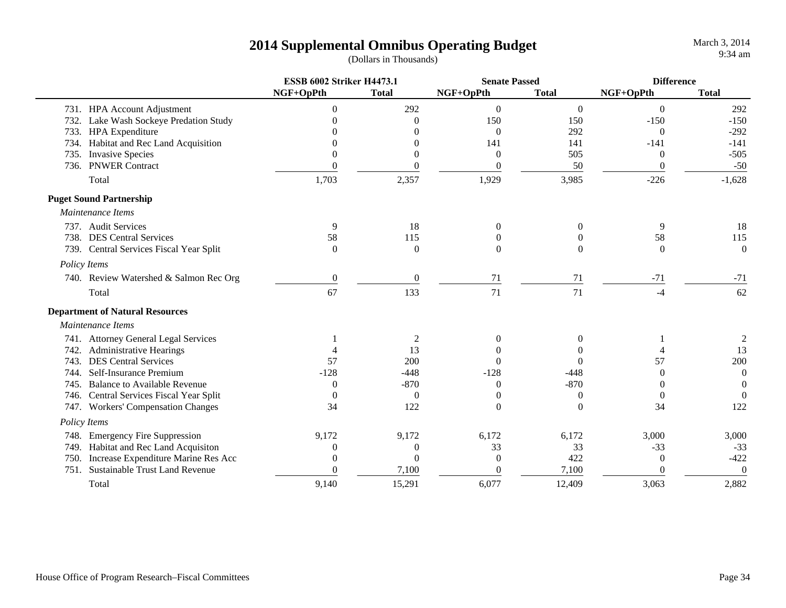March 3, 2014 9:34 am

|                                               | <b>ESSB 6002 Striker H4473.1</b> |                | <b>Senate Passed</b> |                  | <b>Difference</b> |              |
|-----------------------------------------------|----------------------------------|----------------|----------------------|------------------|-------------------|--------------|
|                                               | NGF+OpPth                        | <b>Total</b>   | NGF+OpPth            | <b>Total</b>     | NGF+OpPth         | <b>Total</b> |
| 731. HPA Account Adjustment                   | $\Omega$                         | 292            | $\boldsymbol{0}$     | $\mathbf{0}$     | $\boldsymbol{0}$  | 292          |
| Lake Wash Sockeye Predation Study<br>732.     | 0                                | $\Omega$       | 150                  | 150              | $-150$            | $-150$       |
| <b>HPA</b> Expenditure<br>733.                |                                  | $\Omega$       | $\overline{0}$       | 292              | $\theta$          | $-292$       |
| Habitat and Rec Land Acquisition<br>734.      |                                  | $\Omega$       | 141                  | 141              | $-141$            | $-141$       |
| <b>Invasive Species</b><br>735.               | 0                                | $\Omega$       | $\boldsymbol{0}$     | 505              | $\overline{0}$    | $-505$       |
| <b>PNWER Contract</b><br>736.                 | $\Omega$                         | $\Omega$       | $\boldsymbol{0}$     | 50               | $\theta$          | $-50$        |
| Total                                         | 1,703                            | 2,357          | 1,929                | 3,985            | $-226$            | $-1,628$     |
| <b>Puget Sound Partnership</b>                |                                  |                |                      |                  |                   |              |
| Maintenance Items                             |                                  |                |                      |                  |                   |              |
| 737. Audit Services                           | 9                                | 18             | $\theta$             | $\theta$         | 9                 | 18           |
| 738. DES Central Services                     | 58                               | 115            | $\theta$             |                  | 58                | 115          |
| 739. Central Services Fiscal Year Split       | $\Omega$                         | $\Omega$       | $\theta$             | $\Omega$         | $\Omega$          | $\Omega$     |
| Policy Items                                  |                                  |                |                      |                  |                   |              |
| 740. Review Watershed & Salmon Rec Org        | $\boldsymbol{0}$                 | $\overline{0}$ | 71                   | 71               | $-71$             | $-71$        |
| Total                                         | 67                               | 133            | 71                   | 71               | $-4$              | 62           |
| <b>Department of Natural Resources</b>        |                                  |                |                      |                  |                   |              |
| Maintenance Items                             |                                  |                |                      |                  |                   |              |
| 741. Attorney General Legal Services          |                                  | 2              | $\overline{0}$       | $\Omega$         |                   | 2            |
| <b>Administrative Hearings</b><br>742.        |                                  | 13             | $\Omega$             | 0                |                   | 13           |
| <b>DES Central Services</b><br>743.           | 57                               | 200            | $\Omega$             | $\Omega$         | 57                | 200          |
| Self-Insurance Premium<br>744.                | $-128$                           | $-448$         | $-128$               | $-448$           | $\Omega$          | $\theta$     |
| <b>Balance to Available Revenue</b><br>745.   | $\overline{0}$                   | $-870$         | $\boldsymbol{0}$     | $-870$           | 0                 | $\Omega$     |
| 746. Central Services Fiscal Year Split       | $\theta$                         | $\overline{0}$ | $\boldsymbol{0}$     | $\boldsymbol{0}$ | $\mathbf{0}$      | $\Omega$     |
| 747. Workers' Compensation Changes            | 34                               | 122            | $\boldsymbol{0}$     | $\theta$         | 34                | 122          |
| Policy Items                                  |                                  |                |                      |                  |                   |              |
| <b>Emergency Fire Suppression</b><br>748.     | 9,172                            | 9,172          | 6,172                | 6,172            | 3,000             | 3,000        |
| Habitat and Rec Land Acquisiton<br>749.       | $\boldsymbol{0}$                 | $\theta$       | 33                   | 33               | $-33$             | $-33$        |
| Increase Expenditure Marine Res Acc<br>750.   | $\theta$                         | $\Omega$       | $\overline{0}$       | 422              | $\overline{0}$    | $-422$       |
| <b>Sustainable Trust Land Revenue</b><br>751. | $\Omega$                         | 7,100          | $\theta$             | 7,100            | $\theta$          | $\mathbf{0}$ |
| Total                                         | 9,140                            | 15,291         | 6,077                | 12,409           | 3,063             | 2,882        |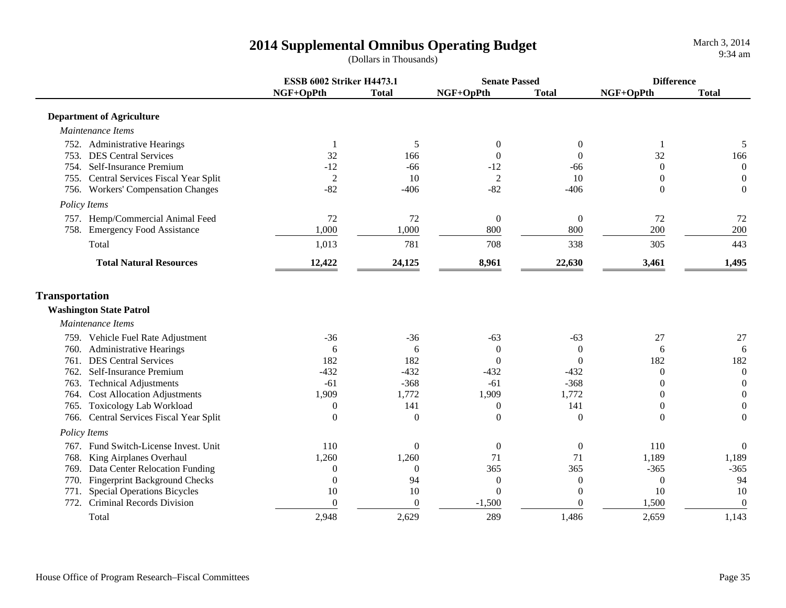|                                              | <b>ESSB 6002 Striker H4473.1</b> |                |                  | <b>Senate Passed</b> |                | <b>Difference</b> |  |
|----------------------------------------------|----------------------------------|----------------|------------------|----------------------|----------------|-------------------|--|
|                                              | NGF+OpPth                        | <b>Total</b>   | NGF+OpPth        | <b>Total</b>         | NGF+OpPth      | <b>Total</b>      |  |
| <b>Department of Agriculture</b>             |                                  |                |                  |                      |                |                   |  |
| Maintenance Items                            |                                  |                |                  |                      |                |                   |  |
| 752. Administrative Hearings                 | -1                               | 5              | $\overline{0}$   | $\Omega$             |                | 5                 |  |
| <b>DES Central Services</b><br>753.          | 32                               | 166            | $\overline{0}$   | $\Omega$             | 32             | 166               |  |
| 754. Self-Insurance Premium                  | $-12$                            | $-66$          | $-12$            | -66                  | $\Omega$       | $\boldsymbol{0}$  |  |
| 755. Central Services Fiscal Year Split      | $\overline{2}$                   | 10             | $\overline{2}$   | 10                   | $\theta$       | $\overline{0}$    |  |
| 756. Workers' Compensation Changes           | $-82$                            | $-406$         | $-82$            | $-406$               | $\Omega$       | $\theta$          |  |
| Policy Items                                 |                                  |                |                  |                      |                |                   |  |
| 757. Hemp/Commercial Animal Feed             | 72                               | 72             | $\boldsymbol{0}$ | $\mathbf{0}$         | 72             | 72                |  |
| 758. Emergency Food Assistance               | 1,000                            | 1,000          | 800              | 800                  | 200            | 200               |  |
| Total                                        | 1,013                            | 781            | 708              | 338                  | 305            | 443               |  |
| <b>Total Natural Resources</b>               | 12,422                           | 24,125         | 8,961            | 22,630               | 3,461          | 1,495             |  |
| <b>Transportation</b>                        |                                  |                |                  |                      |                |                   |  |
| <b>Washington State Patrol</b>               |                                  |                |                  |                      |                |                   |  |
| Maintenance Items                            |                                  |                |                  |                      |                |                   |  |
| 759. Vehicle Fuel Rate Adjustment            | $-36$                            | $-36$          | $-63$            | $-63$                | 27             | 27                |  |
| 760. Administrative Hearings                 | 6                                | 6              | $\boldsymbol{0}$ | $\overline{0}$       | 6              | 6                 |  |
| <b>DES Central Services</b><br>761.          | 182                              | 182            | $\overline{0}$   | $\theta$             | 182            | 182               |  |
| Self-Insurance Premium<br>762.               | $-432$                           | $-432$         | $-432$           | $-432$               | $\overline{0}$ | $\mathbf{0}$      |  |
| <b>Technical Adjustments</b><br>763.         | $-61$                            | $-368$         | $-61$            | $-368$               | $\theta$       | $\mathbf{0}$      |  |
| <b>Cost Allocation Adjustments</b><br>764.   | 1,909                            | 1,772          | 1,909            | 1,772                | 0              | $\overline{0}$    |  |
| <b>Toxicology Lab Workload</b><br>765.       | $\theta$                         | 141            | $\boldsymbol{0}$ | 141                  | $\theta$       | $\overline{0}$    |  |
| 766. Central Services Fiscal Year Split      | $\theta$                         | $\mathbf{0}$   | $\mathbf{0}$     | 0                    | $\theta$       | $\overline{0}$    |  |
| Policy Items                                 |                                  |                |                  |                      |                |                   |  |
| 767. Fund Switch-License Invest. Unit        | 110                              | $\theta$       | $\boldsymbol{0}$ | $\theta$             | 110            | $\mathbf{0}$      |  |
| 768.<br>King Airplanes Overhaul              | 1,260                            | 1,260          | 71               | 71                   | 1,189          | 1,189             |  |
| Data Center Relocation Funding<br>769.       | $\boldsymbol{0}$                 | $\overline{0}$ | 365              | 365                  | $-365$         | $-365$            |  |
| <b>Fingerprint Background Checks</b><br>770. | $\overline{0}$                   | 94             | $\boldsymbol{0}$ | $\overline{0}$       | $\theta$       | 94                |  |
| <b>Special Operations Bicycles</b><br>771.   | 10                               | 10             | $\mathbf{0}$     | $\overline{0}$       | 10             | 10                |  |
| Criminal Records Division<br>772.            | $\mathbf{0}$                     | $\overline{0}$ | $-1,500$         | $\theta$             | 1,500          | $\overline{0}$    |  |
| Total                                        | 2,948                            | 2,629          | 289              | 1,486                | 2,659          | 1,143             |  |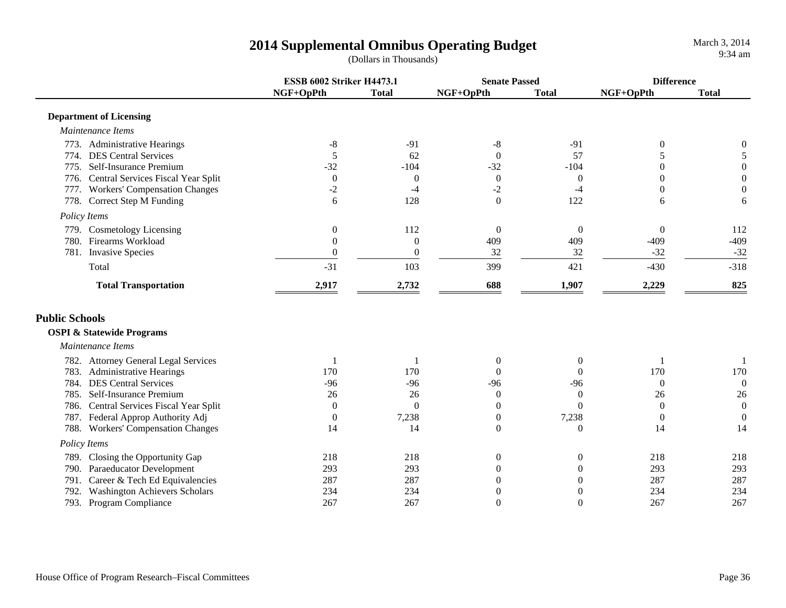|                                              | <b>ESSB 6002 Striker H4473.1</b> |                  | <b>Senate Passed</b> |                  | <b>Difference</b> |                  |
|----------------------------------------------|----------------------------------|------------------|----------------------|------------------|-------------------|------------------|
|                                              | NGF+OpPth                        | <b>Total</b>     | NGF+OpPth            | <b>Total</b>     | NGF+OpPth         | <b>Total</b>     |
| <b>Department of Licensing</b>               |                                  |                  |                      |                  |                   |                  |
| Maintenance Items                            |                                  |                  |                      |                  |                   |                  |
| 773. Administrative Hearings                 | $-8$                             | $-91$            | $-8$                 | $-91$            | $\theta$          | 0                |
| 774. DES Central Services                    | 5                                | 62               | $\boldsymbol{0}$     | 57               | 5                 | 5                |
| 775. Self-Insurance Premium                  | $-32$                            | $-104$           | $-32$                | $-104$           | $\overline{0}$    | $\boldsymbol{0}$ |
| 776. Central Services Fiscal Year Split      | $\boldsymbol{0}$                 | $\overline{0}$   | $\boldsymbol{0}$     | $\boldsymbol{0}$ | 0                 | $\boldsymbol{0}$ |
| 777. Workers' Compensation Changes           | $-2$                             | $-4$             | $-2$                 | $-4$             | $\theta$          | $\overline{0}$   |
| 778. Correct Step M Funding                  | 6                                | 128              | $\mathbf{0}$         | 122              | 6                 | 6                |
| Policy Items                                 |                                  |                  |                      |                  |                   |                  |
| 779. Cosmetology Licensing                   | $\boldsymbol{0}$                 | 112              | $\boldsymbol{0}$     | $\overline{0}$   | $\overline{0}$    | 112              |
| Firearms Workload<br>780.                    | $\boldsymbol{0}$                 | $\boldsymbol{0}$ | 409                  | 409              | $-409$            | $-409$           |
| 781. Invasive Species                        | $\boldsymbol{0}$                 | $\boldsymbol{0}$ | 32                   | 32               | $-32$             | $-32$            |
| Total                                        | $-31$                            | 103              | 399                  | 421              | $-430$            | $-318$           |
| <b>Total Transportation</b>                  | 2,917                            | 2,732            | 688                  | 1,907            | 2,229             | 825              |
| <b>Public Schools</b>                        |                                  |                  |                      |                  |                   |                  |
| <b>OSPI &amp; Statewide Programs</b>         |                                  |                  |                      |                  |                   |                  |
| Maintenance Items                            |                                  |                  |                      |                  |                   |                  |
| 782. Attorney General Legal Services         | -1                               |                  | $\mathbf{0}$         | $\overline{0}$   |                   |                  |
| 783. Administrative Hearings                 | 170                              | 170              | $\overline{0}$       | $\Omega$         | 170               | 170              |
| 784. DES Central Services                    | $-96$                            | $-96$            | $-96$                | $-96$            | $\theta$          | $\theta$         |
| 785. Self-Insurance Premium                  | 26                               | 26               | $\overline{0}$       | $\theta$         | 26                | 26               |
| 786. Central Services Fiscal Year Split      | $\overline{0}$                   | $\Omega$         | $\mathbf{0}$         | $\Omega$         | $\overline{0}$    | $\mathbf{0}$     |
| 787. Federal Approp Authority Adj            | $\boldsymbol{0}$                 | 7,238            | $\boldsymbol{0}$     | 7,238            | $\boldsymbol{0}$  | $\boldsymbol{0}$ |
| 788. Workers' Compensation Changes           | 14                               | 14               | $\boldsymbol{0}$     | $\theta$         | 14                | 14               |
| Policy Items                                 |                                  |                  |                      |                  |                   |                  |
| 789. Closing the Opportunity Gap             | 218                              | 218              | $\boldsymbol{0}$     | $\boldsymbol{0}$ | 218               | 218              |
| 790. Paraeducator Development                | 293                              | 293              | $\boldsymbol{0}$     | $\theta$         | 293               | 293              |
| 791. Career & Tech Ed Equivalencies          | 287                              | 287              | $\overline{0}$       | $\Omega$         | 287               | 287              |
| <b>Washington Achievers Scholars</b><br>792. | 234                              | 234              | $\overline{0}$       | $\theta$         | 234               | 234              |
| 793. Program Compliance                      | 267                              | 267              | $\boldsymbol{0}$     | $\Omega$         | 267               | 267              |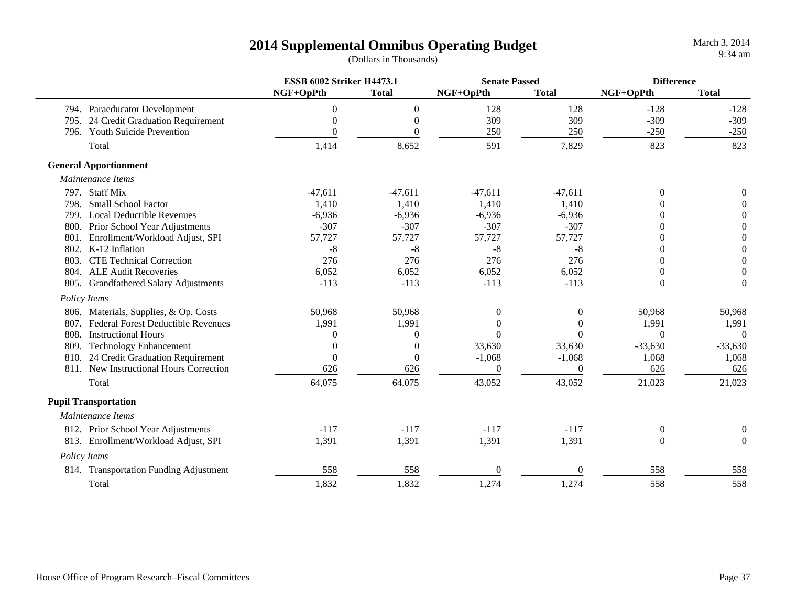|                                          | <b>ESSB 6002 Striker H4473.1</b> |                  | <b>Senate Passed</b> |                | <b>Difference</b> |                |
|------------------------------------------|----------------------------------|------------------|----------------------|----------------|-------------------|----------------|
|                                          | NGF+OpPth                        | <b>Total</b>     | NGF+OpPth            | <b>Total</b>   | NGF+OpPth         | <b>Total</b>   |
| 794. Paraeducator Development            | $\theta$                         | $\boldsymbol{0}$ | 128                  | 128            | $-128$            | $-128$         |
| 24 Credit Graduation Requirement<br>795. | $\theta$                         | $\theta$         | 309                  | 309            | $-309$            | $-309$         |
| <b>Youth Suicide Prevention</b><br>796.  |                                  | $\Omega$         | 250                  | 250            | $-250$            | $-250$         |
| Total                                    | 1,414                            | 8,652            | 591                  | 7,829          | 823               | 823            |
| <b>General Apportionment</b>             |                                  |                  |                      |                |                   |                |
| Maintenance Items                        |                                  |                  |                      |                |                   |                |
| 797. Staff Mix                           | $-47,611$                        | $-47,611$        | $-47,611$            | $-47,611$      | $\theta$          | 0              |
| <b>Small School Factor</b><br>798.       | 1,410                            | 1,410            | 1,410                | 1,410          |                   |                |
| <b>Local Deductible Revenues</b><br>799. | $-6,936$                         | $-6,936$         | $-6,936$             | $-6,936$       | 0                 | $\Omega$       |
| Prior School Year Adjustments<br>800.    | $-307$                           | $-307$           | $-307$               | $-307$         | 0                 | $\Omega$       |
| Enrollment/Workload Adjust, SPI<br>801.  | 57,727                           | 57,727           | 57,727               | 57,727         | 0                 | $\Omega$       |
| 802. K-12 Inflation                      | -8                               | $-8$             | $-8$                 | $-8$           | $\Omega$          | $\theta$       |
| <b>CTE Technical Correction</b><br>803.  | 276                              | 276              | 276                  | 276            | $\Omega$          | $\theta$       |
| 804. ALE Audit Recoveries                | 6,052                            | 6,052            | 6,052                | 6,052          | 0                 | $\theta$       |
| 805. Grandfathered Salary Adjustments    | $-113$                           | $-113$           | $-113$               | $-113$         | $\theta$          | $\theta$       |
| Policy Items                             |                                  |                  |                      |                |                   |                |
| 806. Materials, Supplies, & Op. Costs    | 50,968                           | 50,968           | $\mathbf{0}$         | 0              | 50,968            | 50,968         |
| 807. Federal Forest Deductible Revenues  | 1,991                            | 1,991            | $\Omega$             | $\theta$       | 1,991             | 1,991          |
| <b>Instructional Hours</b><br>808.       | 0                                | $\overline{0}$   | $\Omega$             | $\Omega$       | $\Omega$          | $\Omega$       |
| 809. Technology Enhancement              |                                  | $\overline{0}$   | 33,630               | 33,630         | $-33,630$         | $-33,630$      |
| 810. 24 Credit Graduation Requirement    | $\theta$                         | $\theta$         | $-1,068$             | $-1,068$       | 1,068             | 1,068          |
| 811. New Instructional Hours Correction  | 626                              | 626              | $\theta$             | $\overline{0}$ | 626               | 626            |
| Total                                    | 64,075                           | 64,075           | 43,052               | 43,052         | 21,023            | 21,023         |
| <b>Pupil Transportation</b>              |                                  |                  |                      |                |                   |                |
| Maintenance Items                        |                                  |                  |                      |                |                   |                |
| 812. Prior School Year Adjustments       | $-117$                           | $-117$           | $-117$               | $-117$         | $\theta$          | $\overline{0}$ |
| 813. Enrollment/Workload Adjust, SPI     | 1,391                            | 1,391            | 1,391                | 1,391          | $\theta$          | $\Omega$       |
| Policy Items                             |                                  |                  |                      |                |                   |                |
| 814. Transportation Funding Adjustment   | 558                              | 558              | $\overline{0}$       | $\Omega$       | 558               | 558            |
| Total                                    | 1,832                            | 1,832            | 1,274                | 1,274          | 558               | 558            |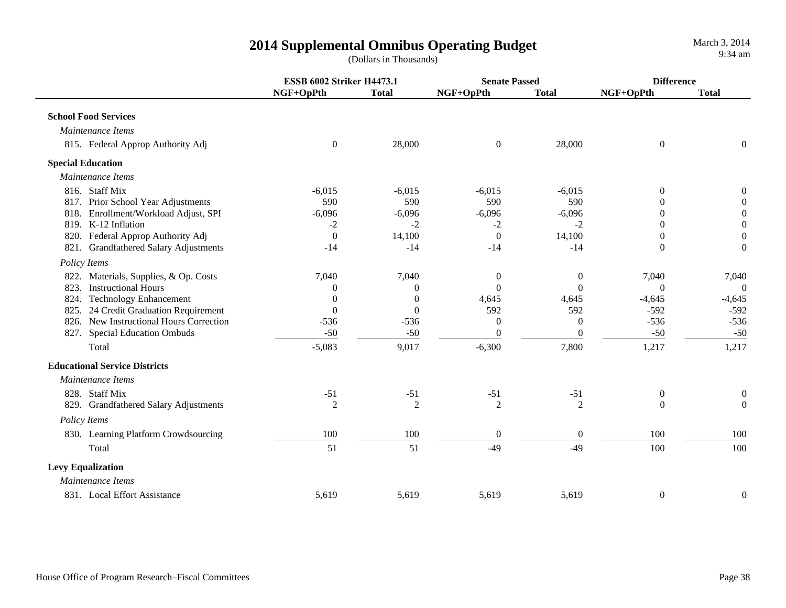**ESSB 6002 Striker H4473.1 Senate Passed DifferenceNGF+OpPth Total NGF+OpPth Total NGF+OpPth Total School Food Services** *Maintenance Items*815. Federal Approp Authority Adj 0 28,000 0 28,000 0 0  **Special Education**  *Maintenance Items*816. Staff Mix $\text{x}$  -6,015 -6,015 -6,015 -6,015 -6,015 0 0 817. Prior School Year Adjustments 590 590 590 590 0 0 818. Enrollment/Workload Adjust, SPI -6,096 -6,096 -6,096 -6,096 0 0 819. K-12 Inflationn and  $-2$  -2  $-2$  -2  $-2$  -2  $-2$  0 0 820. Federal Approp Authority Adj 0 14,100 0 14,100 0 0 821. Grandfathered Salary Adjustments -14 -14 -14 -14 0 0  *Policy Items* 822. Materials, Supplies, & Op. Costs  $\begin{array}{ccc} 7,040 & 7,040 \\ 0 & 0 & 7,040 \end{array}$  7,040 7,040 823. Instructional Hourss and  $\begin{array}{ccccccc} 0 & 0 & 0 & 0 & 0 & 0 \end{array}$ 824. Technology Enhancement 10 0 0 4,645 4,645 -4,645 -4,645 -4,645 -4,645 -4,645 825. 24 Credit Graduation Requirement  $\begin{array}{ccc} 0 & 0 & 592 & 592 & -592 \end{array}$  -592 826. New Instructional Hours Correction -536 -536 0 0 -536 -536 827. Special Education Ombuds **-50** -50 -50 0 0 -50 -50 -50 Total1 5,083 9,017 -6,300 7,800 1,217 1,217  **Educational Service Districts** *Maintenance Items*828. Staff Mix $\text{x}$  51 -51 -51 -51 -51 0 0 829. Grandfathered Salary Adjustments  $\begin{array}{ccc} 2 & 2 & 2 & 2 & 2 & 0 & 0 \end{array}$  *Policy Items* 830. Learning Platform Crowdsourcing 100 100 100 100 0 0 100 100 100 100 Total $1 \hspace{2.5cm} 51$  $1 \quad 51 \quad 49 \quad 49 \quad 100 \quad 100$  **Levy Equalization**  *Maintenance Items*831. Local Effort Assistance

5,619 5,619 5,619 5,619 0 0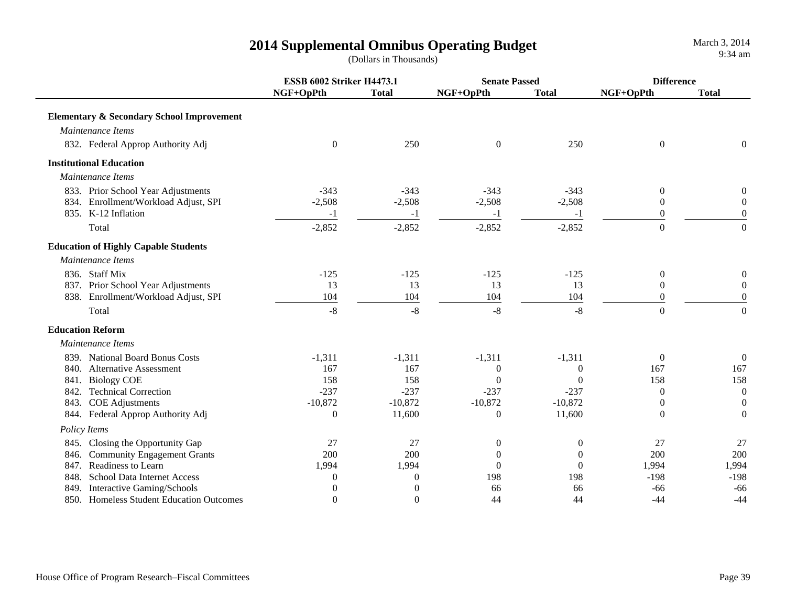|                                                      | <b>ESSB 6002 Striker H4473.1</b> |              | <b>Senate Passed</b> |              | <b>Difference</b> |                  |
|------------------------------------------------------|----------------------------------|--------------|----------------------|--------------|-------------------|------------------|
|                                                      | NGF+OpPth                        | <b>Total</b> | NGF+OpPth            | <b>Total</b> | NGF+OpPth         | <b>Total</b>     |
| <b>Elementary &amp; Secondary School Improvement</b> |                                  |              |                      |              |                   |                  |
| Maintenance Items                                    |                                  |              |                      |              |                   |                  |
| 832. Federal Approp Authority Adj                    | $\mathbf{0}$                     | 250          | $\boldsymbol{0}$     | 250          | $\mathbf{0}$      | $\overline{0}$   |
| <b>Institutional Education</b>                       |                                  |              |                      |              |                   |                  |
| Maintenance Items                                    |                                  |              |                      |              |                   |                  |
| 833. Prior School Year Adjustments                   | $-343$                           | $-343$       | $-343$               | $-343$       | $\mathbf{0}$      | 0                |
| 834. Enrollment/Workload Adjust, SPI                 | $-2,508$                         | $-2,508$     | $-2,508$             | $-2,508$     | $\mathbf{0}$      | $\boldsymbol{0}$ |
| 835. K-12 Inflation                                  | $-1$                             | $-1$         | $-1$                 | $-1$         | $\theta$          | $\theta$         |
| Total                                                | $-2,852$                         | $-2,852$     | $-2,852$             | $-2,852$     | $\overline{0}$    | $\overline{0}$   |
| <b>Education of Highly Capable Students</b>          |                                  |              |                      |              |                   |                  |
| Maintenance Items                                    |                                  |              |                      |              |                   |                  |
| 836. Staff Mix                                       | $-125$                           | $-125$       | $-125$               | $-125$       | $\mathbf{0}$      | 0                |
| 837. Prior School Year Adjustments                   | 13                               | 13           | 13                   | 13           | $\mathbf{0}$      | $\mathbf{0}$     |
| 838. Enrollment/Workload Adjust, SPI                 | 104                              | 104          | 104                  | 104          | $\theta$          | $\overline{0}$   |
| Total                                                | $-8$                             | $-8$         | $-8$                 | $-8$         | $\boldsymbol{0}$  | $\overline{0}$   |
| <b>Education Reform</b>                              |                                  |              |                      |              |                   |                  |
| Maintenance Items                                    |                                  |              |                      |              |                   |                  |
| 839. National Board Bonus Costs                      | $-1,311$                         | $-1,311$     | $-1,311$             | $-1,311$     | $\theta$          | $\overline{0}$   |
| 840. Alternative Assessment                          | 167                              | 167          | $\theta$             | $\theta$     | 167               | 167              |
| <b>Biology COE</b><br>841.                           | 158                              | 158          | $\mathbf{0}$         | $\mathbf{0}$ | 158               | 158              |
| 842. Technical Correction                            | $-237$                           | $-237$       | $-237$               | $-237$       | $\theta$          | $\mathbf{0}$     |
| 843. COE Adjustments                                 | $-10,872$                        | $-10,872$    | $-10,872$            | $-10,872$    | $\mathbf{0}$      | $\mathbf{0}$     |
| 844. Federal Approp Authority Adj                    | $\boldsymbol{0}$                 | 11,600       | $\mathbf{0}$         | 11,600       | $\theta$          | $\theta$         |
| Policy Items                                         |                                  |              |                      |              |                   |                  |
| 845. Closing the Opportunity Gap                     | 27                               | 27           | $\boldsymbol{0}$     | $\mathbf{0}$ | 27                | 27               |
| 846. Community Engagement Grants                     | 200                              | 200          | $\boldsymbol{0}$     | $\theta$     | 200               | 200              |
| 847. Readiness to Learn                              | 1,994                            | 1,994        | $\overline{0}$       | $\mathbf{0}$ | 1,994             | 1,994            |
| 848. School Data Internet Access                     | $\boldsymbol{0}$                 | $\theta$     | 198                  | 198          | $-198$            | $-198$           |
| 849. Interactive Gaming/Schools                      |                                  | $\theta$     | 66                   | 66           | $-66$             | $-66$            |
| 850. Homeless Student Education Outcomes             | $\Omega$                         | $\Omega$     | 44                   | 44           | $-44$             | $-44$            |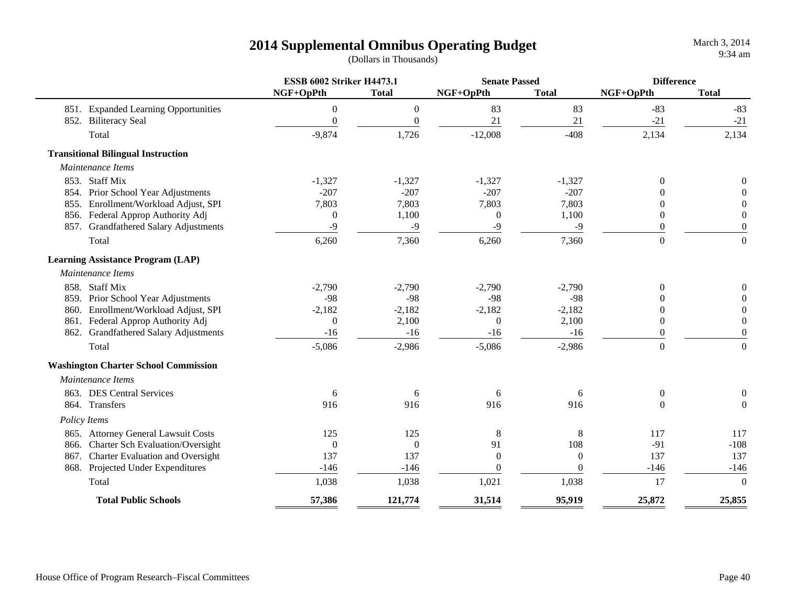|      |                                             | <b>ESSB 6002 Striker H4473.1</b> |                  | <b>Senate Passed</b> |              | <b>Difference</b> |                  |
|------|---------------------------------------------|----------------------------------|------------------|----------------------|--------------|-------------------|------------------|
|      |                                             | NGF+OpPth                        | <b>Total</b>     | NGF+OpPth            | <b>Total</b> | NGF+OpPth         | <b>Total</b>     |
|      | 851. Expanded Learning Opportunities        | $\boldsymbol{0}$                 | $\boldsymbol{0}$ | 83                   | 83           | $-83$             | $-83$            |
|      | 852. Biliteracy Seal                        | $\boldsymbol{0}$                 | $\theta$         | 21                   | 21           | $-21$             | $-21$            |
|      | Total                                       | $-9,874$                         | 1,726            | $-12,008$            | $-408$       | 2,134             | 2,134            |
|      | <b>Transitional Bilingual Instruction</b>   |                                  |                  |                      |              |                   |                  |
|      | Maintenance Items                           |                                  |                  |                      |              |                   |                  |
|      | 853. Staff Mix                              | $-1,327$                         | $-1,327$         | $-1,327$             | $-1,327$     | $\overline{0}$    |                  |
|      | 854. Prior School Year Adjustments          | $-207$                           | $-207$           | $-207$               | $-207$       | 0                 |                  |
|      | 855. Enrollment/Workload Adjust, SPI        | 7,803                            | 7,803            | 7,803                | 7,803        | $\theta$          | $\Omega$         |
|      | 856. Federal Approp Authority Adj           | $\mathbf{0}$                     | 1,100            | $\boldsymbol{0}$     | 1,100        | $\theta$          | $\theta$         |
|      | 857. Grandfathered Salary Adjustments       | $-9$                             | $-9$             | $-9$                 | $-9$         | $\overline{0}$    | $\boldsymbol{0}$ |
|      | Total                                       | 6,260                            | 7,360            | 6,260                | 7,360        | $\overline{0}$    | $\mathbf{0}$     |
|      | <b>Learning Assistance Program (LAP)</b>    |                                  |                  |                      |              |                   |                  |
|      | Maintenance Items                           |                                  |                  |                      |              |                   |                  |
|      | 858. Staff Mix                              | $-2,790$                         | $-2,790$         | $-2,790$             | $-2,790$     | $\theta$          | $\theta$         |
|      | 859. Prior School Year Adjustments          | $-98$                            | $-98$            | $-98$                | $-98$        | 0                 | $\Omega$         |
|      | 860. Enrollment/Workload Adjust, SPI        | $-2,182$                         | $-2,182$         | $-2,182$             | $-2,182$     | $\theta$          | $\overline{0}$   |
|      | 861. Federal Approp Authority Adj           | $\theta$                         | 2,100            | $\overline{0}$       | 2,100        | $\theta$          | $\overline{0}$   |
|      | 862. Grandfathered Salary Adjustments       | $-16$                            | $-16$            | $-16$                | $-16$        | $\overline{0}$    | $\boldsymbol{0}$ |
|      | Total                                       | $-5,086$                         | $-2,986$         | $-5,086$             | $-2,986$     | $\overline{0}$    | $\mathbf{0}$     |
|      | <b>Washington Charter School Commission</b> |                                  |                  |                      |              |                   |                  |
|      | Maintenance Items                           |                                  |                  |                      |              |                   |                  |
|      | 863. DES Central Services                   | 6                                | 6                | 6                    | 6            | $\boldsymbol{0}$  | 0                |
|      | 864. Transfers                              | 916                              | 916              | 916                  | 916          | $\theta$          | $\boldsymbol{0}$ |
|      | Policy Items                                |                                  |                  |                      |              |                   |                  |
|      | 865. Attorney General Lawsuit Costs         | 125                              | 125              | $\,8\,$              | 8            | 117               | 117              |
| 866. | <b>Charter Sch Evaluation/Oversight</b>     | $\boldsymbol{0}$                 | $\overline{0}$   | 91                   | 108          | $-91$             | $-108$           |
|      | 867. Charter Evaluation and Oversight       | 137                              | 137              | $\mathbf{0}$         | $\theta$     | 137               | 137              |
|      | 868. Projected Under Expenditures           | $-146$                           | $-146$           | $\overline{0}$       | $\Omega$     | $-146$            | $-146$           |
|      | Total                                       | 1,038                            | 1,038            | 1,021                | 1,038        | 17                | $\theta$         |
|      | <b>Total Public Schools</b>                 | 57,386                           | 121,774          | 31,514               | 95,919       | 25,872            | 25,855           |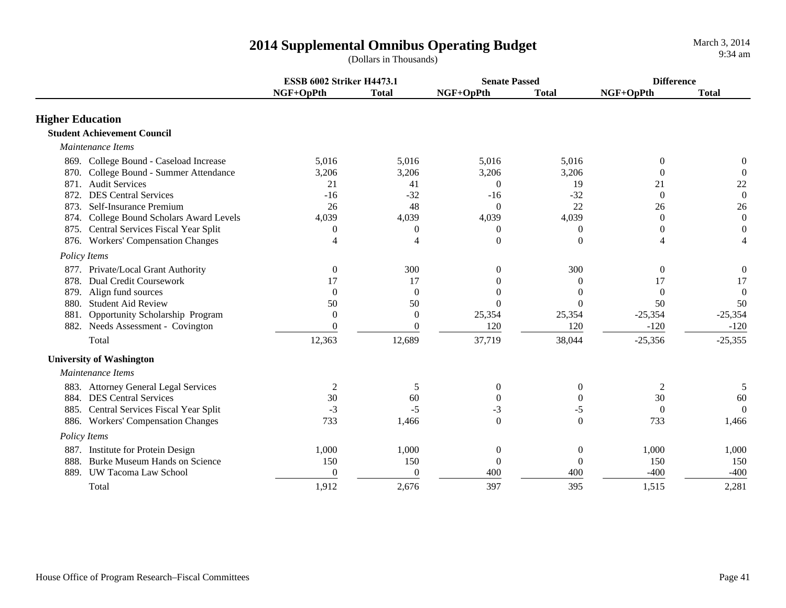|                                              | <b>ESSB 6002 Striker H4473.1</b> |                | <b>Senate Passed</b> |                  | <b>Difference</b> |                  |
|----------------------------------------------|----------------------------------|----------------|----------------------|------------------|-------------------|------------------|
|                                              | NGF+OpPth                        | <b>Total</b>   | NGF+OpPth            | <b>Total</b>     | NGF+OpPth         | <b>Total</b>     |
| <b>Higher Education</b>                      |                                  |                |                      |                  |                   |                  |
| <b>Student Achievement Council</b>           |                                  |                |                      |                  |                   |                  |
| Maintenance Items                            |                                  |                |                      |                  |                   |                  |
| 869. College Bound - Caseload Increase       | 5,016                            | 5,016          | 5,016                | 5,016            | $\theta$          | $\boldsymbol{0}$ |
| College Bound - Summer Attendance<br>870.    | 3,206                            | 3,206          | 3,206                | 3,206            | $\Omega$          | $\theta$         |
| 871. Audit Services                          | 21                               | 41             | $\theta$             | 19               | 21                | 22               |
| <b>DES Central Services</b><br>872.          | $-16$                            | $-32$          | $-16$                | $-32$            | $\Omega$          | $\boldsymbol{0}$ |
| Self-Insurance Premium<br>873.               | 26                               | 48             | $\Omega$             | 22               | 26                | 26               |
| College Bound Scholars Award Levels<br>874.  | 4,039                            | 4,039          | 4,039                | 4,039            | $\theta$          | $\boldsymbol{0}$ |
| 875. Central Services Fiscal Year Split      | $\Omega$                         | 0              | $\Omega$             | 0                | $\theta$          | $\theta$         |
| <b>Workers' Compensation Changes</b><br>876. | $\overline{\mathcal{A}}$         | $\overline{4}$ | $\theta$             | $\theta$         |                   |                  |
| Policy Items                                 |                                  |                |                      |                  |                   |                  |
| 877. Private/Local Grant Authority           | $\theta$                         | 300            | $\Omega$             | 300              | $\boldsymbol{0}$  | $\boldsymbol{0}$ |
| <b>Dual Credit Coursework</b><br>878.        | 17                               | 17             | $\Omega$             | $\theta$         | 17                | 17               |
| Align fund sources<br>879.                   | $\Omega$                         | $\Omega$       | $\Omega$             | $\Omega$         | $\Omega$          | $\theta$         |
| <b>Student Aid Review</b><br>880.            | 50                               | 50             | $\Omega$             | $\Omega$         | 50                | 50               |
| Opportunity Scholarship Program<br>881.      | $\Omega$                         | $\theta$       | 25,354               | 25,354           | $-25,354$         | $-25,354$        |
| 882. Needs Assessment - Covington            | $\theta$                         | $\theta$       | 120                  | 120              | $-120$            | $-120$           |
| Total                                        | 12,363                           | 12,689         | 37,719               | 38,044           | $-25,356$         | $-25,355$        |
| <b>University of Washington</b>              |                                  |                |                      |                  |                   |                  |
| Maintenance Items                            |                                  |                |                      |                  |                   |                  |
| 883. Attorney General Legal Services         | 2                                | 5              | 0                    | 0                | 2                 | 5                |
| 884. DES Central Services                    | 30                               | 60             | $\overline{0}$       | 0                | 30                | 60               |
| 885. Central Services Fiscal Year Split      | $-3$                             | $-5$           | $-3$                 | -5               | $\Omega$          | $\Omega$         |
| 886. Workers' Compensation Changes           | 733                              | 1,466          | $\Omega$             | $\Omega$         | 733               | 1,466            |
| Policy Items                                 |                                  |                |                      |                  |                   |                  |
| 887. Institute for Protein Design            | 1,000                            | 1,000          | 0                    | $\boldsymbol{0}$ | 1,000             | 1,000            |
| Burke Museum Hands on Science<br>888.        | 150                              | 150            | $\boldsymbol{0}$     | $\overline{0}$   | 150               | 150              |
| 889. UW Tacoma Law School                    | $\theta$                         | $\theta$       | 400                  | 400              | $-400$            | $-400$           |
| Total                                        | 1,912                            | 2,676          | 397                  | 395              | 1,515             | 2,281            |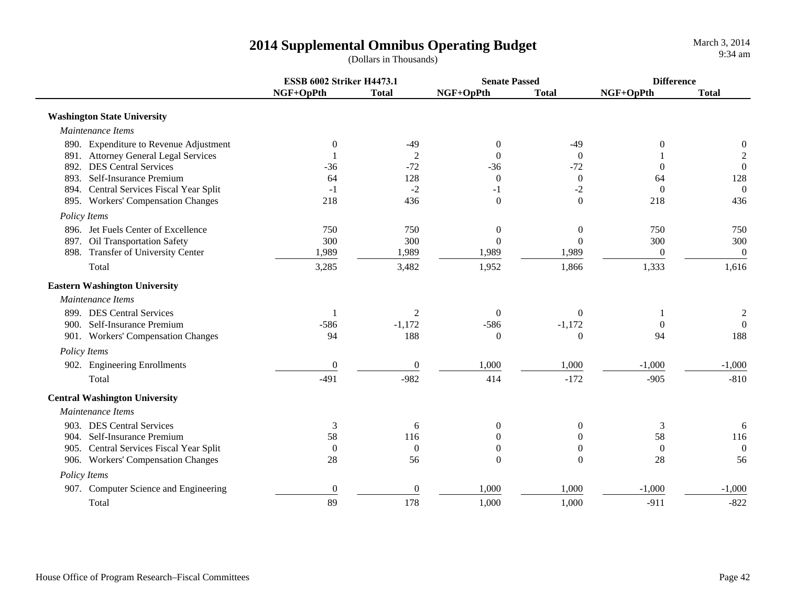|                                         | <b>ESSB 6002 Striker H4473.1</b> |                  | <b>Senate Passed</b> |                  | <b>Difference</b> |                  |
|-----------------------------------------|----------------------------------|------------------|----------------------|------------------|-------------------|------------------|
|                                         | NGF+OpPth                        | <b>Total</b>     | NGF+OpPth            | <b>Total</b>     | NGF+OpPth         | <b>Total</b>     |
| <b>Washington State University</b>      |                                  |                  |                      |                  |                   |                  |
| Maintenance Items                       |                                  |                  |                      |                  |                   |                  |
| 890. Expenditure to Revenue Adjustment  | $\mathbf{0}$                     | $-49$            | $\overline{0}$       | $-49$            | 0                 | $\boldsymbol{0}$ |
| 891. Attorney General Legal Services    |                                  | $\overline{2}$   | $\Omega$             | $\theta$         |                   | $\overline{c}$   |
| 892. DES Central Services               | $-36$                            | $-72$            | $-36$                | $-72$            | $\overline{0}$    | $\boldsymbol{0}$ |
| 893. Self-Insurance Premium             | 64                               | 128              | $\mathbf{0}$         | $\boldsymbol{0}$ | 64                | 128              |
| 894. Central Services Fiscal Year Split | $-1$                             | $-2$             | $-1$                 | $-2$             | $\mathbf{0}$      | $\theta$         |
| 895. Workers' Compensation Changes      | 218                              | 436              | $\boldsymbol{0}$     | $\mathbf{0}$     | 218               | 436              |
| Policy Items                            |                                  |                  |                      |                  |                   |                  |
| 896. Jet Fuels Center of Excellence     | 750                              | 750              | $\boldsymbol{0}$     | $\boldsymbol{0}$ | 750               | 750              |
| 897. Oil Transportation Safety          | 300                              | 300              | $\Omega$             | $\mathbf{0}$     | 300               | 300              |
| 898. Transfer of University Center      | 1,989                            | 1,989            | 1,989                | 1,989            | $\boldsymbol{0}$  | $\mathbf{0}$     |
| Total                                   | 3,285                            | 3,482            | 1,952                | 1,866            | 1,333             | 1,616            |
| <b>Eastern Washington University</b>    |                                  |                  |                      |                  |                   |                  |
| Maintenance Items                       |                                  |                  |                      |                  |                   |                  |
| 899. DES Central Services               | 1                                | 2                | $\overline{0}$       | $\overline{0}$   |                   | $\boldsymbol{2}$ |
| 900. Self-Insurance Premium             | $-586$                           | $-1,172$         | $-586$               | $-1,172$         | $\theta$          | $\theta$         |
| 901. Workers' Compensation Changes      | 94                               | 188              | $\Omega$             | $\theta$         | 94                | 188              |
| Policy Items                            |                                  |                  |                      |                  |                   |                  |
| 902. Engineering Enrollments            | $\boldsymbol{0}$                 | $\boldsymbol{0}$ | 1,000                | 1,000            | $-1,000$          | $-1,000$         |
| Total                                   | $-491$                           | $-982$           | 414                  | $-172$           | $-905$            | $-810$           |
| <b>Central Washington University</b>    |                                  |                  |                      |                  |                   |                  |
| Maintenance Items                       |                                  |                  |                      |                  |                   |                  |
| 903. DES Central Services               | 3                                | 6                | $\theta$             | $\overline{0}$   | $\mathfrak{Z}$    | 6                |
| 904. Self-Insurance Premium             | 58                               | 116              | $\theta$             | $\theta$         | 58                | 116              |
| 905. Central Services Fiscal Year Split | $\overline{0}$                   | $\theta$         | $\mathbf{0}$         | 0                | $\overline{0}$    | $\overline{0}$   |
| 906. Workers' Compensation Changes      | 28                               | 56               | $\Omega$             | $\Omega$         | 28                | 56               |
| Policy Items                            |                                  |                  |                      |                  |                   |                  |
| 907. Computer Science and Engineering   | $\boldsymbol{0}$                 | $\overline{0}$   | 1,000                | 1,000            | $-1,000$          | $-1,000$         |
| Total                                   | 89                               | 178              | 1,000                | 1,000            | $-911$            | $-822$           |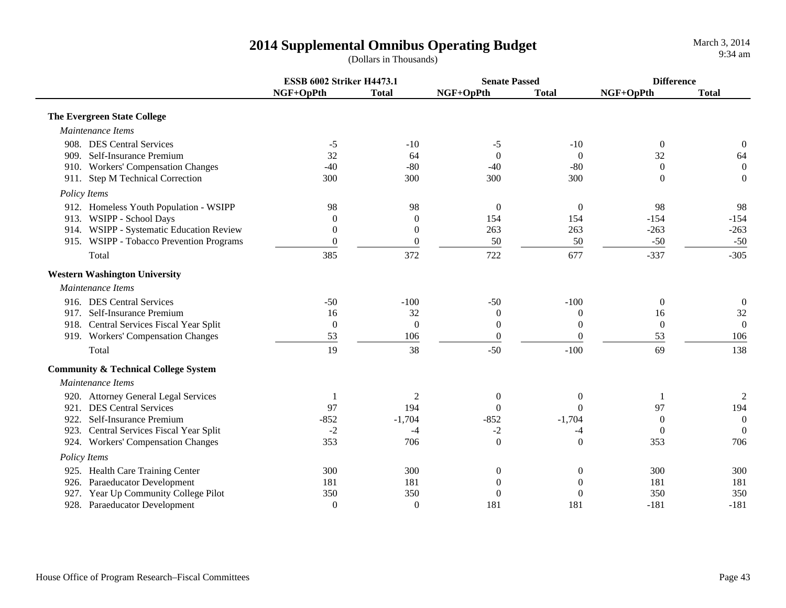|              |                                                 | <b>ESSB 6002 Striker H4473.1</b> |                  | <b>Senate Passed</b> |                  | <b>Difference</b> |                  |
|--------------|-------------------------------------------------|----------------------------------|------------------|----------------------|------------------|-------------------|------------------|
|              |                                                 | NGF+OpPth                        | <b>Total</b>     | NGF+OpPth            | <b>Total</b>     | NGF+OpPth         | <b>Total</b>     |
|              | <b>The Evergreen State College</b>              |                                  |                  |                      |                  |                   |                  |
|              | Maintenance Items                               |                                  |                  |                      |                  |                   |                  |
|              | 908. DES Central Services                       | $-5$                             | $-10$            | $-5$                 | $-10$            | $\mathbf{0}$      | $\boldsymbol{0}$ |
|              | 909. Self-Insurance Premium                     | 32                               | 64               | $\boldsymbol{0}$     | $\Omega$         | 32                | 64               |
|              | 910. Workers' Compensation Changes              | $-40$                            | $-80$            | $-40$                | $-80$            | $\theta$          | $\overline{0}$   |
|              | 911. Step M Technical Correction                | 300                              | 300              | 300                  | 300              | $\theta$          | $\mathbf{0}$     |
| Policy Items |                                                 |                                  |                  |                      |                  |                   |                  |
|              | 912. Homeless Youth Population - WSIPP          | 98                               | 98               | $\mathbf{0}$         | $\theta$         | 98                | 98               |
|              | 913. WSIPP - School Days                        | $\theta$                         | $\boldsymbol{0}$ | 154                  | 154              | $-154$            | $-154$           |
|              | 914. WSIPP - Systematic Education Review        | $\boldsymbol{0}$                 | $\boldsymbol{0}$ | 263                  | 263              | $-263$            | $-263$           |
|              | 915. WSIPP - Tobacco Prevention Programs        | $\theta$                         | $\boldsymbol{0}$ | 50                   | 50               | $-50$             | $-50$            |
|              | Total                                           | 385                              | 372              | 722                  | 677              | $-337$            | $-305$           |
|              | <b>Western Washington University</b>            |                                  |                  |                      |                  |                   |                  |
|              | Maintenance Items                               |                                  |                  |                      |                  |                   |                  |
|              | 916. DES Central Services                       | $-50$                            | $-100$           | $-50$                | $-100$           | $\overline{0}$    | $\mathbf{0}$     |
|              | 917. Self-Insurance Premium                     | 16                               | 32               | $\mathbf{0}$         | $\theta$         | 16                | 32               |
|              | 918. Central Services Fiscal Year Split         | $\boldsymbol{0}$                 | $\overline{0}$   | $\boldsymbol{0}$     | $\boldsymbol{0}$ | $\overline{0}$    | $\mathbf{0}$     |
|              | 919. Workers' Compensation Changes              | 53                               | 106              | $\boldsymbol{0}$     | $\mathbf{0}$     | 53                | 106              |
|              | Total                                           | 19                               | 38               | $-50$                | $-100$           | 69                | 138              |
|              | <b>Community &amp; Technical College System</b> |                                  |                  |                      |                  |                   |                  |
|              | Maintenance Items                               |                                  |                  |                      |                  |                   |                  |
|              | 920. Attorney General Legal Services            |                                  | 2                | $\boldsymbol{0}$     | $\overline{0}$   | $\mathbf{1}$      | 2                |
|              | 921. DES Central Services                       | 97                               | 194              | $\Omega$             | $\Omega$         | 97                | 194              |
| 922.         | Self-Insurance Premium                          | $-852$                           | $-1,704$         | $-852$               | $-1,704$         | $\Omega$          | $\Omega$         |
| 923.         | Central Services Fiscal Year Split              | $-2$                             | $-4$             | $-2$                 | -4               | $\theta$          | $\Omega$         |
|              | 924. Workers' Compensation Changes              | 353                              | 706              | $\boldsymbol{0}$     | $\mathbf{0}$     | 353               | 706              |
| Policy Items |                                                 |                                  |                  |                      |                  |                   |                  |
|              | 925. Health Care Training Center                | 300                              | 300              | $\boldsymbol{0}$     | $\boldsymbol{0}$ | 300               | 300              |
|              | 926. Paraeducator Development                   | 181                              | 181              | $\boldsymbol{0}$     | 0                | 181               | 181              |
|              | 927. Year Up Community College Pilot            | 350                              | 350              | $\overline{0}$       | 0                | 350               | 350              |
|              | 928. Paraeducator Development                   | $\mathbf{0}$                     | $\theta$         | 181                  | 181              | $-181$            | $-181$           |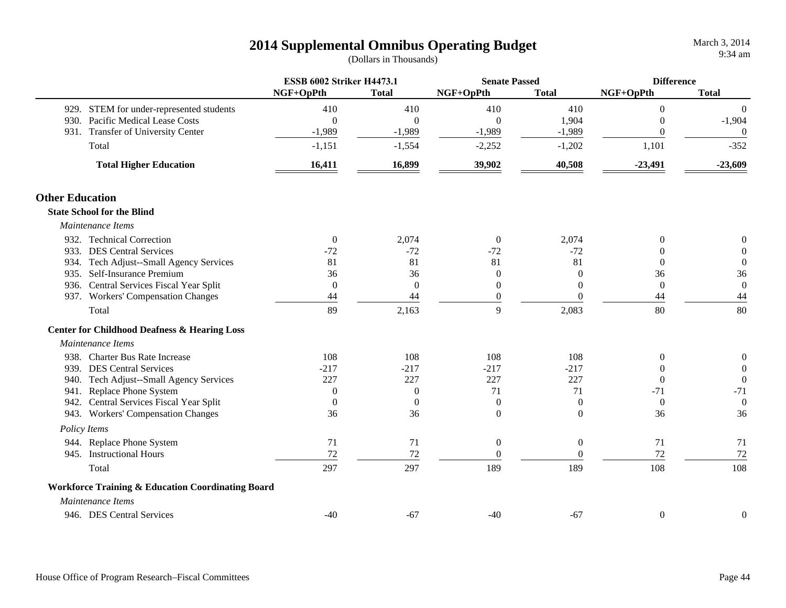|                        |                                                              | <b>ESSB 6002 Striker H4473.1</b> |                | <b>Senate Passed</b> |                  | <b>Difference</b> |                  |
|------------------------|--------------------------------------------------------------|----------------------------------|----------------|----------------------|------------------|-------------------|------------------|
|                        |                                                              | NGF+OpPth                        | <b>Total</b>   | NGF+OpPth            | <b>Total</b>     | NGF+OpPth         | <b>Total</b>     |
|                        | 929. STEM for under-represented students                     | 410                              | 410            | 410                  | 410              | $\theta$          | $\overline{0}$   |
|                        | 930. Pacific Medical Lease Costs                             | $\theta$                         | $\Omega$       | $\Omega$             | 1,904            | $\theta$          | $-1,904$         |
|                        | 931. Transfer of University Center                           | $-1,989$                         | $-1,989$       | $-1,989$             | $-1,989$         | $\theta$          | $\theta$         |
|                        | Total                                                        | $-1,151$                         | $-1,554$       | $-2,252$             | $-1,202$         | 1,101             | $-352$           |
|                        | <b>Total Higher Education</b>                                | 16,411                           | 16,899         | 39,902               | 40,508           | $-23,491$         | $-23,609$        |
| <b>Other Education</b> |                                                              |                                  |                |                      |                  |                   |                  |
|                        | <b>State School for the Blind</b>                            |                                  |                |                      |                  |                   |                  |
|                        | Maintenance Items                                            |                                  |                |                      |                  |                   |                  |
|                        | 932. Technical Correction                                    | $\overline{0}$                   | 2,074          | $\mathbf{0}$         | 2,074            | $\Omega$          | $\boldsymbol{0}$ |
|                        | 933. DES Central Services                                    | $-72$                            | $-72$          | $-72$                | $-72$            | $\Omega$          | $\boldsymbol{0}$ |
|                        | 934. Tech Adjust--Small Agency Services                      | 81                               | 81             | 81                   | 81               | $\Omega$          | $\boldsymbol{0}$ |
|                        | 935. Self-Insurance Premium                                  | 36                               | 36             | $\overline{0}$       | $\Omega$         | 36                | 36               |
|                        | 936. Central Services Fiscal Year Split                      | $\overline{0}$                   | $\overline{0}$ | $\mathbf{0}$         | $\overline{0}$   | $\overline{0}$    | $\boldsymbol{0}$ |
|                        | 937. Workers' Compensation Changes                           | 44                               | 44             | $\boldsymbol{0}$     | $\theta$         | 44                | 44               |
|                        | Total                                                        | 89                               | 2,163          | 9                    | 2,083            | 80                | 80               |
|                        | <b>Center for Childhood Deafness &amp; Hearing Loss</b>      |                                  |                |                      |                  |                   |                  |
|                        | Maintenance Items                                            |                                  |                |                      |                  |                   |                  |
|                        | 938. Charter Bus Rate Increase                               | 108                              | 108            | 108                  | 108              | $\theta$          | $\boldsymbol{0}$ |
|                        | 939. DES Central Services                                    | $-217$                           | $-217$         | $-217$               | $-217$           | $\theta$          | $\boldsymbol{0}$ |
|                        | 940. Tech Adjust--Small Agency Services                      | 227                              | 227            | 227                  | 227              | $\theta$          | $\boldsymbol{0}$ |
|                        | 941. Replace Phone System                                    | $\mathbf{0}$                     | $\mathbf{0}$   | 71                   | 71               | $-71$             | $-71$            |
|                        | 942. Central Services Fiscal Year Split                      | $\Omega$                         | $\overline{0}$ | $\mathbf{0}$         | $\boldsymbol{0}$ | $\overline{0}$    | $\boldsymbol{0}$ |
|                        | 943. Workers' Compensation Changes                           | 36                               | 36             | $\overline{0}$       | $\theta$         | 36                | 36               |
|                        | Policy Items                                                 |                                  |                |                      |                  |                   |                  |
|                        | 944. Replace Phone System                                    | 71                               | 71             | $\boldsymbol{0}$     | $\boldsymbol{0}$ | 71                | 71               |
|                        | 945. Instructional Hours                                     | 72                               | 72             | $\theta$             | $\Omega$         | 72                | 72               |
|                        | Total                                                        | 297                              | 297            | 189                  | 189              | 108               | 108              |
|                        | <b>Workforce Training &amp; Education Coordinating Board</b> |                                  |                |                      |                  |                   |                  |
|                        | Maintenance Items                                            |                                  |                |                      |                  |                   |                  |
|                        | 946. DES Central Services                                    | $-40$                            | $-67$          | $-40$                | $-67$            | $\boldsymbol{0}$  | $\boldsymbol{0}$ |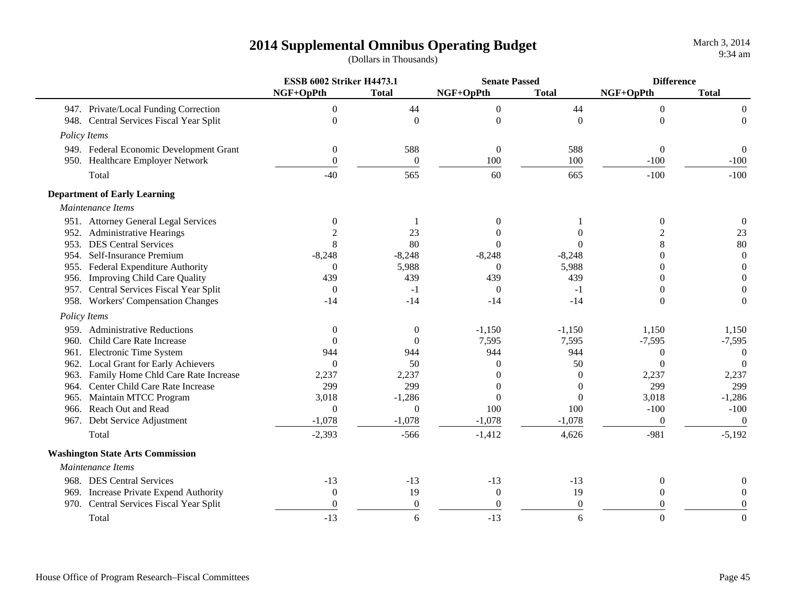|      |                                         | <b>ESSB 6002 Striker H4473.1</b> |                | <b>Senate Passed</b> |                  | <b>Difference</b> |                  |
|------|-----------------------------------------|----------------------------------|----------------|----------------------|------------------|-------------------|------------------|
|      |                                         | NGF+OpPth                        | <b>Total</b>   | NGF+OpPth            | <b>Total</b>     | NGF+OpPth         | <b>Total</b>     |
|      | 947. Private/Local Funding Correction   | $\overline{0}$                   | 44             | $\mathbf{0}$         | 44               | $\overline{0}$    | $\overline{0}$   |
|      | 948. Central Services Fiscal Year Split | $\overline{0}$                   | $\Omega$       | $\mathbf{0}$         | $\Omega$         | $\Omega$          | $\overline{0}$   |
|      | Policy Items                            |                                  |                |                      |                  |                   |                  |
|      | 949. Federal Economic Development Grant | $\theta$                         | 588            | $\boldsymbol{0}$     | 588              | $\boldsymbol{0}$  | $\overline{0}$   |
|      | 950. Healthcare Employer Network        | $\Omega$                         | $\overline{0}$ | 100                  | 100              | $-100$            | $-100$           |
|      | Total                                   | $-40$                            | 565            | 60                   | 665              | $-100$            | $-100$           |
|      | <b>Department of Early Learning</b>     |                                  |                |                      |                  |                   |                  |
|      | Maintenance Items                       |                                  |                |                      |                  |                   |                  |
|      | 951. Attorney General Legal Services    | $\boldsymbol{0}$                 |                | $\Omega$             |                  | $\boldsymbol{0}$  | $\mathbf{0}$     |
|      | 952. Administrative Hearings            |                                  | 23             |                      |                  |                   | 23               |
|      | 953. DES Central Services               | 8                                | 80             |                      |                  | 8                 | 80               |
|      | 954. Self-Insurance Premium             | $-8,248$                         | $-8,248$       | $-8,248$             | $-8,248$         | $\Omega$          | $\boldsymbol{0}$ |
|      | 955. Federal Expenditure Authority      | $\boldsymbol{0}$                 | 5,988          | $\theta$             | 5,988            | $\mathbf{0}$      | $\mathbf{0}$     |
|      | 956. Improving Child Care Quality       | 439                              | 439            | 439                  | 439              | $\theta$          | $\overline{0}$   |
|      | 957. Central Services Fiscal Year Split | $\boldsymbol{0}$                 | $-1$           | $\boldsymbol{0}$     | $-1$             | $\Omega$          | $\overline{0}$   |
|      | 958. Workers' Compensation Changes      | $-14$                            | $-14$          | $-14$                | $-14$            | $\Omega$          | $\boldsymbol{0}$ |
|      | Policy Items                            |                                  |                |                      |                  |                   |                  |
|      | 959. Administrative Reductions          | $\theta$                         | $\mathbf{0}$   | $-1,150$             | $-1,150$         | 1,150             | 1,150            |
| 960. | Child Care Rate Increase                | $\theta$                         | $\Omega$       | 7,595                | 7,595            | $-7,595$          | $-7,595$         |
|      | 961. Electronic Time System             | 944                              | 944            | 944                  | 944              | $\overline{0}$    | $\Omega$         |
|      | 962. Local Grant for Early Achievers    | $\theta$                         | 50             | $\Omega$             | 50               | $\Omega$          | $\Omega$         |
| 963. | Family Home Chld Care Rate Increase     | 2,237                            | 2,237          | $\Omega$             | $\Omega$         | 2,237             | 2,237            |
|      | 964. Center Child Care Rate Increase    | 299                              | 299            | 0                    | $\Omega$         | 299               | 299              |
|      | 965. Maintain MTCC Program              | 3,018                            | $-1,286$       | $\theta$             | $\theta$         | 3,018             | $-1,286$         |
|      | 966. Reach Out and Read                 | $\overline{0}$                   | $\theta$       | 100                  | 100              | $-100$            | $-100$           |
|      | 967. Debt Service Adjustment            | $-1,078$                         | $-1,078$       | $-1,078$             | $-1,078$         | $\mathbf{0}$      | $\overline{0}$   |
|      | Total                                   | $-2,393$                         | $-566$         | $-1,412$             | 4,626            | $-981$            | $-5,192$         |
|      | <b>Washington State Arts Commission</b> |                                  |                |                      |                  |                   |                  |
|      | Maintenance Items                       |                                  |                |                      |                  |                   |                  |
|      | 968. DES Central Services               | $-13$                            | $-13$          | $-13$                | $-13$            | $\boldsymbol{0}$  | 0                |
|      | 969. Increase Private Expend Authority  | $\theta$                         | 19             | $\boldsymbol{0}$     | 19               | $\Omega$          | $\Omega$         |
|      | 970. Central Services Fiscal Year Split | $\theta$                         | $\theta$       | $\boldsymbol{0}$     | $\boldsymbol{0}$ | $\theta$          | $\theta$         |
|      | Total                                   | $-13$                            | 6              | $-13$                | 6                | $\Omega$          | $\Omega$         |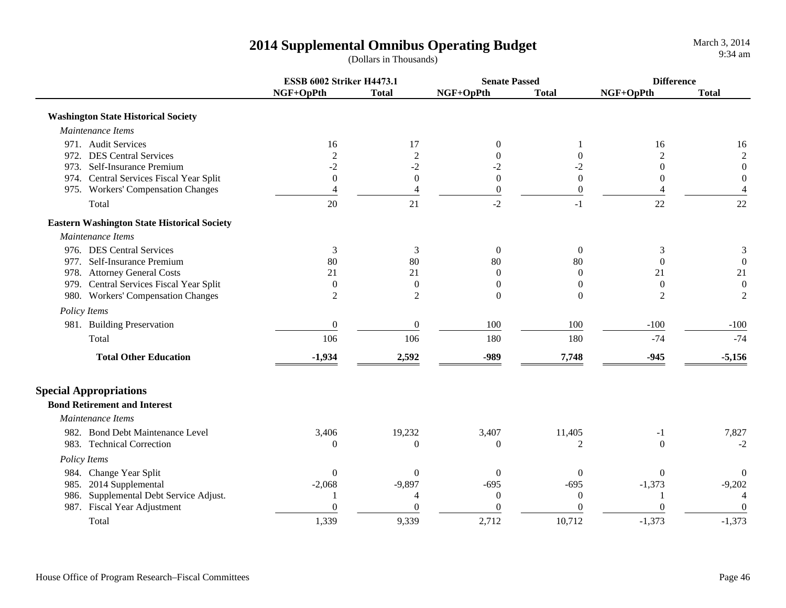|                                                    | <b>ESSB 6002 Striker H4473.1</b> |                  | <b>Senate Passed</b> |                | <b>Difference</b> |                          |
|----------------------------------------------------|----------------------------------|------------------|----------------------|----------------|-------------------|--------------------------|
|                                                    | NGF+OpPth                        | <b>Total</b>     | NGF+OpPth            | <b>Total</b>   | NGF+OpPth         | <b>Total</b>             |
| <b>Washington State Historical Society</b>         |                                  |                  |                      |                |                   |                          |
| Maintenance Items                                  |                                  |                  |                      |                |                   |                          |
| 971. Audit Services                                | 16                               | 17               | $\boldsymbol{0}$     |                | 16                | 16                       |
| 972. DES Central Services                          | $\overline{c}$                   | $\mathfrak{2}$   | 0                    | $\Omega$       | $\mathfrak{D}$    | $\sqrt{2}$               |
| 973. Self-Insurance Premium                        | $-2$                             | $-2$             | $-2$                 | $-2$           | $\theta$          | $\boldsymbol{0}$         |
| 974. Central Services Fiscal Year Split            | $\mathbf{0}$                     | $\boldsymbol{0}$ | $\boldsymbol{0}$     | $\Omega$       | 0                 | $\mathbf{0}$             |
| 975. Workers' Compensation Changes                 | 4                                | $\overline{4}$   | $\boldsymbol{0}$     | $\mathbf{0}$   | 4                 | $\overline{4}$           |
| Total                                              | 20                               | 21               | $-2$                 | $-1$           | 22                | 22                       |
| <b>Eastern Washington State Historical Society</b> |                                  |                  |                      |                |                   |                          |
| Maintenance Items                                  |                                  |                  |                      |                |                   |                          |
| 976. DES Central Services                          | 3                                | 3                | $\boldsymbol{0}$     | $\overline{0}$ | 3                 | 3                        |
| 977. Self-Insurance Premium                        | 80                               | 80               | 80                   | 80             | $\Omega$          | $\boldsymbol{0}$         |
| 978. Attorney General Costs                        | 21                               | 21               | $\theta$             | $\mathbf{0}$   | 21                | 21                       |
| 979. Central Services Fiscal Year Split            | $\Omega$                         | $\theta$         | $\overline{0}$       | $\Omega$       | $\mathbf{0}$      | $\boldsymbol{0}$         |
| 980. Workers' Compensation Changes                 | $\overline{2}$                   | $\overline{c}$   | $\Omega$             | $\Omega$       | $\overline{c}$    | $\overline{c}$           |
| Policy Items                                       |                                  |                  |                      |                |                   |                          |
| 981. Building Preservation                         | $\mathbf{0}$                     | $\overline{0}$   | 100                  | 100            | $-100$            | $-100$                   |
| Total                                              | 106                              | 106              | 180                  | 180            | $-74$             | $-74$                    |
| <b>Total Other Education</b>                       | $-1,934$                         | 2,592            | -989                 | 7,748          | $-945$            | $-5,156$                 |
| <b>Special Appropriations</b>                      |                                  |                  |                      |                |                   |                          |
| <b>Bond Retirement and Interest</b>                |                                  |                  |                      |                |                   |                          |
| Maintenance Items                                  |                                  |                  |                      |                |                   |                          |
| 982. Bond Debt Maintenance Level                   | 3,406                            | 19,232           | 3,407                | 11,405         | $-1$              | 7,827                    |
| 983. Technical Correction                          | $\overline{0}$                   | $\Omega$         | $\boldsymbol{0}$     | 2              | $\Omega$          | $-2$                     |
| Policy Items                                       |                                  |                  |                      |                |                   |                          |
| 984. Change Year Split                             | $\Omega$                         | $\Omega$         | $\Omega$             | $\Omega$       | $\Omega$          | $\theta$                 |
| 985. 2014 Supplemental                             | $-2,068$                         | $-9,897$         | $-695$               | $-695$         | $-1,373$          | $-9,202$                 |
| 986. Supplemental Debt Service Adjust.             |                                  | $\overline{4}$   | $\boldsymbol{0}$     | $\mathbf{0}$   |                   | $\overline{\mathcal{A}}$ |
| 987. Fiscal Year Adjustment                        | $\Omega$                         | $\theta$         | $\boldsymbol{0}$     | 0              | $\theta$          | $\overline{0}$           |
| Total                                              | 1,339                            | 9,339            | 2,712                | 10,712         | $-1,373$          | $-1,373$                 |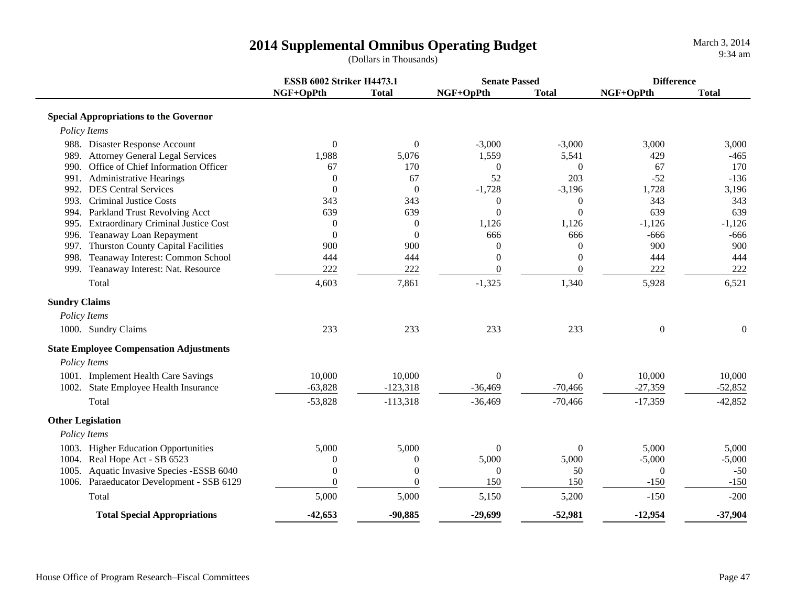|                                                    | <b>ESSB 6002 Striker H4473.1</b> |                  | <b>Senate Passed</b> |                | <b>Difference</b> |              |
|----------------------------------------------------|----------------------------------|------------------|----------------------|----------------|-------------------|--------------|
|                                                    | NGF+OpPth                        | <b>Total</b>     | NGF+OpPth            | <b>Total</b>   | NGF+OpPth         | <b>Total</b> |
| <b>Special Appropriations to the Governor</b>      |                                  |                  |                      |                |                   |              |
| Policy Items                                       |                                  |                  |                      |                |                   |              |
| 988. Disaster Response Account                     | $\boldsymbol{0}$                 | $\theta$         | $-3,000$             | $-3,000$       | 3,000             | 3,000        |
| 989. Attorney General Legal Services               | 1,988                            | 5,076            | 1,559                | 5,541          | 429               | $-465$       |
| 990. Office of Chief Information Officer           | 67                               | 170              | $\mathbf{0}$         | $\Omega$       | 67                | 170          |
| <b>Administrative Hearings</b><br>991.             | $\theta$                         | 67               | 52                   | 203            | $-52$             | $-136$       |
| 992. DES Central Services                          | $\theta$                         | $\theta$         | $-1,728$             | $-3,196$       | 1,728             | 3,196        |
| <b>Criminal Justice Costs</b><br>993.              | 343                              | 343              | $\theta$             | $\theta$       | 343               | 343          |
| 994. Parkland Trust Revolving Acct                 | 639                              | 639              | $\theta$             | $\overline{0}$ | 639               | 639          |
| <b>Extraordinary Criminal Justice Cost</b><br>995. | $\mathbf{0}$                     | $\boldsymbol{0}$ | 1,126                | 1,126          | $-1,126$          | $-1,126$     |
| 996. Teanaway Loan Repayment                       | $\theta$                         | $\theta$         | 666                  | 666            | $-666$            | $-666$       |
| <b>Thurston County Capital Facilities</b><br>997.  | 900                              | 900              | $\boldsymbol{0}$     | $\theta$       | 900               | 900          |
| 998. Teanaway Interest: Common School              | 444                              | 444              | $\overline{0}$       | $\overline{0}$ | 444               | 444          |
| 999. Teanaway Interest: Nat. Resource              | 222                              | 222              | $\boldsymbol{0}$     | $\overline{0}$ | 222               | 222          |
| Total                                              | 4,603                            | 7,861            | $-1,325$             | 1,340          | 5,928             | 6,521        |
| <b>Sundry Claims</b>                               |                                  |                  |                      |                |                   |              |
| Policy Items                                       |                                  |                  |                      |                |                   |              |
| 1000. Sundry Claims                                | 233                              | 233              | 233                  | 233            | $\Omega$          | $\mathbf{0}$ |
| <b>State Employee Compensation Adjustments</b>     |                                  |                  |                      |                |                   |              |
| Policy Items                                       |                                  |                  |                      |                |                   |              |
| 1001. Implement Health Care Savings                | 10,000                           | 10,000           | $\theta$             | $\overline{0}$ | 10,000            | 10,000       |
| 1002. State Employee Health Insurance              | $-63,828$                        | $-123,318$       | $-36,469$            | $-70,466$      | $-27,359$         | $-52,852$    |
| Total                                              | $-53,828$                        | $-113,318$       | $-36,469$            | $-70,466$      | $-17,359$         | $-42,852$    |
| <b>Other Legislation</b>                           |                                  |                  |                      |                |                   |              |
| Policy Items                                       |                                  |                  |                      |                |                   |              |
| 1003. Higher Education Opportunities               | 5,000                            | 5,000            | $\Omega$             | $\overline{0}$ | 5,000             | 5,000        |
| 1004. Real Hope Act - SB 6523                      | $\theta$                         | $\boldsymbol{0}$ | 5,000                | 5,000          | $-5,000$          | $-5,000$     |
| 1005. Aquatic Invasive Species -ESSB 6040          | $\theta$                         | $\overline{0}$   | $\theta$             | 50             | $\theta$          | $-50$        |
| 1006. Paraeducator Development - SSB 6129          | $\theta$                         | $\boldsymbol{0}$ | 150                  | 150            | $-150$            | $-150$       |
| Total                                              | 5,000                            | 5,000            | 5,150                | 5,200          | $-150$            | $-200$       |
|                                                    |                                  |                  |                      |                |                   |              |
| <b>Total Special Appropriations</b>                | $-42,653$                        | $-90,885$        | $-29,699$            | $-52,981$      | $-12,954$         | $-37,904$    |